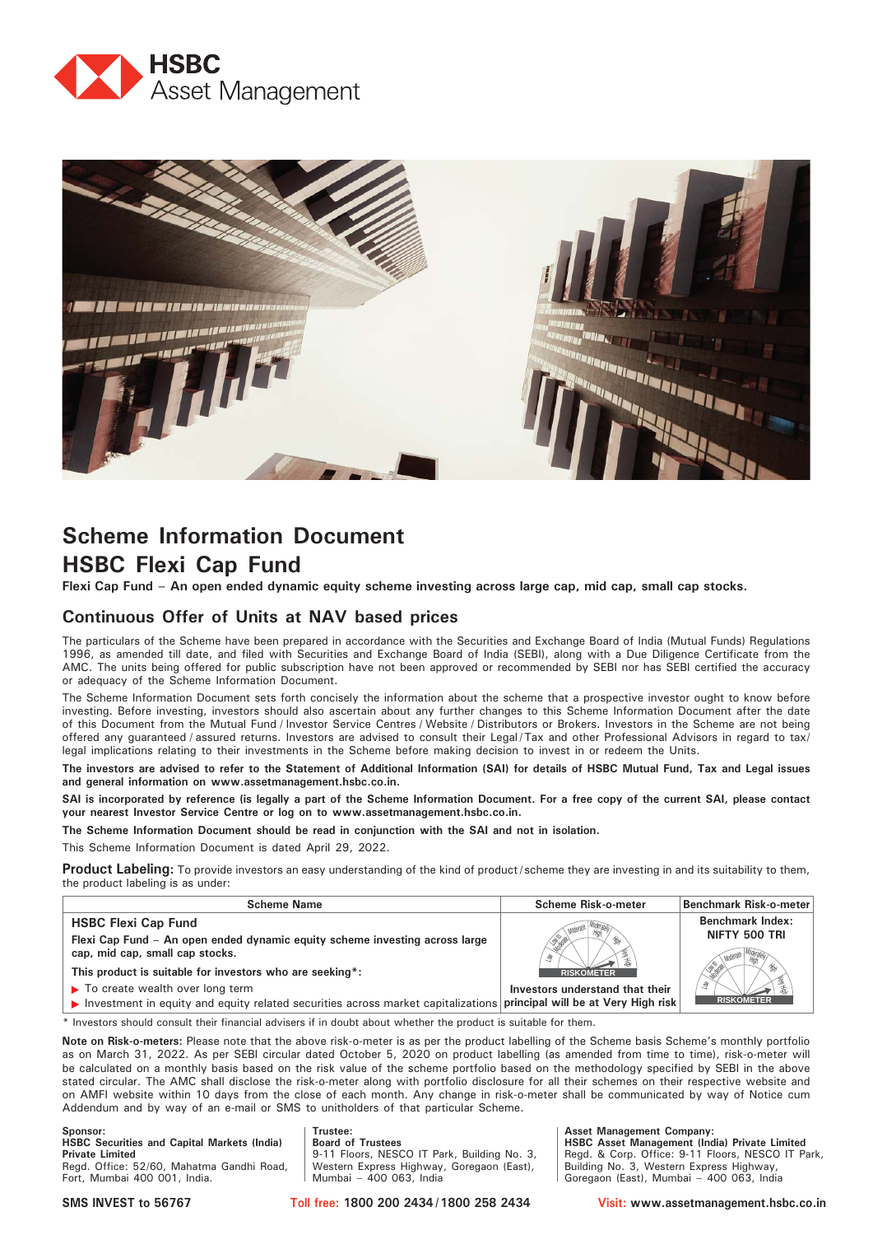



# **Scheme Information Document HSBC Flexi Cap Fund**

**Flexi Cap Fund – An open ended dynamic equity scheme investing across large cap, mid cap, small cap stocks.**

### **Continuous Offer of Units at NAV based prices**

The particulars of the Scheme have been prepared in accordance with the Securities and Exchange Board of India (Mutual Funds) Regulations 1996, as amended till date, and filed with Securities and Exchange Board of India (SEBI), along with a Due Diligence Certificate from the AMC. The units being offered for public subscription have not been approved or recommended by SEBI nor has SEBI certified the accuracy or adequacy of the Scheme Information Document.

The Scheme Information Document sets forth concisely the information about the scheme that a prospective investor ought to know before investing. Before investing, investors should also ascertain about any further changes to this Scheme Information Document after the date of this Document from the Mutual Fund / Investor Service Centres / Website / Distributors or Brokers. Investors in the Scheme are not being offered any guaranteed / assured returns. Investors are advised to consult their Legal / Tax and other Professional Advisors in regard to tax/ legal implications relating to their investments in the Scheme before making decision to invest in or redeem the Units.

**The investors are advised to refer to the Statement of Additional Information (SAI) for details of HSBC Mutual Fund, Tax and Legal issues and general information on www.assetmanagement.hsbc.co.in.** 

**SAI is incorporated by reference (is legally a part of the Scheme Information Document. For a free copy of the current SAI, please contact your nearest Investor Service Centre or log on to www.assetmanagement.hsbc.co.in.**

**The Scheme Information Document should be read in conjunction with the SAI and not in isolation.**

This Scheme Information Document is dated April 29, 2022.

**Product Labeling:** To provide investors an easy understanding of the kind of product/scheme they are investing in and its suitability to them, the product labeling is as under:

| <b>Scheme Name</b>                                                                                                   | <b>Scheme Risk-o-meter</b>      | <b>Benchmark Risk-o-meter</b> |
|----------------------------------------------------------------------------------------------------------------------|---------------------------------|-------------------------------|
| <b>HSBC Flexi Cap Fund</b>                                                                                           |                                 | <b>Benchmark Index:</b>       |
| Flexi Cap Fund - An open ended dynamic equity scheme investing across large<br>cap, mid cap, small cap stocks.       | Ŝ.                              | NIFTY 500 TRI                 |
| This product is suitable for investors who are seeking*:                                                             | <b>RISKOMETER</b>               |                               |
| $\blacktriangleright$ To create wealth over long term                                                                | Investors understand that their | Ŝ                             |
| Investment in equity and equity related securities across market capitalizations principal will be at Very High risk |                                 | <b>RISKOMETER</b>             |

\* Investors should consult their financial advisers if in doubt about whether the product is suitable for them.

**Trustee:**

**Note on Risk-o-meters:** Please note that the above risk-o-meter is as per the product labelling of the Scheme basis Scheme's monthly portfolio as on March 31, 2022. As per SEBI circular dated October 5, 2020 on product labelling (as amended from time to time), risk-o-meter will be calculated on a monthly basis based on the risk value of the scheme portfolio based on the methodology specified by SEBI in the above stated circular. The AMC shall disclose the risk-o-meter along with portfolio disclosure for all their schemes on their respective website and on AMFI website within 10 days from the close of each month. Any change in risk-o-meter shall be communicated by way of Notice cum Addendum and by way of an e-mail or SMS to unitholders of that particular Scheme.

**Sponsor: HSBC Securities and Capital Markets (India) Private Limited** Regd. Office: 52/60, Mahatma Gandhi Road, Fort, Mumbai 400 001, India.

**Board of Trustees** 9-11 Floors, NESCO IT Park, Building No. 3, Western Express Highway, Goregaon (East), Mumbai – 400 063, India

**Asset Management Company: HSBC Asset Management (India) Private Limited** Regd. & Corp. Office: 9-11 Floors, NESCO IT Park, Building No. 3, Western Express Highway, Goregaon (East), Mumbai – 400 063, India

**SMS INVEST to 56767 Toll free: 1800 200 2434 / 1800 258 2434 Visit: www.assetmanagement.hsbc.co.in**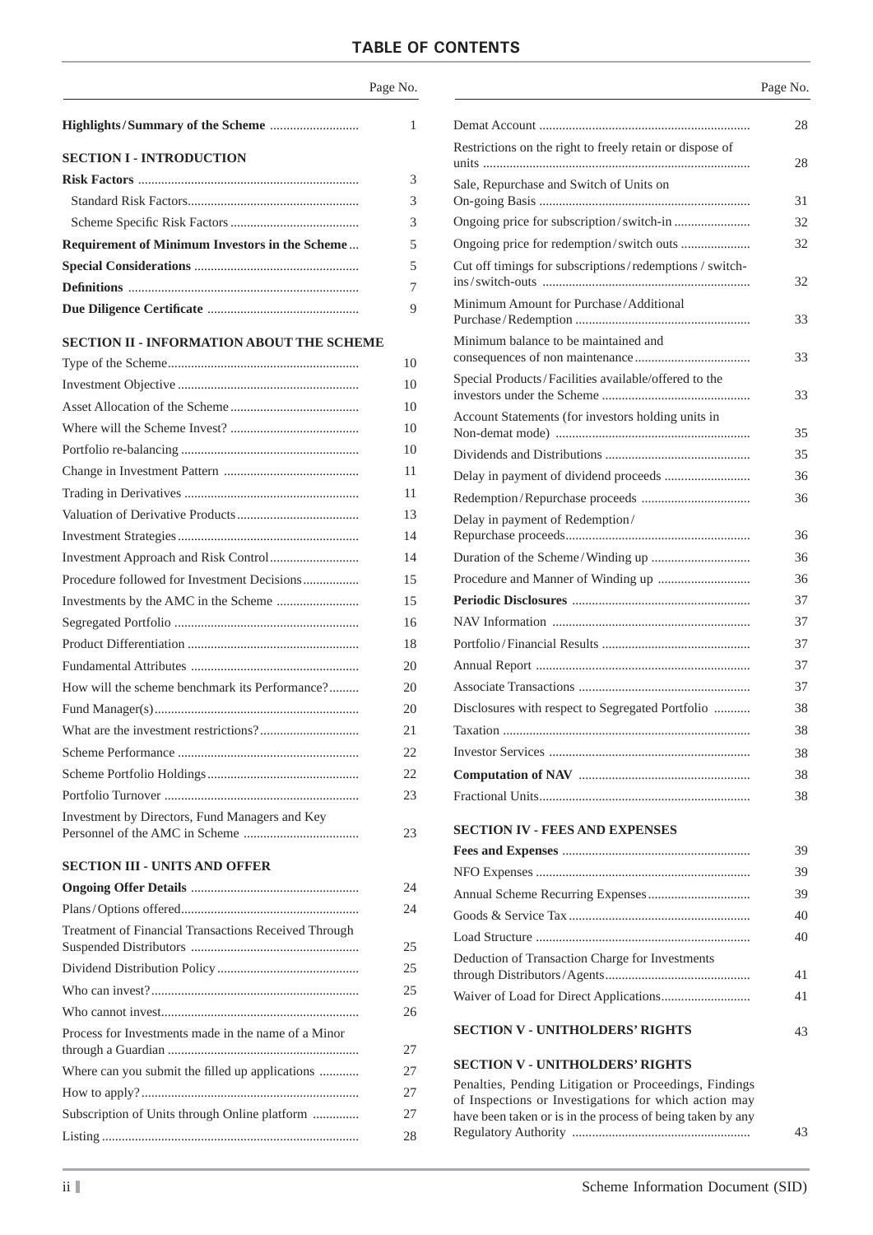## **TABLE OF CONTENTS**

|                                                  | Page No. |
|--------------------------------------------------|----------|
|                                                  | 1        |
| <b>SECTION I - INTRODUCTION</b>                  |          |
|                                                  | 3        |
|                                                  | 3        |
|                                                  | 3        |
| Requirement of Minimum Investors in the Scheme   | 5        |
|                                                  | 5        |
|                                                  | 7        |
|                                                  | 9        |
| <b>SECTION II - INFORMATION ABOUT THE SCHEME</b> |          |
|                                                  | 10       |
|                                                  | 10       |
|                                                  | 10       |
|                                                  | 10       |
|                                                  | 10       |
|                                                  | 11       |
|                                                  | 11       |
|                                                  | 13       |
|                                                  | 14       |
|                                                  | 14       |
| Procedure followed for Investment Decisions      | 15       |
|                                                  | 15       |
|                                                  | 16       |

|                                                | 15 |
|------------------------------------------------|----|
|                                                | 15 |
|                                                | 16 |
|                                                | 18 |
|                                                | 20 |
| How will the scheme benchmark its Performance? | 20 |
|                                                | 20 |
|                                                | 21 |
|                                                | 22 |
|                                                | 22 |
|                                                | 23 |
| Investment by Directors, Fund Managers and Key |    |
|                                                | 23 |

### **SECTION III - UNITS AND OFFER**

|                                                             | 24 |
|-------------------------------------------------------------|----|
|                                                             | 24 |
| <b>Treatment of Financial Transactions Received Through</b> | 25 |
|                                                             | 25 |
|                                                             | 25 |
|                                                             | 26 |
| Process for Investments made in the name of a Minor         | 27 |
| Where can you submit the filled up applications             | 27 |
|                                                             | 27 |
| Subscription of Units through Online platform               | 27 |
|                                                             | 28 |
|                                                             |    |

|                                                            | Page No. |
|------------------------------------------------------------|----------|
|                                                            | 28       |
| Restrictions on the right to freely retain or dispose of   | 28       |
| Sale, Repurchase and Switch of Units on                    | 31       |
|                                                            | 32       |
| Ongoing price for redemption/switch outs                   | 32       |
| Cut off timings for subscriptions/redemptions/switch-      |          |
| Minimum Amount for Purchase/Additional                     | 32       |
|                                                            | 33       |
| Minimum balance to be maintained and                       | 33       |
| Special Products/Facilities available/offered to the       | 33       |
| Account Statements (for investors holding units in         |          |
|                                                            | 35       |
|                                                            | 35       |
|                                                            | 36       |
|                                                            | 36       |
| Delay in payment of Redemption/                            |          |
|                                                            | 36       |
|                                                            | 36       |
|                                                            | 36       |
|                                                            | 37       |
|                                                            | 37       |
|                                                            | 37       |
|                                                            | 37       |
|                                                            | 37       |
| Disclosures with respect to Segregated Portfolio           | 38       |
|                                                            | 38       |
|                                                            | 38       |
|                                                            | 38       |
|                                                            | 38       |
| <b>SECTION IV - FEES AND EXPENSES</b>                      | 39       |
|                                                            | 39       |
|                                                            | 39       |
|                                                            | 40       |
|                                                            | 40       |
| Deduction of Transaction Charge for Investments            |          |
|                                                            | 41       |
|                                                            | 41       |
| <b>SECTION V - UNITHOLDERS' RIGHTS</b>                     | 43       |
| <b>SECTION V - UNITHOLDERS' RIGHTS</b>                     |          |
| Penalties, Pending Litigation or Proceedings, Findings     |          |
| of Inspections or Investigations for which action may      |          |
| have been taken or is in the process of being taken by any | 43       |
|                                                            |          |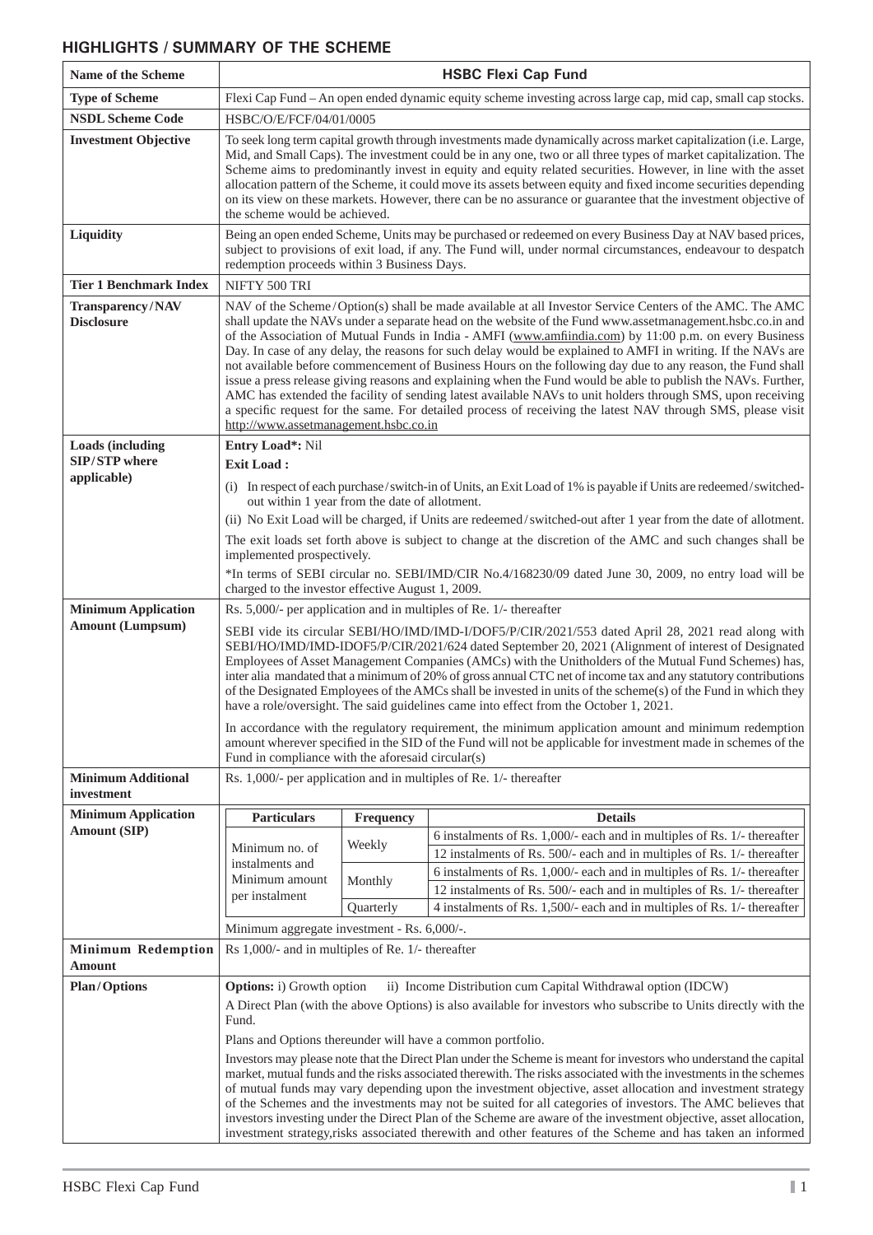## **HIGHLIGHTS / SUMMARY OF THE SCHEME**

| Name of the Scheme                      | <b>HSBC Flexi Cap Fund</b>                                                                                                                                                                                                                                                                                                                                                                                                                                                                                                                                                                                                                                                                                                                                                                                                                                                                                                                          |           |                                                                                                                                                                                                                           |  |  |
|-----------------------------------------|-----------------------------------------------------------------------------------------------------------------------------------------------------------------------------------------------------------------------------------------------------------------------------------------------------------------------------------------------------------------------------------------------------------------------------------------------------------------------------------------------------------------------------------------------------------------------------------------------------------------------------------------------------------------------------------------------------------------------------------------------------------------------------------------------------------------------------------------------------------------------------------------------------------------------------------------------------|-----------|---------------------------------------------------------------------------------------------------------------------------------------------------------------------------------------------------------------------------|--|--|
| <b>Type of Scheme</b>                   | Flexi Cap Fund – An open ended dynamic equity scheme investing across large cap, mid cap, small cap stocks.                                                                                                                                                                                                                                                                                                                                                                                                                                                                                                                                                                                                                                                                                                                                                                                                                                         |           |                                                                                                                                                                                                                           |  |  |
| <b>NSDL Scheme Code</b>                 | HSBC/O/E/FCF/04/01/0005                                                                                                                                                                                                                                                                                                                                                                                                                                                                                                                                                                                                                                                                                                                                                                                                                                                                                                                             |           |                                                                                                                                                                                                                           |  |  |
| <b>Investment Objective</b>             | To seek long term capital growth through investments made dynamically across market capitalization (i.e. Large,<br>Mid, and Small Caps). The investment could be in any one, two or all three types of market capitalization. The<br>Scheme aims to predominantly invest in equity and equity related securities. However, in line with the asset<br>allocation pattern of the Scheme, it could move its assets between equity and fixed income securities depending<br>on its view on these markets. However, there can be no assurance or guarantee that the investment objective of<br>the scheme would be achieved.                                                                                                                                                                                                                                                                                                                             |           |                                                                                                                                                                                                                           |  |  |
| Liquidity                               | redemption proceeds within 3 Business Days.                                                                                                                                                                                                                                                                                                                                                                                                                                                                                                                                                                                                                                                                                                                                                                                                                                                                                                         |           | Being an open ended Scheme, Units may be purchased or redeemed on every Business Day at NAV based prices,<br>subject to provisions of exit load, if any. The Fund will, under normal circumstances, endeavour to despatch |  |  |
| <b>Tier 1 Benchmark Index</b>           | NIFTY 500 TRI                                                                                                                                                                                                                                                                                                                                                                                                                                                                                                                                                                                                                                                                                                                                                                                                                                                                                                                                       |           |                                                                                                                                                                                                                           |  |  |
| Transparency/NAV<br><b>Disclosure</b>   | NAV of the Scheme/Option(s) shall be made available at all Investor Service Centers of the AMC. The AMC<br>shall update the NAVs under a separate head on the website of the Fund www.assetmanagement.hsbc.co.in and<br>of the Association of Mutual Funds in India - AMFI (www.amfiindia.com) by 11:00 p.m. on every Business<br>Day. In case of any delay, the reasons for such delay would be explained to AMFI in writing. If the NAVs are<br>not available before commencement of Business Hours on the following day due to any reason, the Fund shall<br>issue a press release giving reasons and explaining when the Fund would be able to publish the NAVs. Further,<br>AMC has extended the facility of sending latest available NAVs to unit holders through SMS, upon receiving<br>a specific request for the same. For detailed process of receiving the latest NAV through SMS, please visit<br>http://www.assetmanagement.hsbc.co.in |           |                                                                                                                                                                                                                           |  |  |
| <b>Loads (including</b>                 | Entry Load*: Nil                                                                                                                                                                                                                                                                                                                                                                                                                                                                                                                                                                                                                                                                                                                                                                                                                                                                                                                                    |           |                                                                                                                                                                                                                           |  |  |
| SIP/STP where<br>applicable)            | <b>Exit Load:</b>                                                                                                                                                                                                                                                                                                                                                                                                                                                                                                                                                                                                                                                                                                                                                                                                                                                                                                                                   |           |                                                                                                                                                                                                                           |  |  |
|                                         |                                                                                                                                                                                                                                                                                                                                                                                                                                                                                                                                                                                                                                                                                                                                                                                                                                                                                                                                                     |           | (i) In respect of each purchase/switch-in of Units, an Exit Load of 1% is payable if Units are redeemed/switched-                                                                                                         |  |  |
|                                         | out within 1 year from the date of allotment.                                                                                                                                                                                                                                                                                                                                                                                                                                                                                                                                                                                                                                                                                                                                                                                                                                                                                                       |           | (ii) No Exit Load will be charged, if Units are redeemed/switched-out after 1 year from the date of allotment.                                                                                                            |  |  |
|                                         | implemented prospectively.                                                                                                                                                                                                                                                                                                                                                                                                                                                                                                                                                                                                                                                                                                                                                                                                                                                                                                                          |           | The exit loads set forth above is subject to change at the discretion of the AMC and such changes shall be                                                                                                                |  |  |
|                                         | *In terms of SEBI circular no. SEBI/IMD/CIR No.4/168230/09 dated June 30, 2009, no entry load will be<br>charged to the investor effective August 1, 2009.                                                                                                                                                                                                                                                                                                                                                                                                                                                                                                                                                                                                                                                                                                                                                                                          |           |                                                                                                                                                                                                                           |  |  |
| <b>Minimum Application</b>              | Rs. 5,000/- per application and in multiples of Re. 1/- thereafter                                                                                                                                                                                                                                                                                                                                                                                                                                                                                                                                                                                                                                                                                                                                                                                                                                                                                  |           |                                                                                                                                                                                                                           |  |  |
| <b>Amount (Lumpsum)</b>                 | SEBI vide its circular SEBI/HO/IMD/IMD-I/DOF5/P/CIR/2021/553 dated April 28, 2021 read along with<br>SEBI/HO/IMD/IMD-IDOF5/P/CIR/2021/624 dated September 20, 2021 (Alignment of interest of Designated<br>Employees of Asset Management Companies (AMCs) with the Unitholders of the Mutual Fund Schemes) has,<br>inter alia mandated that a minimum of 20% of gross annual CTC net of income tax and any statutory contributions<br>of the Designated Employees of the AMCs shall be invested in units of the scheme(s) of the Fund in which they<br>have a role/oversight. The said guidelines came into effect from the October 1, 2021.                                                                                                                                                                                                                                                                                                        |           |                                                                                                                                                                                                                           |  |  |
|                                         | In accordance with the regulatory requirement, the minimum application amount and minimum redemption<br>amount wherever specified in the SID of the Fund will not be applicable for investment made in schemes of the<br>Fund in compliance with the aforesaid circular(s)                                                                                                                                                                                                                                                                                                                                                                                                                                                                                                                                                                                                                                                                          |           |                                                                                                                                                                                                                           |  |  |
| <b>Minimum Additional</b><br>investment | Rs. 1,000/- per application and in multiples of Re. 1/- thereafter                                                                                                                                                                                                                                                                                                                                                                                                                                                                                                                                                                                                                                                                                                                                                                                                                                                                                  |           |                                                                                                                                                                                                                           |  |  |
| <b>Minimum Application</b>              | <b>Particulars</b>                                                                                                                                                                                                                                                                                                                                                                                                                                                                                                                                                                                                                                                                                                                                                                                                                                                                                                                                  | Frequency | <b>Details</b>                                                                                                                                                                                                            |  |  |
| <b>Amount (SIP)</b>                     | 6 instalments of Rs. 1,000/- each and in multiples of Rs. 1/- thereafter<br>Weekly<br>Minimum no. of<br>12 instalments of Rs. 500/- each and in multiples of Rs. 1/- thereafter<br>instalments and                                                                                                                                                                                                                                                                                                                                                                                                                                                                                                                                                                                                                                                                                                                                                  |           |                                                                                                                                                                                                                           |  |  |
|                                         | 6 instalments of Rs. 1,000/- each and in multiples of Rs. 1/- thereafter<br>Minimum amount<br>Monthly<br>12 instalments of Rs. 500/- each and in multiples of Rs. 1/- thereafter<br>per instalment                                                                                                                                                                                                                                                                                                                                                                                                                                                                                                                                                                                                                                                                                                                                                  |           |                                                                                                                                                                                                                           |  |  |
|                                         | 4 instalments of Rs. 1,500/- each and in multiples of Rs. 1/- thereafter<br>Quarterly                                                                                                                                                                                                                                                                                                                                                                                                                                                                                                                                                                                                                                                                                                                                                                                                                                                               |           |                                                                                                                                                                                                                           |  |  |
|                                         | Minimum aggregate investment - Rs. 6,000/-.                                                                                                                                                                                                                                                                                                                                                                                                                                                                                                                                                                                                                                                                                                                                                                                                                                                                                                         |           |                                                                                                                                                                                                                           |  |  |
| <b>Minimum Redemption</b><br>Amount     | Rs 1,000/- and in multiples of Re. 1/- thereafter                                                                                                                                                                                                                                                                                                                                                                                                                                                                                                                                                                                                                                                                                                                                                                                                                                                                                                   |           |                                                                                                                                                                                                                           |  |  |
| <b>Plan/Options</b>                     | <b>Options:</b> i) Growth option                                                                                                                                                                                                                                                                                                                                                                                                                                                                                                                                                                                                                                                                                                                                                                                                                                                                                                                    |           | ii) Income Distribution cum Capital Withdrawal option (IDCW)                                                                                                                                                              |  |  |
|                                         | Fund.                                                                                                                                                                                                                                                                                                                                                                                                                                                                                                                                                                                                                                                                                                                                                                                                                                                                                                                                               |           | A Direct Plan (with the above Options) is also available for investors who subscribe to Units directly with the                                                                                                           |  |  |
|                                         |                                                                                                                                                                                                                                                                                                                                                                                                                                                                                                                                                                                                                                                                                                                                                                                                                                                                                                                                                     |           | Plans and Options thereunder will have a common portfolio.                                                                                                                                                                |  |  |
|                                         | Investors may please note that the Direct Plan under the Scheme is meant for investors who understand the capital<br>market, mutual funds and the risks associated therewith. The risks associated with the investments in the schemes<br>of mutual funds may vary depending upon the investment objective, asset allocation and investment strategy<br>of the Schemes and the investments may not be suited for all categories of investors. The AMC believes that<br>investors investing under the Direct Plan of the Scheme are aware of the investment objective, asset allocation,<br>investment strategy,risks associated therewith and other features of the Scheme and has taken an informed                                                                                                                                                                                                                                                |           |                                                                                                                                                                                                                           |  |  |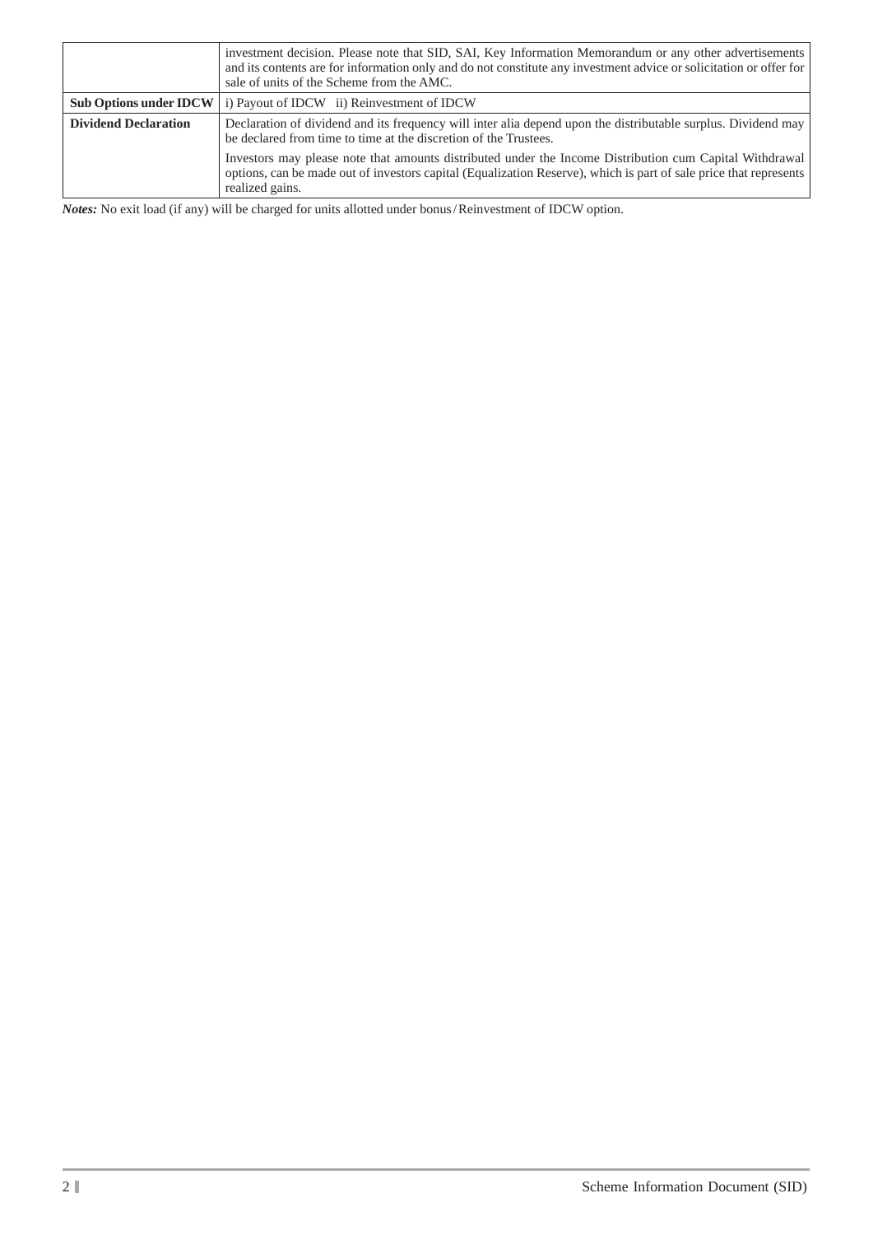|                               | investment decision. Please note that SID, SAI, Key Information Memorandum or any other advertisements<br>and its contents are for information only and do not constitute any investment advice or solicitation or offer for<br>sale of units of the Scheme from the AMC. |
|-------------------------------|---------------------------------------------------------------------------------------------------------------------------------------------------------------------------------------------------------------------------------------------------------------------------|
| <b>Sub Options under IDCW</b> | i) Payout of IDCW ii) Reinvestment of IDCW                                                                                                                                                                                                                                |
| <b>Dividend Declaration</b>   | Declaration of dividend and its frequency will inter alia depend upon the distributable surplus. Dividend may<br>be declared from time to time at the discretion of the Trustees.                                                                                         |
|                               | Investors may please note that amounts distributed under the Income Distribution cum Capital Withdrawal<br>options, can be made out of investors capital (Equalization Reserve), which is part of sale price that represents<br>realized gains.                           |

*Notes:* No exit load (if any) will be charged for units allotted under bonus / Reinvestment of IDCW option.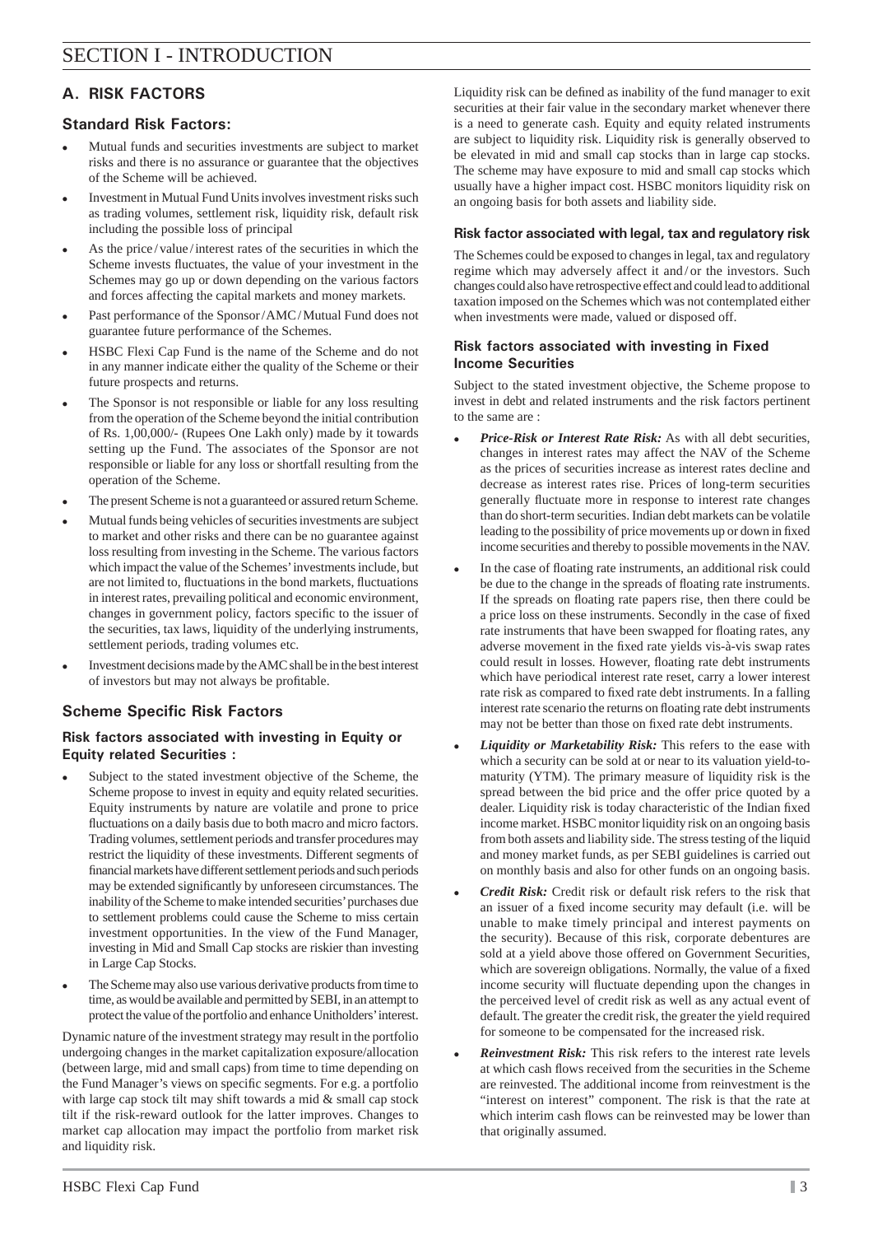## **A. RISK FACTORS**

## **Standard Risk Factors:**

- Mutual funds and securities investments are subject to market risks and there is no assurance or guarantee that the objectives of the Scheme will be achieved.
- Investment in Mutual Fund Units involves investment risks such as trading volumes, settlement risk, liquidity risk, default risk including the possible loss of principal
- As the price / value / interest rates of the securities in which the Scheme invests fluctuates, the value of your investment in the Schemes may go up or down depending on the various factors and forces affecting the capital markets and money markets.
- Past performance of the Sponsor / AMC / Mutual Fund does not guarantee future performance of the Schemes.
- HSBC Flexi Cap Fund is the name of the Scheme and do not in any manner indicate either the quality of the Scheme or their future prospects and returns.
- The Sponsor is not responsible or liable for any loss resulting from the operation of the Scheme beyond the initial contribution of Rs. 1,00,000/- (Rupees One Lakh only) made by it towards setting up the Fund. The associates of the Sponsor are not responsible or liable for any loss or shortfall resulting from the operation of the Scheme.
- The present Scheme is not a guaranteed or assured return Scheme.
- Mutual funds being vehicles of securities investments are subject to market and other risks and there can be no guarantee against loss resulting from investing in the Scheme. The various factors which impact the value of the Schemes' investments include, but are not limited to, fluctuations in the bond markets, fluctuations in interest rates, prevailing political and economic environment, changes in government policy, factors specific to the issuer of the securities, tax laws, liquidity of the underlying instruments, settlement periods, trading volumes etc.
- Investment decisions made by the AMC shall be in the best interest of investors but may not always be profitable.

## **Scheme Specific Risk Factors**

### **Risk factors associated with investing in Equity or Equity related Securities :**

- Subject to the stated investment objective of the Scheme, the Scheme propose to invest in equity and equity related securities. Equity instruments by nature are volatile and prone to price fluctuations on a daily basis due to both macro and micro factors. Trading volumes, settlement periods and transfer procedures may restrict the liquidity of these investments. Different segments of financial markets have different settlement periods and such periods may be extended significantly by unforeseen circumstances. The inability of the Scheme to make intended securities' purchases due to settlement problems could cause the Scheme to miss certain investment opportunities. In the view of the Fund Manager, investing in Mid and Small Cap stocks are riskier than investing in Large Cap Stocks.
- The Scheme may also use various derivative products from time to time, as would be available and permitted by SEBI, in an attempt to protect the value of the portfolio and enhance Unitholders' interest.

Dynamic nature of the investment strategy may result in the portfolio undergoing changes in the market capitalization exposure/allocation (between large, mid and small caps) from time to time depending on the Fund Manager's views on specific segments. For e.g. a portfolio with large cap stock tilt may shift towards a mid & small cap stock tilt if the risk-reward outlook for the latter improves. Changes to market cap allocation may impact the portfolio from market risk and liquidity risk.

Liquidity risk can be defined as inability of the fund manager to exit securities at their fair value in the secondary market whenever there is a need to generate cash. Equity and equity related instruments are subject to liquidity risk. Liquidity risk is generally observed to be elevated in mid and small cap stocks than in large cap stocks. The scheme may have exposure to mid and small cap stocks which usually have a higher impact cost. HSBC monitors liquidity risk on an ongoing basis for both assets and liability side.

#### **Risk factor associated with legal, tax and regulatory risk**

The Schemes could be exposed to changes in legal, tax and regulatory regime which may adversely affect it and / or the investors. Such changes could also have retrospective effect and could lead to additional taxation imposed on the Schemes which was not contemplated either when investments were made, valued or disposed off.

#### **Risk factors associated with investing in Fixed Income Securities**

Subject to the stated investment objective, the Scheme propose to invest in debt and related instruments and the risk factors pertinent to the same are :

- *Price-Risk or Interest Rate Risk:* As with all debt securities, changes in interest rates may affect the NAV of the Scheme as the prices of securities increase as interest rates decline and decrease as interest rates rise. Prices of long-term securities generally fluctuate more in response to interest rate changes than do short-term securities. Indian debt markets can be volatile leading to the possibility of price movements up or down in fixed income securities and thereby to possible movements in the NAV.
- In the case of floating rate instruments, an additional risk could be due to the change in the spreads of floating rate instruments. If the spreads on floating rate papers rise, then there could be a price loss on these instruments. Secondly in the case of fixed rate instruments that have been swapped for floating rates, any adverse movement in the fixed rate yields vis-à-vis swap rates could result in losses. However, floating rate debt instruments which have periodical interest rate reset, carry a lower interest rate risk as compared to fixed rate debt instruments. In a falling interest rate scenario the returns on floating rate debt instruments may not be better than those on fixed rate debt instruments.
- *Liquidity or Marketability Risk:* This refers to the ease with which a security can be sold at or near to its valuation yield-tomaturity (YTM). The primary measure of liquidity risk is the spread between the bid price and the offer price quoted by a dealer. Liquidity risk is today characteristic of the Indian fixed income market. HSBC monitor liquidity risk on an ongoing basis from both assets and liability side. The stress testing of the liquid and money market funds, as per SEBI guidelines is carried out on monthly basis and also for other funds on an ongoing basis.
- *Credit Risk:* Credit risk or default risk refers to the risk that an issuer of a fixed income security may default (i.e. will be unable to make timely principal and interest payments on the security). Because of this risk, corporate debentures are sold at a yield above those offered on Government Securities, which are sovereign obligations. Normally, the value of a fixed income security will fluctuate depending upon the changes in the perceived level of credit risk as well as any actual event of default. The greater the credit risk, the greater the yield required for someone to be compensated for the increased risk.
- *Reinvestment Risk:* This risk refers to the interest rate levels at which cash flows received from the securities in the Scheme are reinvested. The additional income from reinvestment is the "interest on interest" component. The risk is that the rate at which interim cash flows can be reinvested may be lower than that originally assumed.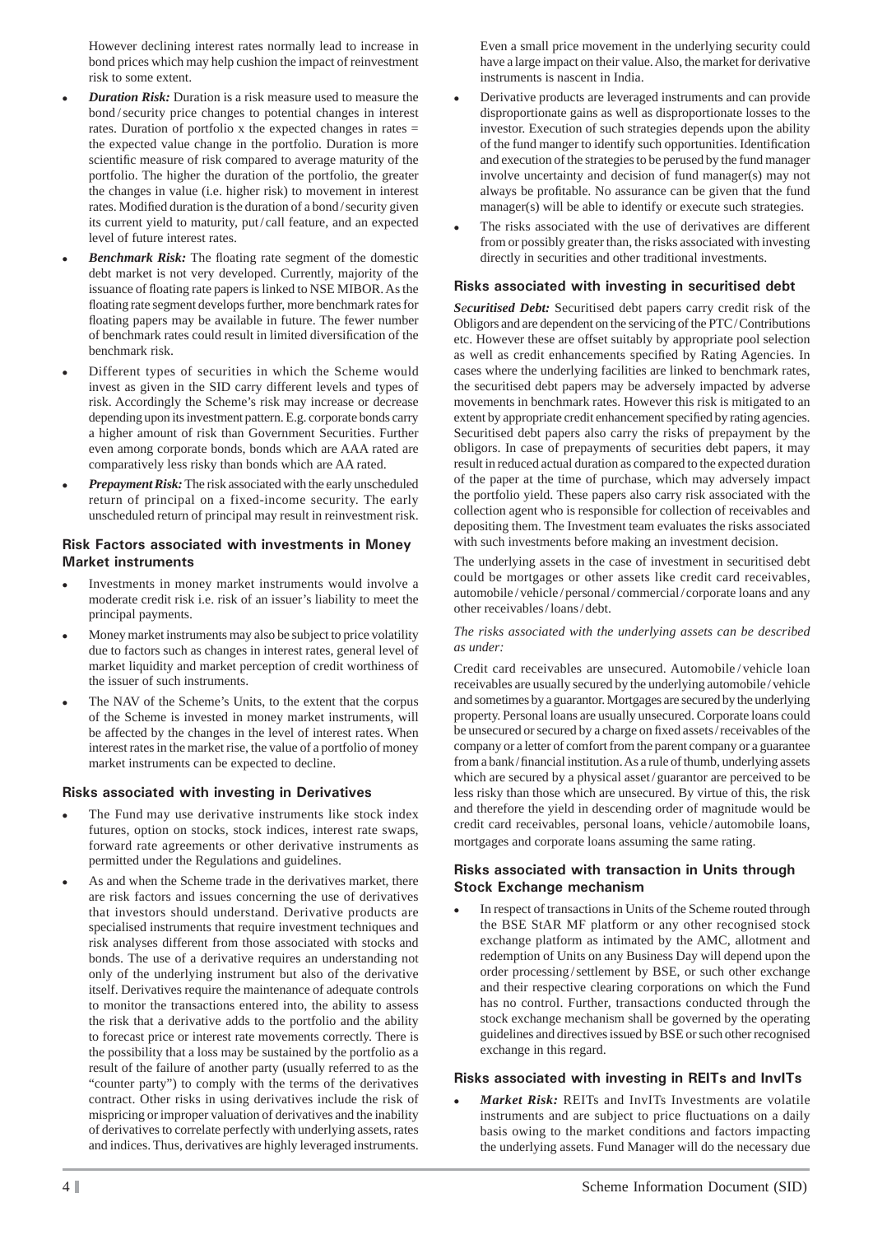However declining interest rates normally lead to increase in bond prices which may help cushion the impact of reinvestment risk to some extent.

- *Duration Risk:* Duration is a risk measure used to measure the bond / security price changes to potential changes in interest rates. Duration of portfolio x the expected changes in rates = the expected value change in the portfolio. Duration is more scientific measure of risk compared to average maturity of the portfolio. The higher the duration of the portfolio, the greater the changes in value (i.e. higher risk) to movement in interest rates. Modified duration is the duration of a bond/security given its current yield to maturity, put / call feature, and an expected level of future interest rates.
- *Benchmark Risk:* The floating rate segment of the domestic debt market is not very developed. Currently, majority of the issuance of floating rate papers is linked to NSE MIBOR. As the floating rate segment develops further, more benchmark rates for floating papers may be available in future. The fewer number of benchmark rates could result in limited diversification of the benchmark risk.
- Different types of securities in which the Scheme would invest as given in the SID carry different levels and types of risk. Accordingly the Scheme's risk may increase or decrease depending upon its investment pattern. E.g. corporate bonds carry a higher amount of risk than Government Securities. Further even among corporate bonds, bonds which are AAA rated are comparatively less risky than bonds which are AA rated.
- *Prepayment Risk:* The risk associated with the early unscheduled return of principal on a fixed-income security. The early unscheduled return of principal may result in reinvestment risk.

#### **Risk Factors associated with investments in Money Market instruments**

- Investments in money market instruments would involve a moderate credit risk i.e. risk of an issuer's liability to meet the principal payments.
- Money market instruments may also be subject to price volatility due to factors such as changes in interest rates, general level of market liquidity and market perception of credit worthiness of the issuer of such instruments.
- The NAV of the Scheme's Units, to the extent that the corpus of the Scheme is invested in money market instruments, will be affected by the changes in the level of interest rates. When interest rates in the market rise, the value of a portfolio of money market instruments can be expected to decline.

#### **Risks associated with investing in Derivatives**

- The Fund may use derivative instruments like stock index futures, option on stocks, stock indices, interest rate swaps, forward rate agreements or other derivative instruments as permitted under the Regulations and guidelines.
- As and when the Scheme trade in the derivatives market, there are risk factors and issues concerning the use of derivatives that investors should understand. Derivative products are specialised instruments that require investment techniques and risk analyses different from those associated with stocks and bonds. The use of a derivative requires an understanding not only of the underlying instrument but also of the derivative itself. Derivatives require the maintenance of adequate controls to monitor the transactions entered into, the ability to assess the risk that a derivative adds to the portfolio and the ability to forecast price or interest rate movements correctly. There is the possibility that a loss may be sustained by the portfolio as a result of the failure of another party (usually referred to as the "counter party") to comply with the terms of the derivatives contract. Other risks in using derivatives include the risk of mispricing or improper valuation of derivatives and the inability of derivatives to correlate perfectly with underlying assets, rates and indices. Thus, derivatives are highly leveraged instruments.

Even a small price movement in the underlying security could have a large impact on their value. Also, the market for derivative instruments is nascent in India.

- Derivative products are leveraged instruments and can provide disproportionate gains as well as disproportionate losses to the investor. Execution of such strategies depends upon the ability of the fund manger to identify such opportunities. Identification and execution of the strategies to be perused by the fund manager involve uncertainty and decision of fund manager(s) may not always be profitable. No assurance can be given that the fund manager(s) will be able to identify or execute such strategies.
- The risks associated with the use of derivatives are different from or possibly greater than, the risks associated with investing directly in securities and other traditional investments.

#### **Risks associated with investing in securitised debt**

*Securitised Debt:* Securitised debt papers carry credit risk of the Obligors and are dependent on the servicing of the PTC / Contributions etc. However these are offset suitably by appropriate pool selection as well as credit enhancements specified by Rating Agencies. In cases where the underlying facilities are linked to benchmark rates, the securitised debt papers may be adversely impacted by adverse movements in benchmark rates. However this risk is mitigated to an extent by appropriate credit enhancement specified by rating agencies. Securitised debt papers also carry the risks of prepayment by the obligors. In case of prepayments of securities debt papers, it may result in reduced actual duration as compared to the expected duration of the paper at the time of purchase, which may adversely impact the portfolio yield. These papers also carry risk associated with the collection agent who is responsible for collection of receivables and depositing them. The Investment team evaluates the risks associated with such investments before making an investment decision.

The underlying assets in the case of investment in securitised debt could be mortgages or other assets like credit card receivables, automobile / vehicle / personal / commercial / corporate loans and any other receivables / loans / debt.

#### *The risks associated with the underlying assets can be described as under:*

Credit card receivables are unsecured. Automobile / vehicle loan receivables are usually secured by the underlying automobile / vehicle and sometimes by a guarantor. Mortgages are secured by the underlying property. Personal loans are usually unsecured. Corporate loans could be unsecured or secured by a charge on fixed assets/receivables of the company or a letter of comfort from the parent company or a guarantee from a bank/financial institution. As a rule of thumb, underlying assets which are secured by a physical asset / guarantor are perceived to be less risky than those which are unsecured. By virtue of this, the risk and therefore the yield in descending order of magnitude would be credit card receivables, personal loans, vehicle / automobile loans, mortgages and corporate loans assuming the same rating.

#### **Risks associated with transaction in Units through Stock Exchange mechanism**

 In respect of transactions in Units of the Scheme routed through the BSE StAR MF platform or any other recognised stock exchange platform as intimated by the AMC, allotment and redemption of Units on any Business Day will depend upon the order processing / settlement by BSE, or such other exchange and their respective clearing corporations on which the Fund has no control. Further, transactions conducted through the stock exchange mechanism shall be governed by the operating guidelines and directives issued by BSE or such other recognised exchange in this regard.

#### **Risks associated with investing in REITs and InvITs**

 *Market Risk:* REITs and InvITs Investments are volatile instruments and are subject to price fluctuations on a daily basis owing to the market conditions and factors impacting the underlying assets. Fund Manager will do the necessary due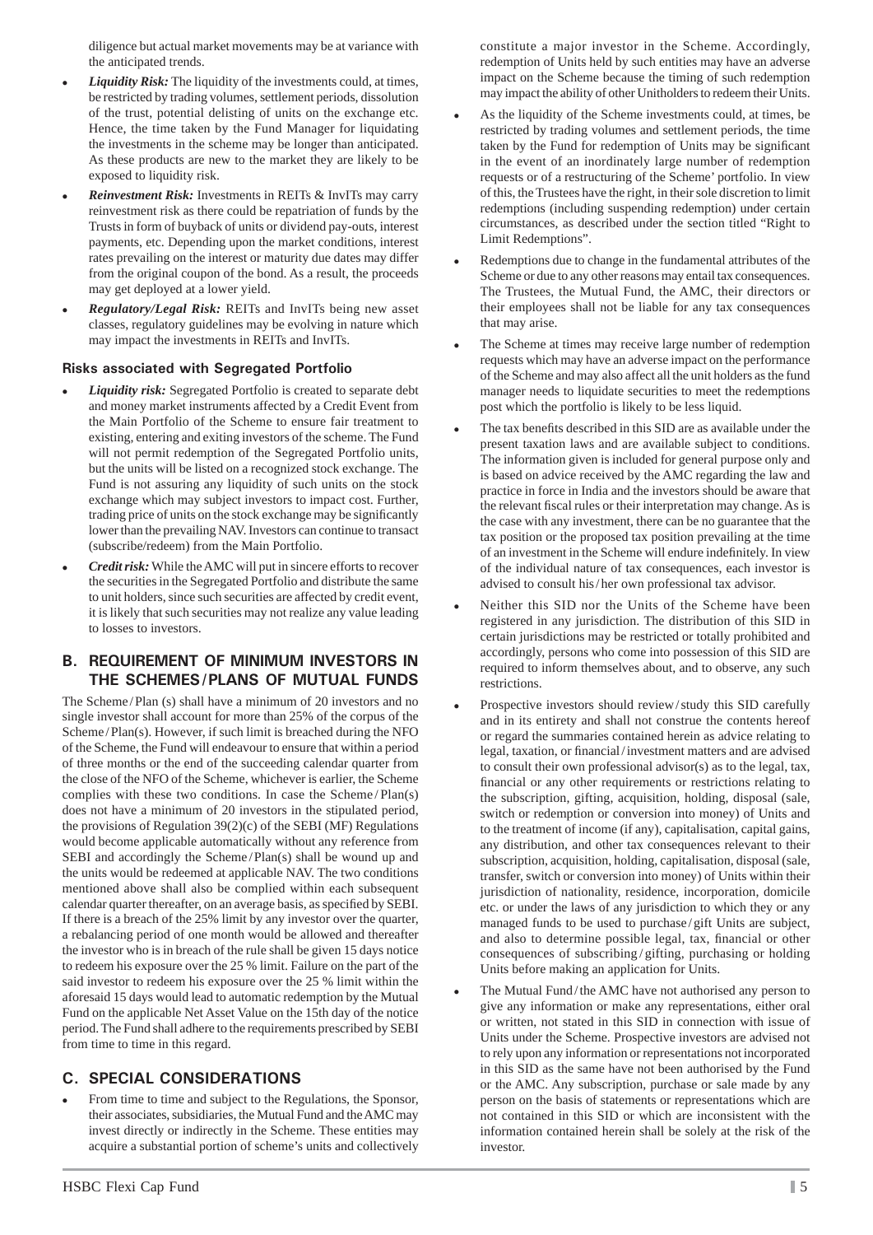diligence but actual market movements may be at variance with the anticipated trends.

- *Liquidity Risk:* The liquidity of the investments could, at times, be restricted by trading volumes, settlement periods, dissolution of the trust, potential delisting of units on the exchange etc. Hence, the time taken by the Fund Manager for liquidating the investments in the scheme may be longer than anticipated. As these products are new to the market they are likely to be exposed to liquidity risk.
- *Reinvestment Risk:* Investments in REITs & InvITs may carry reinvestment risk as there could be repatriation of funds by the Trusts in form of buyback of units or dividend pay-outs, interest payments, etc. Depending upon the market conditions, interest rates prevailing on the interest or maturity due dates may differ from the original coupon of the bond. As a result, the proceeds may get deployed at a lower yield.
- *Regulatory/Legal Risk:* REITs and InvITs being new asset classes, regulatory guidelines may be evolving in nature which may impact the investments in REITs and InvITs.

#### **Risks associated with Segregated Portfolio**

- *Liquidity risk:* Segregated Portfolio is created to separate debt and money market instruments affected by a Credit Event from the Main Portfolio of the Scheme to ensure fair treatment to existing, entering and exiting investors of the scheme. The Fund will not permit redemption of the Segregated Portfolio units, but the units will be listed on a recognized stock exchange. The Fund is not assuring any liquidity of such units on the stock exchange which may subject investors to impact cost. Further, trading price of units on the stock exchange may be significantly lower than the prevailing NAV. Investors can continue to transact (subscribe/redeem) from the Main Portfolio.
- *Credit risk:* While the AMC will put in sincere efforts to recover the securities in the Segregated Portfolio and distribute the same to unit holders, since such securities are affected by credit event, it is likely that such securities may not realize any value leading to losses to investors.

## **B. REQUIREMENT OF MINIMUM INVESTORS IN THE SCHEMES / PLANS OF MUTUAL FUNDS**

The Scheme/Plan (s) shall have a minimum of 20 investors and no single investor shall account for more than 25% of the corpus of the Scheme/Plan(s). However, if such limit is breached during the NFO of the Scheme, the Fund will endeavour to ensure that within a period of three months or the end of the succeeding calendar quarter from the close of the NFO of the Scheme, whichever is earlier, the Scheme complies with these two conditions. In case the Scheme / Plan(s) does not have a minimum of 20 investors in the stipulated period, the provisions of Regulation 39(2)(c) of the SEBI (MF) Regulations would become applicable automatically without any reference from SEBI and accordingly the Scheme / Plan(s) shall be wound up and the units would be redeemed at applicable NAV. The two conditions mentioned above shall also be complied within each subsequent calendar quarter thereafter, on an average basis, as specified by SEBI. If there is a breach of the 25% limit by any investor over the quarter, a rebalancing period of one month would be allowed and thereafter the investor who is in breach of the rule shall be given 15 days notice to redeem his exposure over the 25 % limit. Failure on the part of the said investor to redeem his exposure over the 25 % limit within the aforesaid 15 days would lead to automatic redemption by the Mutual Fund on the applicable Net Asset Value on the 15th day of the notice period. The Fund shall adhere to the requirements prescribed by SEBI from time to time in this regard.

## **C. SPECIAL CONSIDERATIONS**

 From time to time and subject to the Regulations, the Sponsor, their associates, subsidiaries, the Mutual Fund and the AMC may invest directly or indirectly in the Scheme. These entities may acquire a substantial portion of scheme's units and collectively constitute a major investor in the Scheme. Accordingly, redemption of Units held by such entities may have an adverse impact on the Scheme because the timing of such redemption may impact the ability of other Unitholders to redeem their Units.

- As the liquidity of the Scheme investments could, at times, be restricted by trading volumes and settlement periods, the time taken by the Fund for redemption of Units may be significant in the event of an inordinately large number of redemption requests or of a restructuring of the Scheme' portfolio. In view of this, the Trustees have the right, in their sole discretion to limit redemptions (including suspending redemption) under certain circumstances, as described under the section titled "Right to Limit Redemptions".
- Redemptions due to change in the fundamental attributes of the Scheme or due to any other reasons may entail tax consequences. The Trustees, the Mutual Fund, the AMC, their directors or their employees shall not be liable for any tax consequences that may arise.
- The Scheme at times may receive large number of redemption requests which may have an adverse impact on the performance of the Scheme and may also affect all the unit holders as the fund manager needs to liquidate securities to meet the redemptions post which the portfolio is likely to be less liquid.
- The tax benefits described in this SID are as available under the present taxation laws and are available subject to conditions. The information given is included for general purpose only and is based on advice received by the AMC regarding the law and practice in force in India and the investors should be aware that the relevant fiscal rules or their interpretation may change. As is the case with any investment, there can be no guarantee that the tax position or the proposed tax position prevailing at the time of an investment in the Scheme will endure indefinitely. In view of the individual nature of tax consequences, each investor is advised to consult his / her own professional tax advisor.
- Neither this SID nor the Units of the Scheme have been registered in any jurisdiction. The distribution of this SID in certain jurisdictions may be restricted or totally prohibited and accordingly, persons who come into possession of this SID are required to inform themselves about, and to observe, any such restrictions.
- Prospective investors should review / study this SID carefully and in its entirety and shall not construe the contents hereof or regard the summaries contained herein as advice relating to legal, taxation, or financial/investment matters and are advised to consult their own professional advisor(s) as to the legal, tax, financial or any other requirements or restrictions relating to the subscription, gifting, acquisition, holding, disposal (sale, switch or redemption or conversion into money) of Units and to the treatment of income (if any), capitalisation, capital gains, any distribution, and other tax consequences relevant to their subscription, acquisition, holding, capitalisation, disposal (sale, transfer, switch or conversion into money) of Units within their jurisdiction of nationality, residence, incorporation, domicile etc. or under the laws of any jurisdiction to which they or any managed funds to be used to purchase / gift Units are subject, and also to determine possible legal, tax, financial or other consequences of subscribing/gifting, purchasing or holding Units before making an application for Units.
- The Mutual Fund / the AMC have not authorised any person to give any information or make any representations, either oral or written, not stated in this SID in connection with issue of Units under the Scheme. Prospective investors are advised not to rely upon any information or representations not incorporated in this SID as the same have not been authorised by the Fund or the AMC. Any subscription, purchase or sale made by any person on the basis of statements or representations which are not contained in this SID or which are inconsistent with the information contained herein shall be solely at the risk of the investor.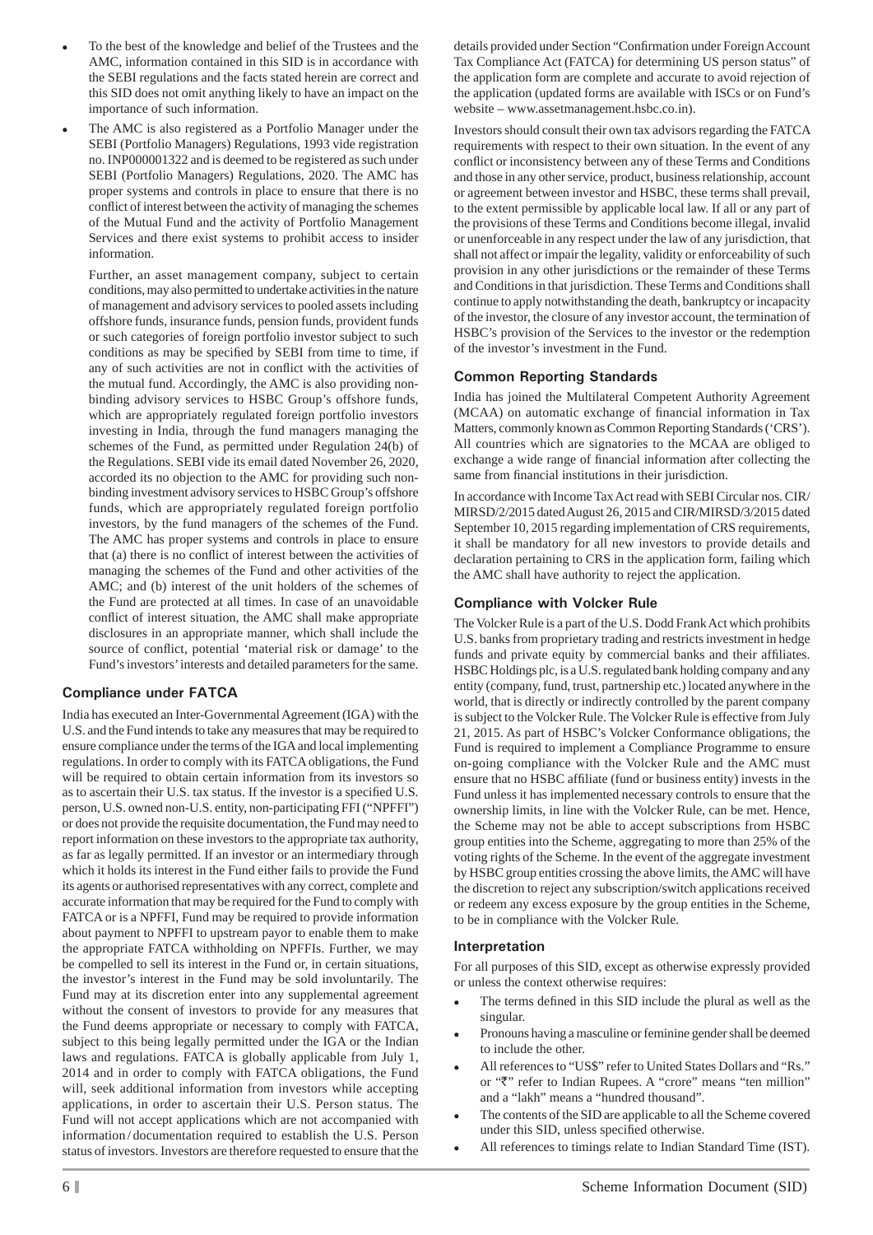- To the best of the knowledge and belief of the Trustees and the AMC, information contained in this SID is in accordance with the SEBI regulations and the facts stated herein are correct and this SID does not omit anything likely to have an impact on the importance of such information.
- The AMC is also registered as a Portfolio Manager under the SEBI (Portfolio Managers) Regulations, 1993 vide registration no. INP000001322 and is deemed to be registered as such under SEBI (Portfolio Managers) Regulations, 2020. The AMC has proper systems and controls in place to ensure that there is no conflict of interest between the activity of managing the schemes of the Mutual Fund and the activity of Portfolio Management Services and there exist systems to prohibit access to insider information.

 Further, an asset management company, subject to certain conditions, may also permitted to undertake activities in the nature of management and advisory services to pooled assets including offshore funds, insurance funds, pension funds, provident funds or such categories of foreign portfolio investor subject to such conditions as may be specified by SEBI from time to time, if any of such activities are not in conflict with the activities of the mutual fund. Accordingly, the AMC is also providing nonbinding advisory services to HSBC Group's offshore funds, which are appropriately regulated foreign portfolio investors investing in India, through the fund managers managing the schemes of the Fund, as permitted under Regulation 24(b) of the Regulations. SEBI vide its email dated November 26, 2020, accorded its no objection to the AMC for providing such nonbinding investment advisory services to HSBC Group's offshore funds, which are appropriately regulated foreign portfolio investors, by the fund managers of the schemes of the Fund. The AMC has proper systems and controls in place to ensure that (a) there is no conflict of interest between the activities of managing the schemes of the Fund and other activities of the AMC; and (b) interest of the unit holders of the schemes of the Fund are protected at all times. In case of an unavoidable conflict of interest situation, the AMC shall make appropriate disclosures in an appropriate manner, which shall include the source of conflict, potential 'material risk or damage' to the Fund's investors' interests and detailed parameters for the same.

## **Compliance under FATCA**

India has executed an Inter-Governmental Agreement (IGA) with the U.S. and the Fund intends to take any measures that may be required to ensure compliance under the terms of the IGA and local implementing regulations. In order to comply with its FATCA obligations, the Fund will be required to obtain certain information from its investors so as to ascertain their U.S. tax status. If the investor is a specified U.S. person, U.S. owned non-U.S. entity, non-participating FFI ("NPFFI") or does not provide the requisite documentation, the Fund may need to report information on these investors to the appropriate tax authority, as far as legally permitted. If an investor or an intermediary through which it holds its interest in the Fund either fails to provide the Fund its agents or authorised representatives with any correct, complete and accurate information that may be required for the Fund to comply with FATCA or is a NPFFI, Fund may be required to provide information about payment to NPFFI to upstream payor to enable them to make the appropriate FATCA withholding on NPFFIs. Further, we may be compelled to sell its interest in the Fund or, in certain situations, the investor's interest in the Fund may be sold involuntarily. The Fund may at its discretion enter into any supplemental agreement without the consent of investors to provide for any measures that the Fund deems appropriate or necessary to comply with FATCA, subject to this being legally permitted under the IGA or the Indian laws and regulations. FATCA is globally applicable from July 1, 2014 and in order to comply with FATCA obligations, the Fund will, seek additional information from investors while accepting applications, in order to ascertain their U.S. Person status. The Fund will not accept applications which are not accompanied with information / documentation required to establish the U.S. Person status of investors. Investors are therefore requested to ensure that the

details provided under Section "Confirmation under Foreign Account Tax Compliance Act (FATCA) for determining US person status" of the application form are complete and accurate to avoid rejection of the application (updated forms are available with ISCs or on Fund's website – www.assetmanagement.hsbc.co.in).

Investors should consult their own tax advisors regarding the FATCA requirements with respect to their own situation. In the event of any conflict or inconsistency between any of these Terms and Conditions and those in any other service, product, business relationship, account or agreement between investor and HSBC, these terms shall prevail, to the extent permissible by applicable local law. If all or any part of the provisions of these Terms and Conditions become illegal, invalid or unenforceable in any respect under the law of any jurisdiction, that shall not affect or impair the legality, validity or enforceability of such provision in any other jurisdictions or the remainder of these Terms and Conditions in that jurisdiction. These Terms and Conditions shall continue to apply notwithstanding the death, bankruptcy or incapacity of the investor, the closure of any investor account, the termination of HSBC's provision of the Services to the investor or the redemption of the investor's investment in the Fund.

## **Common Reporting Standards**

India has joined the Multilateral Competent Authority Agreement (MCAA) on automatic exchange of financial information in Tax Matters, commonly known as Common Reporting Standards ('CRS'). All countries which are signatories to the MCAA are obliged to exchange a wide range of financial information after collecting the same from financial institutions in their jurisdiction.

In accordance with Income Tax Act read with SEBI Circular nos. CIR/ MIRSD/2/2015 dated August 26, 2015 and CIR/MIRSD/3/2015 dated September 10, 2015 regarding implementation of CRS requirements, it shall be mandatory for all new investors to provide details and declaration pertaining to CRS in the application form, failing which the AMC shall have authority to reject the application.

## **Compliance with Volcker Rule**

The Volcker Rule is a part of the U.S. Dodd Frank Act which prohibits U.S. banks from proprietary trading and restricts investment in hedge funds and private equity by commercial banks and their affiliates. HSBC Holdings plc, is a U.S. regulated bank holding company and any entity (company, fund, trust, partnership etc.) located anywhere in the world, that is directly or indirectly controlled by the parent company is subject to the Volcker Rule. The Volcker Rule is effective from July 21, 2015. As part of HSBC's Volcker Conformance obligations, the Fund is required to implement a Compliance Programme to ensure on-going compliance with the Volcker Rule and the AMC must ensure that no HSBC affiliate (fund or business entity) invests in the Fund unless it has implemented necessary controls to ensure that the ownership limits, in line with the Volcker Rule, can be met. Hence, the Scheme may not be able to accept subscriptions from HSBC group entities into the Scheme, aggregating to more than 25% of the voting rights of the Scheme. In the event of the aggregate investment by HSBC group entities crossing the above limits, the AMC will have the discretion to reject any subscription/switch applications received or redeem any excess exposure by the group entities in the Scheme, to be in compliance with the Volcker Rule.

#### **Interpretation**

For all purposes of this SID, except as otherwise expressly provided or unless the context otherwise requires:

- The terms defined in this SID include the plural as well as the singular.
- Pronouns having a masculine or feminine gender shall be deemed to include the other.
- All references to "US\$" refer to United States Dollars and "Rs." or " $\overline{\tau}$ " refer to Indian Rupees. A "crore" means "ten million" and a "lakh" means a "hundred thousand".
- The contents of the SID are applicable to all the Scheme covered under this SID, unless specified otherwise.
- All references to timings relate to Indian Standard Time (IST).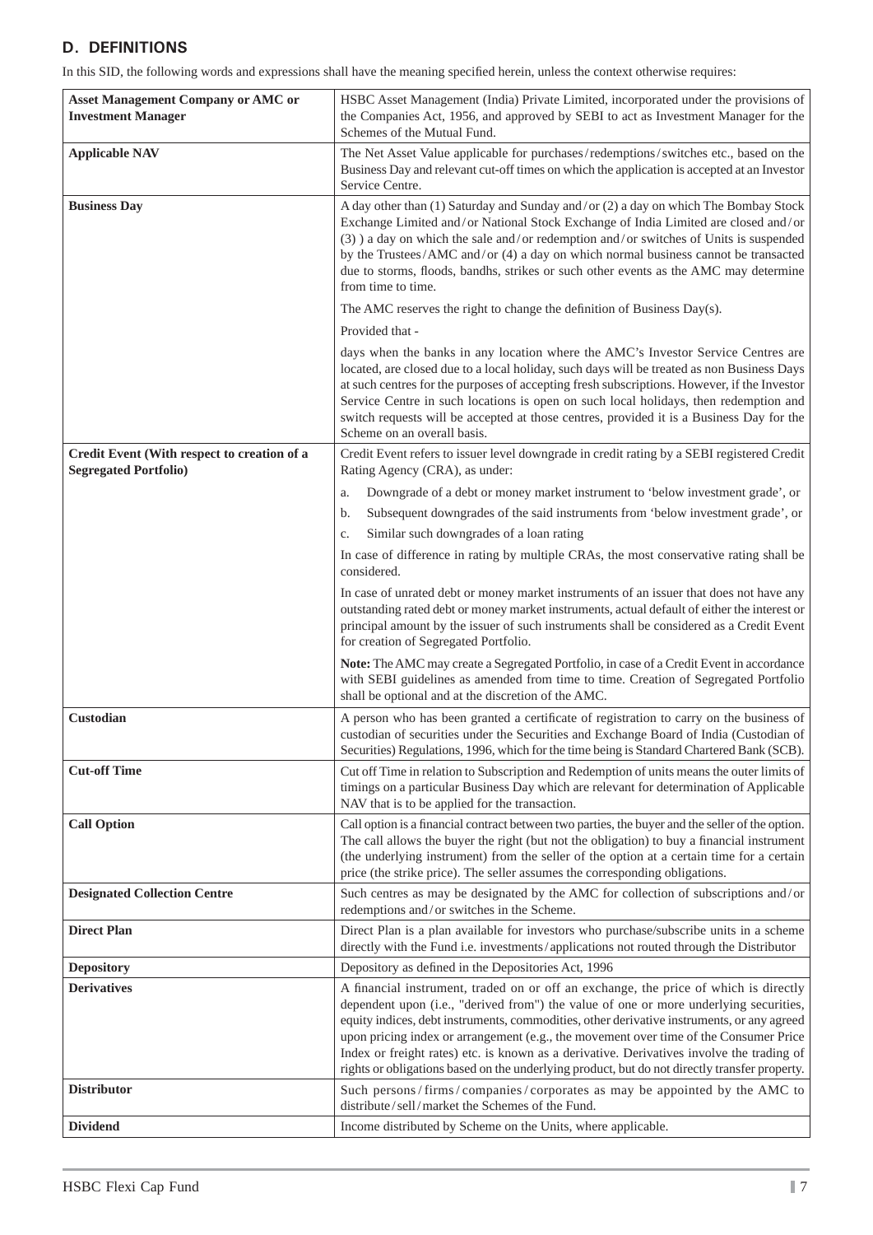## **D. DEFINITIONS**

In this SID, the following words and expressions shall have the meaning specified herein, unless the context otherwise requires:

| <b>Asset Management Company or AMC or</b><br><b>Investment Manager</b>      | HSBC Asset Management (India) Private Limited, incorporated under the provisions of<br>the Companies Act, 1956, and approved by SEBI to act as Investment Manager for the<br>Schemes of the Mutual Fund.                                                                                                                                                                                                                                                                                                                                                           |  |  |
|-----------------------------------------------------------------------------|--------------------------------------------------------------------------------------------------------------------------------------------------------------------------------------------------------------------------------------------------------------------------------------------------------------------------------------------------------------------------------------------------------------------------------------------------------------------------------------------------------------------------------------------------------------------|--|--|
| <b>Applicable NAV</b>                                                       | The Net Asset Value applicable for purchases/redemptions/switches etc., based on the<br>Business Day and relevant cut-off times on which the application is accepted at an Investor<br>Service Centre.                                                                                                                                                                                                                                                                                                                                                             |  |  |
| <b>Business Day</b>                                                         | A day other than (1) Saturday and Sunday and/or (2) a day on which The Bombay Stock<br>Exchange Limited and/or National Stock Exchange of India Limited are closed and/or<br>(3) a day on which the sale and/or redemption and/or switches of Units is suspended<br>by the Trustees/AMC and/or (4) a day on which normal business cannot be transacted<br>due to storms, floods, bandhs, strikes or such other events as the AMC may determine<br>from time to time.                                                                                               |  |  |
|                                                                             | The AMC reserves the right to change the definition of Business Day(s).                                                                                                                                                                                                                                                                                                                                                                                                                                                                                            |  |  |
|                                                                             | Provided that -                                                                                                                                                                                                                                                                                                                                                                                                                                                                                                                                                    |  |  |
|                                                                             | days when the banks in any location where the AMC's Investor Service Centres are<br>located, are closed due to a local holiday, such days will be treated as non Business Days<br>at such centres for the purposes of accepting fresh subscriptions. However, if the Investor<br>Service Centre in such locations is open on such local holidays, then redemption and<br>switch requests will be accepted at those centres, provided it is a Business Day for the<br>Scheme on an overall basis.                                                                   |  |  |
| Credit Event (With respect to creation of a<br><b>Segregated Portfolio)</b> | Credit Event refers to issuer level downgrade in credit rating by a SEBI registered Credit<br>Rating Agency (CRA), as under:                                                                                                                                                                                                                                                                                                                                                                                                                                       |  |  |
|                                                                             | Downgrade of a debt or money market instrument to 'below investment grade', or<br>a.                                                                                                                                                                                                                                                                                                                                                                                                                                                                               |  |  |
|                                                                             | Subsequent downgrades of the said instruments from 'below investment grade', or<br>b.                                                                                                                                                                                                                                                                                                                                                                                                                                                                              |  |  |
|                                                                             | Similar such downgrades of a loan rating<br>c.                                                                                                                                                                                                                                                                                                                                                                                                                                                                                                                     |  |  |
|                                                                             | In case of difference in rating by multiple CRAs, the most conservative rating shall be<br>considered.                                                                                                                                                                                                                                                                                                                                                                                                                                                             |  |  |
|                                                                             | In case of unrated debt or money market instruments of an issuer that does not have any<br>outstanding rated debt or money market instruments, actual default of either the interest or<br>principal amount by the issuer of such instruments shall be considered as a Credit Event<br>for creation of Segregated Portfolio.                                                                                                                                                                                                                                       |  |  |
|                                                                             | Note: The AMC may create a Segregated Portfolio, in case of a Credit Event in accordance<br>with SEBI guidelines as amended from time to time. Creation of Segregated Portfolio<br>shall be optional and at the discretion of the AMC.                                                                                                                                                                                                                                                                                                                             |  |  |
| Custodian                                                                   | A person who has been granted a certificate of registration to carry on the business of<br>custodian of securities under the Securities and Exchange Board of India (Custodian of<br>Securities) Regulations, 1996, which for the time being is Standard Chartered Bank (SCB).                                                                                                                                                                                                                                                                                     |  |  |
| <b>Cut-off Time</b>                                                         | Cut off Time in relation to Subscription and Redemption of units means the outer limits of<br>timings on a particular Business Day which are relevant for determination of Applicable<br>NAV that is to be applied for the transaction.                                                                                                                                                                                                                                                                                                                            |  |  |
| <b>Call Option</b>                                                          | Call option is a financial contract between two parties, the buyer and the seller of the option.<br>The call allows the buyer the right (but not the obligation) to buy a financial instrument<br>(the underlying instrument) from the seller of the option at a certain time for a certain<br>price (the strike price). The seller assumes the corresponding obligations.                                                                                                                                                                                         |  |  |
| <b>Designated Collection Centre</b>                                         | Such centres as may be designated by the AMC for collection of subscriptions and/or<br>redemptions and/or switches in the Scheme.                                                                                                                                                                                                                                                                                                                                                                                                                                  |  |  |
| <b>Direct Plan</b>                                                          | Direct Plan is a plan available for investors who purchase/subscribe units in a scheme<br>directly with the Fund i.e. investments/applications not routed through the Distributor                                                                                                                                                                                                                                                                                                                                                                                  |  |  |
| <b>Depository</b>                                                           | Depository as defined in the Depositories Act, 1996                                                                                                                                                                                                                                                                                                                                                                                                                                                                                                                |  |  |
| <b>Derivatives</b>                                                          | A financial instrument, traded on or off an exchange, the price of which is directly<br>dependent upon (i.e., "derived from") the value of one or more underlying securities,<br>equity indices, debt instruments, commodities, other derivative instruments, or any agreed<br>upon pricing index or arrangement (e.g., the movement over time of the Consumer Price<br>Index or freight rates) etc. is known as a derivative. Derivatives involve the trading of<br>rights or obligations based on the underlying product, but do not directly transfer property. |  |  |
| <b>Distributor</b>                                                          | Such persons/firms/companies/corporates as may be appointed by the AMC to<br>distribute/sell/market the Schemes of the Fund.                                                                                                                                                                                                                                                                                                                                                                                                                                       |  |  |
| <b>Dividend</b>                                                             | Income distributed by Scheme on the Units, where applicable.                                                                                                                                                                                                                                                                                                                                                                                                                                                                                                       |  |  |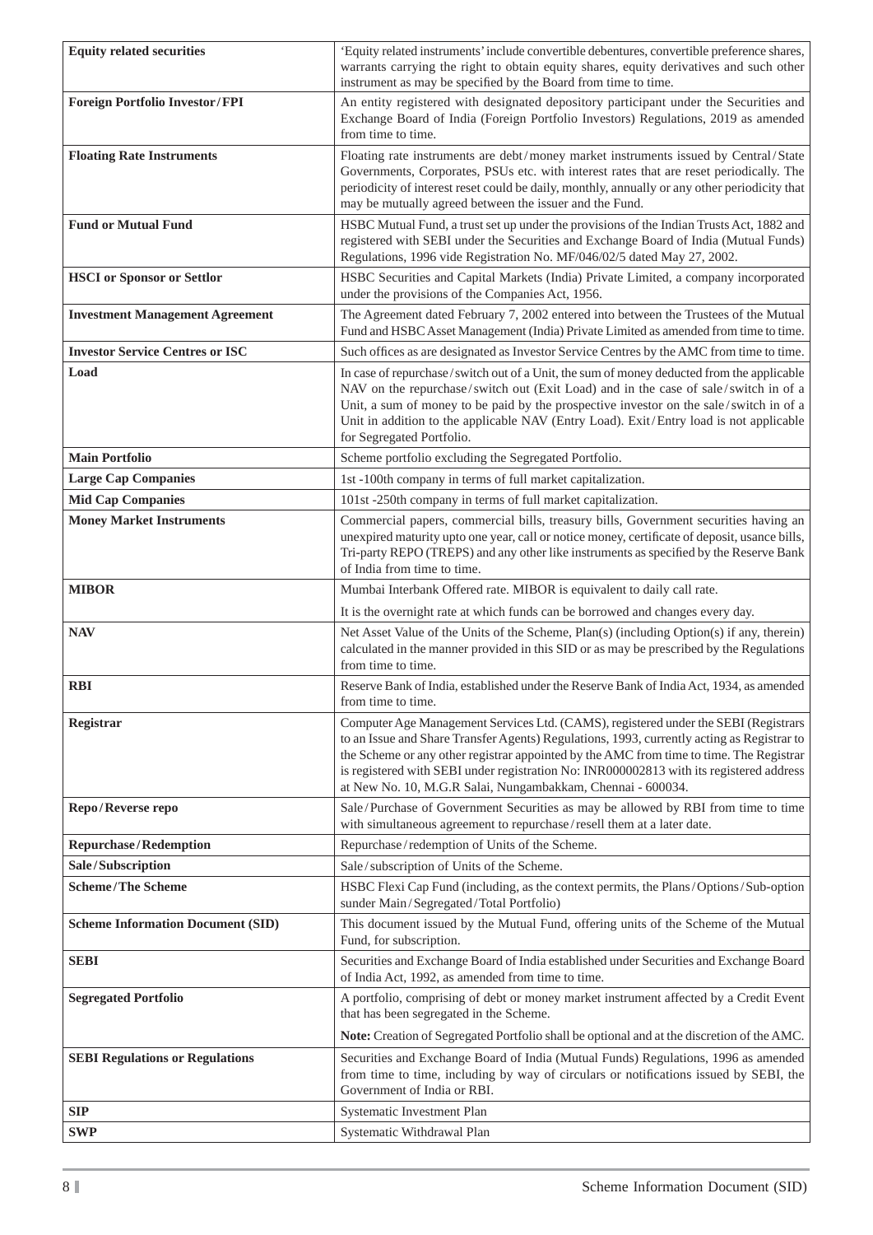| <b>Equity related securities</b>         | 'Equity related instruments' include convertible debentures, convertible preference shares,<br>warrants carrying the right to obtain equity shares, equity derivatives and such other<br>instrument as may be specified by the Board from time to time.                                                                                                                                                                                |
|------------------------------------------|----------------------------------------------------------------------------------------------------------------------------------------------------------------------------------------------------------------------------------------------------------------------------------------------------------------------------------------------------------------------------------------------------------------------------------------|
| <b>Foreign Portfolio Investor/FPI</b>    | An entity registered with designated depository participant under the Securities and<br>Exchange Board of India (Foreign Portfolio Investors) Regulations, 2019 as amended<br>from time to time.                                                                                                                                                                                                                                       |
| <b>Floating Rate Instruments</b>         | Floating rate instruments are debt/money market instruments issued by Central/State<br>Governments, Corporates, PSUs etc. with interest rates that are reset periodically. The<br>periodicity of interest reset could be daily, monthly, annually or any other periodicity that<br>may be mutually agreed between the issuer and the Fund.                                                                                             |
| <b>Fund or Mutual Fund</b>               | HSBC Mutual Fund, a trust set up under the provisions of the Indian Trusts Act, 1882 and<br>registered with SEBI under the Securities and Exchange Board of India (Mutual Funds)<br>Regulations, 1996 vide Registration No. MF/046/02/5 dated May 27, 2002.                                                                                                                                                                            |
| <b>HSCI</b> or Sponsor or Settlor        | HSBC Securities and Capital Markets (India) Private Limited, a company incorporated<br>under the provisions of the Companies Act, 1956.                                                                                                                                                                                                                                                                                                |
| <b>Investment Management Agreement</b>   | The Agreement dated February 7, 2002 entered into between the Trustees of the Mutual<br>Fund and HSBC Asset Management (India) Private Limited as amended from time to time.                                                                                                                                                                                                                                                           |
| <b>Investor Service Centres or ISC</b>   | Such offices as are designated as Investor Service Centres by the AMC from time to time.                                                                                                                                                                                                                                                                                                                                               |
| Load                                     | In case of repurchase/switch out of a Unit, the sum of money deducted from the applicable<br>NAV on the repurchase/switch out (Exit Load) and in the case of sale/switch in of a<br>Unit, a sum of money to be paid by the prospective investor on the sale/switch in of a<br>Unit in addition to the applicable NAV (Entry Load). Exit/Entry load is not applicable<br>for Segregated Portfolio.                                      |
| <b>Main Portfolio</b>                    | Scheme portfolio excluding the Segregated Portfolio.                                                                                                                                                                                                                                                                                                                                                                                   |
| <b>Large Cap Companies</b>               | 1st -100th company in terms of full market capitalization.                                                                                                                                                                                                                                                                                                                                                                             |
| <b>Mid Cap Companies</b>                 | 101st -250th company in terms of full market capitalization.                                                                                                                                                                                                                                                                                                                                                                           |
| <b>Money Market Instruments</b>          | Commercial papers, commercial bills, treasury bills, Government securities having an<br>unexpired maturity upto one year, call or notice money, certificate of deposit, usance bills,<br>Tri-party REPO (TREPS) and any other like instruments as specified by the Reserve Bank<br>of India from time to time.                                                                                                                         |
| <b>MIBOR</b>                             | Mumbai Interbank Offered rate. MIBOR is equivalent to daily call rate.                                                                                                                                                                                                                                                                                                                                                                 |
|                                          | It is the overnight rate at which funds can be borrowed and changes every day.                                                                                                                                                                                                                                                                                                                                                         |
| <b>NAV</b>                               | Net Asset Value of the Units of the Scheme, Plan(s) (including Option(s) if any, therein)<br>calculated in the manner provided in this SID or as may be prescribed by the Regulations<br>from time to time.                                                                                                                                                                                                                            |
| <b>RBI</b>                               | Reserve Bank of India, established under the Reserve Bank of India Act, 1934, as amended<br>from time to time.                                                                                                                                                                                                                                                                                                                         |
| Registrar                                | Computer Age Management Services Ltd. (CAMS), registered under the SEBI (Registrars<br>to an Issue and Share Transfer Agents) Regulations, 1993, currently acting as Registrar to<br>the Scheme or any other registrar appointed by the AMC from time to time. The Registrar<br>is registered with SEBI under registration No: INR000002813 with its registered address<br>at New No. 10, M.G.R Salai, Nungambakkam, Chennai - 600034. |
| Repo/Reverse repo                        | Sale/Purchase of Government Securities as may be allowed by RBI from time to time<br>with simultaneous agreement to repurchase/resell them at a later date.                                                                                                                                                                                                                                                                            |
| <b>Repurchase/Redemption</b>             | Repurchase/redemption of Units of the Scheme.                                                                                                                                                                                                                                                                                                                                                                                          |
| Sale/Subscription                        | Sale/subscription of Units of the Scheme.                                                                                                                                                                                                                                                                                                                                                                                              |
| <b>Scheme/The Scheme</b>                 | HSBC Flexi Cap Fund (including, as the context permits, the Plans/Options/Sub-option<br>sunder Main/Segregated/Total Portfolio)                                                                                                                                                                                                                                                                                                        |
| <b>Scheme Information Document (SID)</b> | This document issued by the Mutual Fund, offering units of the Scheme of the Mutual<br>Fund, for subscription.                                                                                                                                                                                                                                                                                                                         |
| <b>SEBI</b>                              | Securities and Exchange Board of India established under Securities and Exchange Board<br>of India Act, 1992, as amended from time to time.                                                                                                                                                                                                                                                                                            |
| <b>Segregated Portfolio</b>              | A portfolio, comprising of debt or money market instrument affected by a Credit Event<br>that has been segregated in the Scheme.                                                                                                                                                                                                                                                                                                       |
|                                          | Note: Creation of Segregated Portfolio shall be optional and at the discretion of the AMC.                                                                                                                                                                                                                                                                                                                                             |
| <b>SEBI Regulations or Regulations</b>   | Securities and Exchange Board of India (Mutual Funds) Regulations, 1996 as amended<br>from time to time, including by way of circulars or notifications issued by SEBI, the<br>Government of India or RBI.                                                                                                                                                                                                                             |
| <b>SIP</b>                               | Systematic Investment Plan                                                                                                                                                                                                                                                                                                                                                                                                             |
| <b>SWP</b>                               | Systematic Withdrawal Plan                                                                                                                                                                                                                                                                                                                                                                                                             |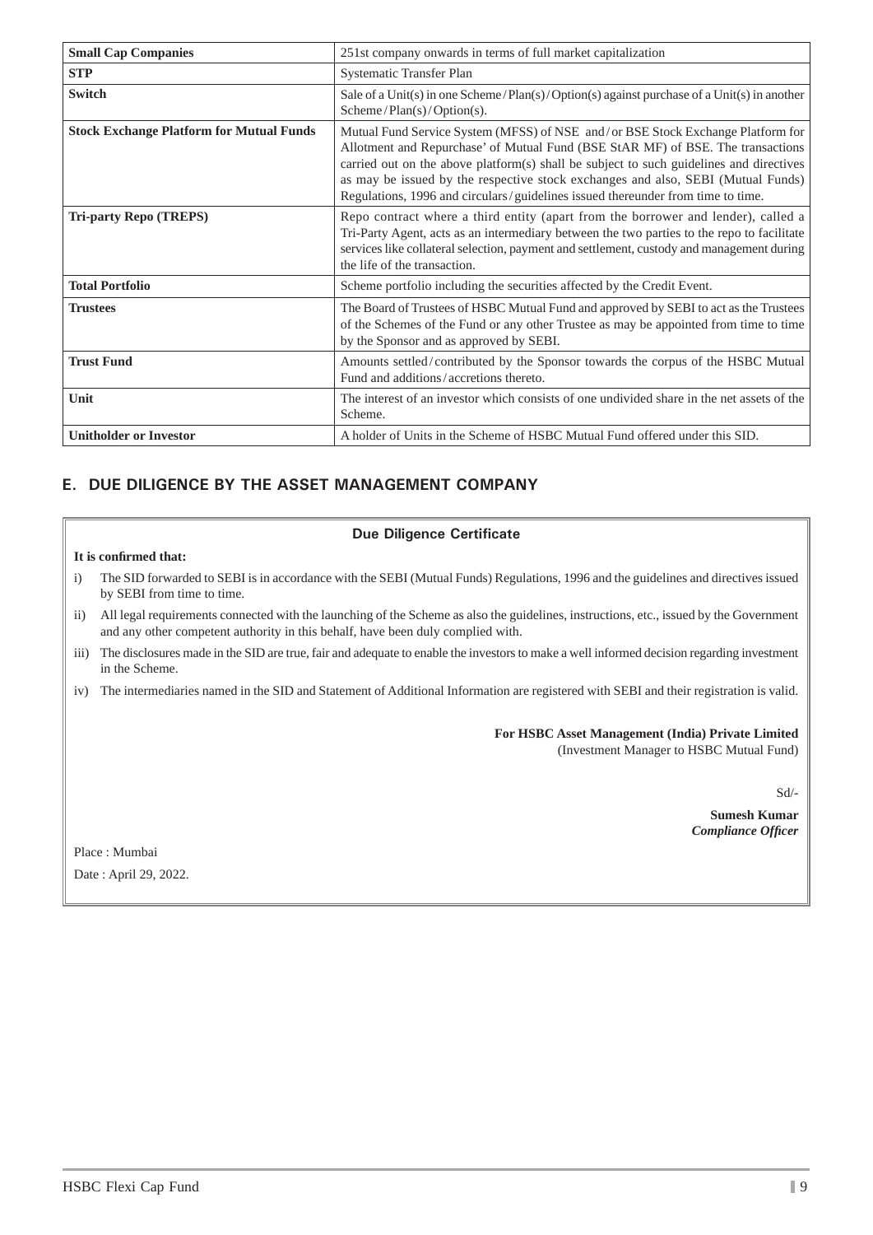| <b>Small Cap Companies</b>                      | 251st company onwards in terms of full market capitalization                                                                                                                                                                                                                                                                                                                                                                         |  |  |
|-------------------------------------------------|--------------------------------------------------------------------------------------------------------------------------------------------------------------------------------------------------------------------------------------------------------------------------------------------------------------------------------------------------------------------------------------------------------------------------------------|--|--|
| <b>STP</b>                                      | Systematic Transfer Plan                                                                                                                                                                                                                                                                                                                                                                                                             |  |  |
| <b>Switch</b>                                   | Sale of a Unit(s) in one Scheme/Plan(s)/Option(s) against purchase of a Unit(s) in another<br>Scheme/Plan(s)/Option(s).                                                                                                                                                                                                                                                                                                              |  |  |
| <b>Stock Exchange Platform for Mutual Funds</b> | Mutual Fund Service System (MFSS) of NSE and/or BSE Stock Exchange Platform for<br>Allotment and Repurchase' of Mutual Fund (BSE StAR MF) of BSE. The transactions<br>carried out on the above platform(s) shall be subject to such guidelines and directives<br>as may be issued by the respective stock exchanges and also, SEBI (Mutual Funds)<br>Regulations, 1996 and circulars/guidelines issued thereunder from time to time. |  |  |
| <b>Tri-party Repo (TREPS)</b>                   | Repo contract where a third entity (apart from the borrower and lender), called a<br>Tri-Party Agent, acts as an intermediary between the two parties to the repo to facilitate<br>services like collateral selection, payment and settlement, custody and management during<br>the life of the transaction.                                                                                                                         |  |  |
| <b>Total Portfolio</b>                          | Scheme portfolio including the securities affected by the Credit Event.                                                                                                                                                                                                                                                                                                                                                              |  |  |
| <b>Trustees</b>                                 | The Board of Trustees of HSBC Mutual Fund and approved by SEBI to act as the Trustees<br>of the Schemes of the Fund or any other Trustee as may be appointed from time to time<br>by the Sponsor and as approved by SEBI.                                                                                                                                                                                                            |  |  |
| <b>Trust Fund</b>                               | Amounts settled/contributed by the Sponsor towards the corpus of the HSBC Mutual<br>Fund and additions/accretions thereto.                                                                                                                                                                                                                                                                                                           |  |  |
| Unit                                            | The interest of an investor which consists of one undivided share in the net assets of the<br>Scheme.                                                                                                                                                                                                                                                                                                                                |  |  |
| <b>Unitholder or Investor</b>                   | A holder of Units in the Scheme of HSBC Mutual Fund offered under this SID.                                                                                                                                                                                                                                                                                                                                                          |  |  |

## **E. DUE DILIGENCE BY THE ASSET MANAGEMENT COMPANY**

### **Due Diligence Certificate**

#### It is confirmed that:

- i) The SID forwarded to SEBI is in accordance with the SEBI (Mutual Funds) Regulations, 1996 and the guidelines and directives issued by SEBI from time to time.
- ii) All legal requirements connected with the launching of the Scheme as also the guidelines, instructions, etc., issued by the Government and any other competent authority in this behalf, have been duly complied with.
- iii) The disclosures made in the SID are true, fair and adequate to enable the investors to make a well informed decision regarding investment in the Scheme.
- iv) The intermediaries named in the SID and Statement of Additional Information are registered with SEBI and their registration is valid.

**For HSBC Asset Management (India) Private Limited** (Investment Manager to HSBC Mutual Fund)

Sd/-

**Sumesh Kumar**  *Compliance Offi cer*

Place : Mumbai Date : April 29, 2022.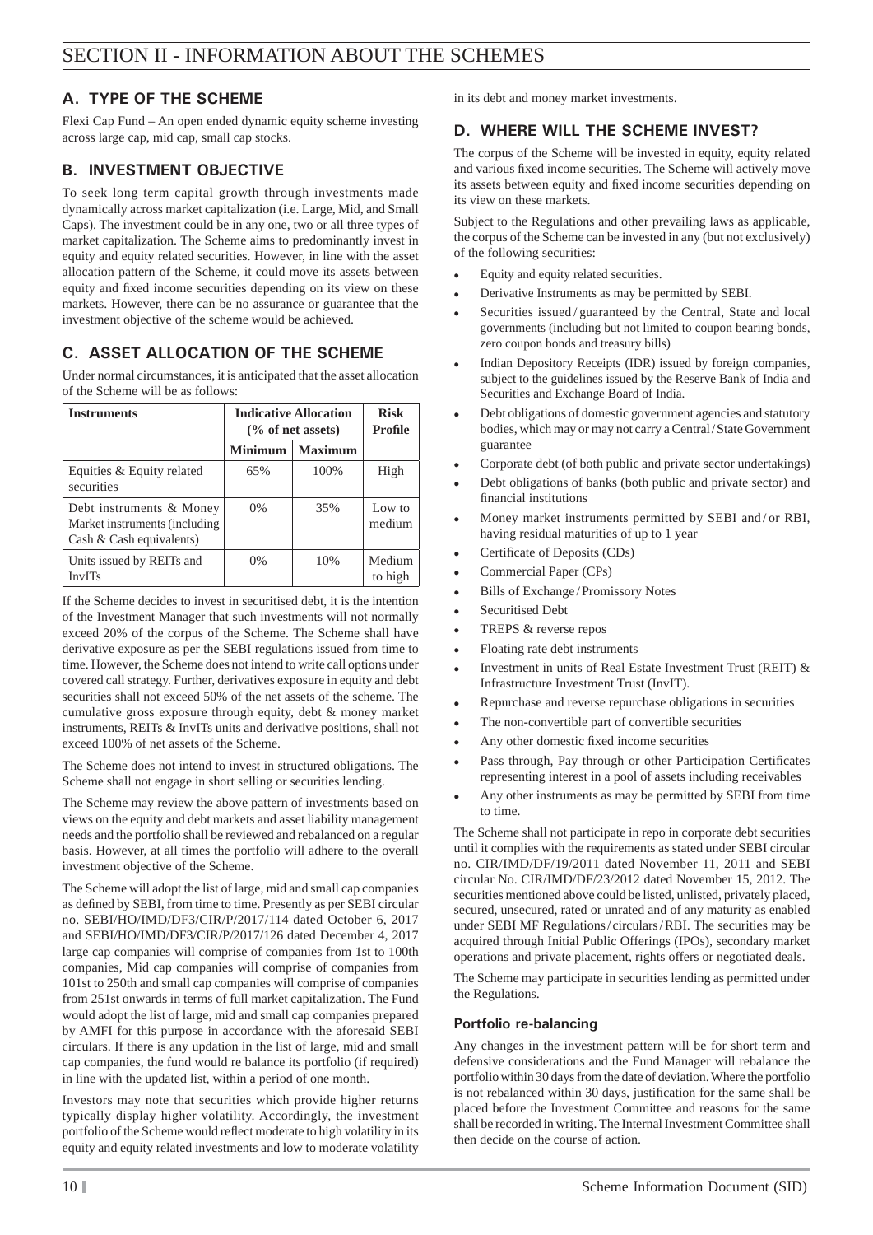## **A. TYPE OF THE SCHEME**

Flexi Cap Fund – An open ended dynamic equity scheme investing across large cap, mid cap, small cap stocks.

## **B. INVESTMENT OBJECTIVE**

To seek long term capital growth through investments made dynamically across market capitalization (i.e. Large, Mid, and Small Caps). The investment could be in any one, two or all three types of market capitalization. The Scheme aims to predominantly invest in equity and equity related securities. However, in line with the asset allocation pattern of the Scheme, it could move its assets between equity and fixed income securities depending on its view on these markets. However, there can be no assurance or guarantee that the investment objective of the scheme would be achieved.

## **C. ASSET ALLOCATION OF THE SCHEME**

Under normal circumstances, it is anticipated that the asset allocation of the Scheme will be as follows:

| <b>Instruments</b>                                                                    | <b>Indicative Allocation</b><br>$\frac{6}{6}$ of net assets) |                | <b>Risk</b><br><b>Profile</b> |
|---------------------------------------------------------------------------------------|--------------------------------------------------------------|----------------|-------------------------------|
|                                                                                       | Minimum                                                      | <b>Maximum</b> |                               |
| Equities & Equity related<br>securities                                               | 65%                                                          | 100\%          | High                          |
| Debt instruments & Money<br>Market instruments (including<br>Cash & Cash equivalents) | $0\%$                                                        | 35%            | Low to<br>medium              |
| Units issued by REITs and<br>InvITs                                                   | $0\%$                                                        | 10%            | Medium<br>to high             |

If the Scheme decides to invest in securitised debt, it is the intention of the Investment Manager that such investments will not normally exceed 20% of the corpus of the Scheme. The Scheme shall have derivative exposure as per the SEBI regulations issued from time to time. However, the Scheme does not intend to write call options under covered call strategy. Further, derivatives exposure in equity and debt securities shall not exceed 50% of the net assets of the scheme. The cumulative gross exposure through equity, debt & money market instruments, REITs & InvITs units and derivative positions, shall not exceed 100% of net assets of the Scheme.

The Scheme does not intend to invest in structured obligations. The Scheme shall not engage in short selling or securities lending.

The Scheme may review the above pattern of investments based on views on the equity and debt markets and asset liability management needs and the portfolio shall be reviewed and rebalanced on a regular basis. However, at all times the portfolio will adhere to the overall investment objective of the Scheme.

The Scheme will adopt the list of large, mid and small cap companies as defined by SEBI, from time to time. Presently as per SEBI circular no. SEBI/HO/IMD/DF3/CIR/P/2017/114 dated October 6, 2017 and SEBI/HO/IMD/DF3/CIR/P/2017/126 dated December 4, 2017 large cap companies will comprise of companies from 1st to 100th companies, Mid cap companies will comprise of companies from 101st to 250th and small cap companies will comprise of companies from 251st onwards in terms of full market capitalization. The Fund would adopt the list of large, mid and small cap companies prepared by AMFI for this purpose in accordance with the aforesaid SEBI circulars. If there is any updation in the list of large, mid and small cap companies, the fund would re balance its portfolio (if required) in line with the updated list, within a period of one month.

Investors may note that securities which provide higher returns typically display higher volatility. Accordingly, the investment portfolio of the Scheme would reflect moderate to high volatility in its equity and equity related investments and low to moderate volatility

in its debt and money market investments.

## **D. WHERE WILL THE SCHEME INVEST?**

The corpus of the Scheme will be invested in equity, equity related and various fixed income securities. The Scheme will actively move its assets between equity and fixed income securities depending on its view on these markets.

Subject to the Regulations and other prevailing laws as applicable, the corpus of the Scheme can be invested in any (but not exclusively) of the following securities:

- Equity and equity related securities.
- Derivative Instruments as may be permitted by SEBI.
- Securities issued / guaranteed by the Central, State and local governments (including but not limited to coupon bearing bonds, zero coupon bonds and treasury bills)
- Indian Depository Receipts (IDR) issued by foreign companies, subject to the guidelines issued by the Reserve Bank of India and Securities and Exchange Board of India.
- Debt obligations of domestic government agencies and statutory bodies, which may or may not carry a Central / State Government guarantee
- Corporate debt (of both public and private sector undertakings)
- Debt obligations of banks (both public and private sector) and financial institutions
- Money market instruments permitted by SEBI and / or RBI, having residual maturities of up to 1 year
- Certificate of Deposits (CDs)
- Commercial Paper (CPs)
- Bills of Exchange / Promissory Notes
- Securitised Debt
- TREPS & reverse repos
- Floating rate debt instruments
- Investment in units of Real Estate Investment Trust (REIT)  $\&$ Infrastructure Investment Trust (InvIT).
- Repurchase and reverse repurchase obligations in securities
- The non-convertible part of convertible securities
- Any other domestic fixed income securities
- Pass through, Pay through or other Participation Certificates representing interest in a pool of assets including receivables
- Any other instruments as may be permitted by SEBI from time to time.

The Scheme shall not participate in repo in corporate debt securities until it complies with the requirements as stated under SEBI circular no. CIR/IMD/DF/19/2011 dated November 11, 2011 and SEBI circular No. CIR/IMD/DF/23/2012 dated November 15, 2012. The securities mentioned above could be listed, unlisted, privately placed, secured, unsecured, rated or unrated and of any maturity as enabled under SEBI MF Regulations / circulars / RBI. The securities may be acquired through Initial Public Offerings (IPOs), secondary market operations and private placement, rights offers or negotiated deals.

The Scheme may participate in securities lending as permitted under the Regulations.

## **Portfolio re-balancing**

Any changes in the investment pattern will be for short term and defensive considerations and the Fund Manager will rebalance the portfolio within 30 days from the date of deviation. Where the portfolio is not rebalanced within 30 days, justification for the same shall be placed before the Investment Committee and reasons for the same shall be recorded in writing. The Internal Investment Committee shall then decide on the course of action.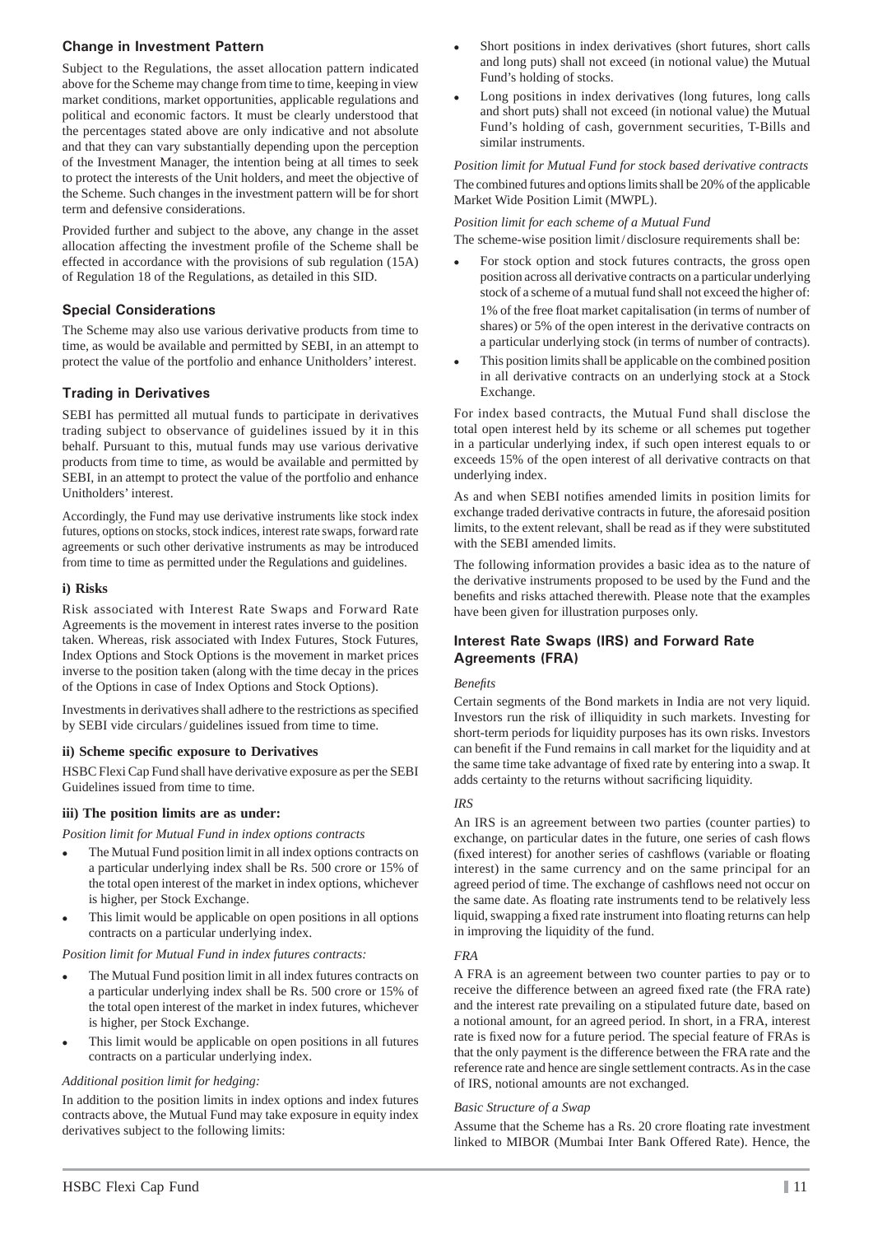#### **Change in Investment Pattern**

Subject to the Regulations, the asset allocation pattern indicated above for the Scheme may change from time to time, keeping in view market conditions, market opportunities, applicable regulations and political and economic factors. It must be clearly understood that the percentages stated above are only indicative and not absolute and that they can vary substantially depending upon the perception of the Investment Manager, the intention being at all times to seek to protect the interests of the Unit holders, and meet the objective of the Scheme. Such changes in the investment pattern will be for short term and defensive considerations.

Provided further and subject to the above, any change in the asset allocation affecting the investment profile of the Scheme shall be effected in accordance with the provisions of sub regulation (15A) of Regulation 18 of the Regulations, as detailed in this SID.

#### **Special Considerations**

The Scheme may also use various derivative products from time to time, as would be available and permitted by SEBI, in an attempt to protect the value of the portfolio and enhance Unitholders' interest.

## **Trading in Derivatives**

SEBI has permitted all mutual funds to participate in derivatives trading subject to observance of guidelines issued by it in this behalf. Pursuant to this, mutual funds may use various derivative products from time to time, as would be available and permitted by SEBI, in an attempt to protect the value of the portfolio and enhance Unitholders' interest.

Accordingly, the Fund may use derivative instruments like stock index futures, options on stocks, stock indices, interest rate swaps, forward rate agreements or such other derivative instruments as may be introduced from time to time as permitted under the Regulations and guidelines.

#### **i) Risks**

Risk associated with Interest Rate Swaps and Forward Rate Agreements is the movement in interest rates inverse to the position taken. Whereas, risk associated with Index Futures, Stock Futures, Index Options and Stock Options is the movement in market prices inverse to the position taken (along with the time decay in the prices of the Options in case of Index Options and Stock Options).

Investments in derivatives shall adhere to the restrictions as specified by SEBI vide circulars / guidelines issued from time to time.

#### **ii) Scheme specifi c exposure to Derivatives**

HSBC Flexi Cap Fund shall have derivative exposure as per the SEBI Guidelines issued from time to time.

#### **iii) The position limits are as under:**

*Position limit for Mutual Fund in index options contracts*

- The Mutual Fund position limit in all index options contracts on a particular underlying index shall be Rs. 500 crore or 15% of the total open interest of the market in index options, whichever is higher, per Stock Exchange.
- This limit would be applicable on open positions in all options contracts on a particular underlying index.

#### *Position limit for Mutual Fund in index futures contracts:*

- The Mutual Fund position limit in all index futures contracts on a particular underlying index shall be Rs. 500 crore or 15% of the total open interest of the market in index futures, whichever is higher, per Stock Exchange.
- This limit would be applicable on open positions in all futures contracts on a particular underlying index.

#### *Additional position limit for hedging:*

In addition to the position limits in index options and index futures contracts above, the Mutual Fund may take exposure in equity index derivatives subject to the following limits:

- Short positions in index derivatives (short futures, short calls and long puts) shall not exceed (in notional value) the Mutual Fund's holding of stocks.
- Long positions in index derivatives (long futures, long calls and short puts) shall not exceed (in notional value) the Mutual Fund's holding of cash, government securities, T-Bills and similar instruments.

*Position limit for Mutual Fund for stock based derivative contracts* The combined futures and options limits shall be 20% of the applicable Market Wide Position Limit (MWPL).

#### *Position limit for each scheme of a Mutual Fund*

The scheme-wise position limit/disclosure requirements shall be:

- For stock option and stock futures contracts, the gross open position across all derivative contracts on a particular underlying stock of a scheme of a mutual fund shall not exceed the higher of: 1% of the free float market capitalisation (in terms of number of shares) or 5% of the open interest in the derivative contracts on a particular underlying stock (in terms of number of contracts).
- This position limits shall be applicable on the combined position in all derivative contracts on an underlying stock at a Stock Exchange.

For index based contracts, the Mutual Fund shall disclose the total open interest held by its scheme or all schemes put together in a particular underlying index, if such open interest equals to or exceeds 15% of the open interest of all derivative contracts on that underlying index.

As and when SEBI notifies amended limits in position limits for exchange traded derivative contracts in future, the aforesaid position limits, to the extent relevant, shall be read as if they were substituted with the SEBI amended limits.

The following information provides a basic idea as to the nature of the derivative instruments proposed to be used by the Fund and the benefits and risks attached therewith. Please note that the examples have been given for illustration purposes only.

#### **Interest Rate Swaps (IRS) and Forward Rate Agreements (FRA)**

#### *Benefi ts*

Certain segments of the Bond markets in India are not very liquid. Investors run the risk of illiquidity in such markets. Investing for short-term periods for liquidity purposes has its own risks. Investors can benefit if the Fund remains in call market for the liquidity and at the same time take advantage of fixed rate by entering into a swap. It adds certainty to the returns without sacrificing liquidity.

#### *IRS*

An IRS is an agreement between two parties (counter parties) to exchange, on particular dates in the future, one series of cash flows (fixed interest) for another series of cashflows (variable or floating interest) in the same currency and on the same principal for an agreed period of time. The exchange of cashflows need not occur on the same date. As floating rate instruments tend to be relatively less liquid, swapping a fixed rate instrument into floating returns can help in improving the liquidity of the fund.

#### *FRA*

A FRA is an agreement between two counter parties to pay or to receive the difference between an agreed fixed rate (the FRA rate) and the interest rate prevailing on a stipulated future date, based on a notional amount, for an agreed period. In short, in a FRA, interest rate is fixed now for a future period. The special feature of FRAs is that the only payment is the difference between the FRA rate and the reference rate and hence are single settlement contracts. As in the case of IRS, notional amounts are not exchanged.

#### *Basic Structure of a Swap*

Assume that the Scheme has a Rs. 20 crore floating rate investment linked to MIBOR (Mumbai Inter Bank Offered Rate). Hence, the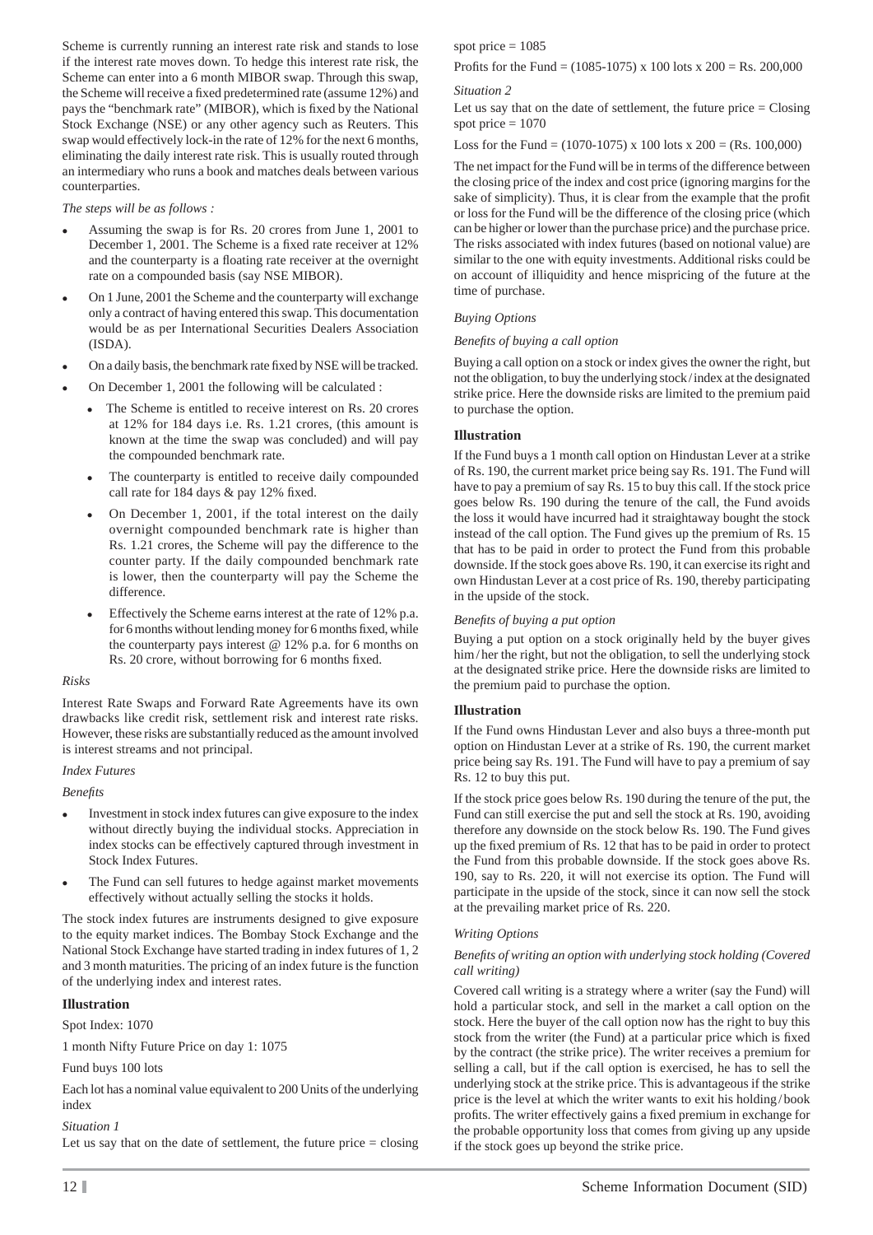Scheme is currently running an interest rate risk and stands to lose if the interest rate moves down. To hedge this interest rate risk, the Scheme can enter into a 6 month MIBOR swap. Through this swap, the Scheme will receive a fixed predetermined rate (assume 12%) and pays the "benchmark rate" (MIBOR), which is fixed by the National Stock Exchange (NSE) or any other agency such as Reuters. This swap would effectively lock-in the rate of 12% for the next 6 months, eliminating the daily interest rate risk. This is usually routed through an intermediary who runs a book and matches deals between various counterparties.

*The steps will be as follows :*

- Assuming the swap is for Rs. 20 crores from June 1, 2001 to December 1, 2001. The Scheme is a fixed rate receiver at 12% and the counterparty is a floating rate receiver at the overnight rate on a compounded basis (say NSE MIBOR).
- On 1 June, 2001 the Scheme and the counterparty will exchange only a contract of having entered this swap. This documentation would be as per International Securities Dealers Association (ISDA).
- On a daily basis, the benchmark rate fixed by NSE will be tracked.
- On December 1, 2001 the following will be calculated :
	- The Scheme is entitled to receive interest on Rs. 20 crores at 12% for 184 days i.e. Rs. 1.21 crores, (this amount is known at the time the swap was concluded) and will pay the compounded benchmark rate.
	- The counterparty is entitled to receive daily compounded call rate for 184 days  $&$  pay 12% fixed.
	- On December 1, 2001, if the total interest on the daily overnight compounded benchmark rate is higher than Rs. 1.21 crores, the Scheme will pay the difference to the counter party. If the daily compounded benchmark rate is lower, then the counterparty will pay the Scheme the difference.
	- Effectively the Scheme earns interest at the rate of 12% p.a. for 6 months without lending money for 6 months fixed, while the counterparty pays interest  $@ 12\%$  p.a. for 6 months on Rs. 20 crore, without borrowing for 6 months fixed.

#### *Risks*

Interest Rate Swaps and Forward Rate Agreements have its own drawbacks like credit risk, settlement risk and interest rate risks. However, these risks are substantially reduced as the amount involved is interest streams and not principal.

#### *Index Futures*

*Benefi ts*

- Investment in stock index futures can give exposure to the index without directly buying the individual stocks. Appreciation in index stocks can be effectively captured through investment in Stock Index Futures.
- The Fund can sell futures to hedge against market movements effectively without actually selling the stocks it holds.

The stock index futures are instruments designed to give exposure to the equity market indices. The Bombay Stock Exchange and the National Stock Exchange have started trading in index futures of 1, 2 and 3 month maturities. The pricing of an index future is the function of the underlying index and interest rates.

#### **Illustration**

Spot Index: 1070

1 month Nifty Future Price on day 1: 1075

#### Fund buys 100 lots

Each lot has a nominal value equivalent to 200 Units of the underlying index

#### *Situation 1*

Let us say that on the date of settlement, the future price  $=$  closing

spot price  $= 1085$ 

Profits for the Fund =  $(1085-1075)$  x 100 lots x 200 = Rs. 200,000

#### *Situation 2*

Let us say that on the date of settlement, the future price  $=$  Closing spot price  $= 1070$ 

Loss for the Fund = (1070-1075) x 100 lots x 200 = (Rs. 100,000)

The net impact for the Fund will be in terms of the difference between the closing price of the index and cost price (ignoring margins for the sake of simplicity). Thus, it is clear from the example that the profit or loss for the Fund will be the difference of the closing price (which can be higher or lower than the purchase price) and the purchase price. The risks associated with index futures (based on notional value) are similar to the one with equity investments. Additional risks could be on account of illiquidity and hence mispricing of the future at the time of purchase.

#### *Buying Options*

#### *Benefi ts of buying a call option*

Buying a call option on a stock or index gives the owner the right, but not the obligation, to buy the underlying stock / index at the designated strike price. Here the downside risks are limited to the premium paid to purchase the option.

#### **Illustration**

If the Fund buys a 1 month call option on Hindustan Lever at a strike of Rs. 190, the current market price being say Rs. 191. The Fund will have to pay a premium of say Rs. 15 to buy this call. If the stock price goes below Rs. 190 during the tenure of the call, the Fund avoids the loss it would have incurred had it straightaway bought the stock instead of the call option. The Fund gives up the premium of Rs. 15 that has to be paid in order to protect the Fund from this probable downside. If the stock goes above Rs. 190, it can exercise its right and own Hindustan Lever at a cost price of Rs. 190, thereby participating in the upside of the stock.

#### *Benefi ts of buying a put option*

Buying a put option on a stock originally held by the buyer gives him/her the right, but not the obligation, to sell the underlying stock at the designated strike price. Here the downside risks are limited to the premium paid to purchase the option.

#### **Illustration**

If the Fund owns Hindustan Lever and also buys a three-month put option on Hindustan Lever at a strike of Rs. 190, the current market price being say Rs. 191. The Fund will have to pay a premium of say Rs. 12 to buy this put.

If the stock price goes below Rs. 190 during the tenure of the put, the Fund can still exercise the put and sell the stock at Rs. 190, avoiding therefore any downside on the stock below Rs. 190. The Fund gives up the fi xed premium of Rs. 12 that has to be paid in order to protect the Fund from this probable downside. If the stock goes above Rs. 190, say to Rs. 220, it will not exercise its option. The Fund will participate in the upside of the stock, since it can now sell the stock at the prevailing market price of Rs. 220.

#### *Writing Options*

#### *Benefi ts of writing an option with underlying stock holding (Covered call writing)*

Covered call writing is a strategy where a writer (say the Fund) will hold a particular stock, and sell in the market a call option on the stock. Here the buyer of the call option now has the right to buy this stock from the writer (the Fund) at a particular price which is fixed by the contract (the strike price). The writer receives a premium for selling a call, but if the call option is exercised, he has to sell the underlying stock at the strike price. This is advantageous if the strike price is the level at which the writer wants to exit his holding / book profits. The writer effectively gains a fixed premium in exchange for the probable opportunity loss that comes from giving up any upside if the stock goes up beyond the strike price.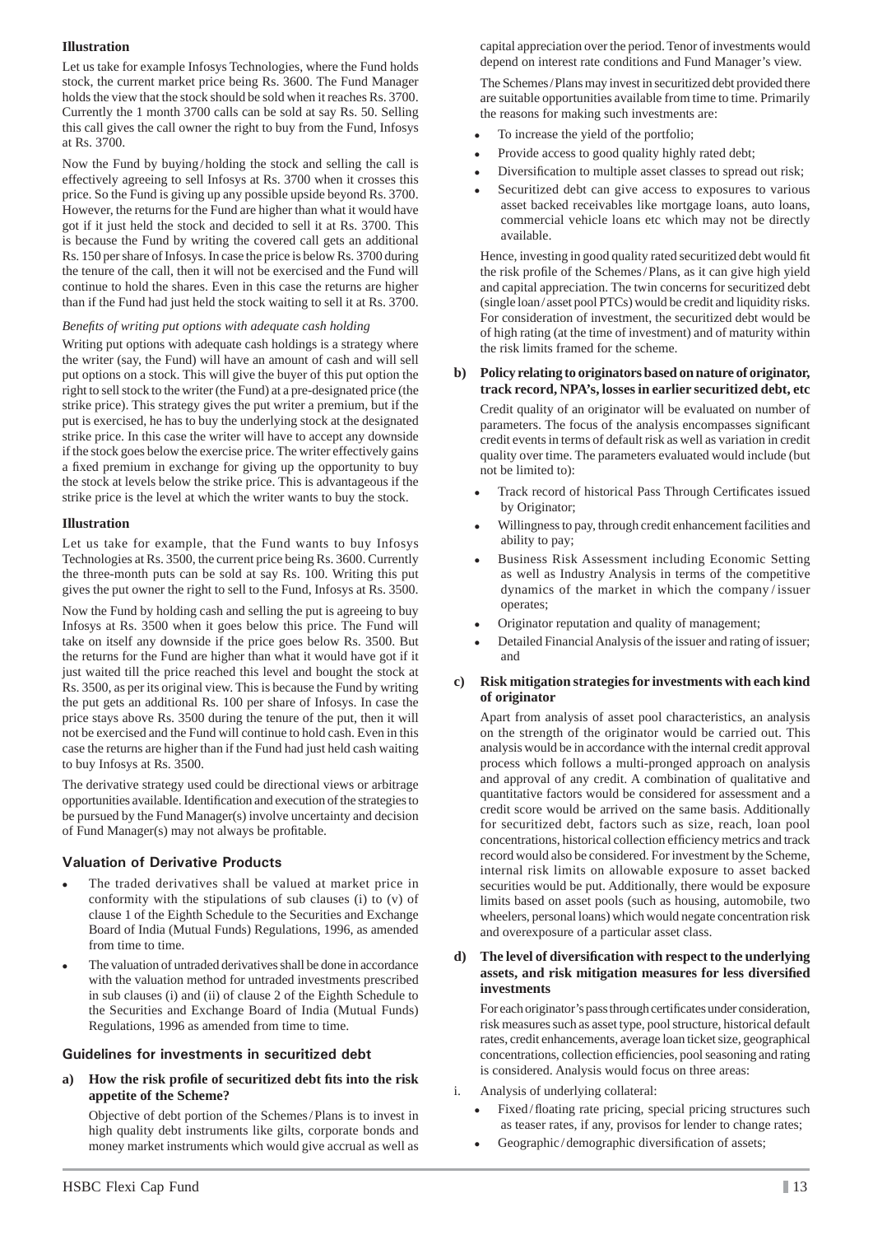#### **Illustration**

Let us take for example Infosys Technologies, where the Fund holds stock, the current market price being Rs. 3600. The Fund Manager holds the view that the stock should be sold when it reaches Rs. 3700. Currently the 1 month 3700 calls can be sold at say Rs. 50. Selling this call gives the call owner the right to buy from the Fund, Infosys at Rs. 3700.

Now the Fund by buying / holding the stock and selling the call is effectively agreeing to sell Infosys at Rs. 3700 when it crosses this price. So the Fund is giving up any possible upside beyond Rs. 3700. However, the returns for the Fund are higher than what it would have got if it just held the stock and decided to sell it at Rs. 3700. This is because the Fund by writing the covered call gets an additional Rs. 150 per share of Infosys. In case the price is below Rs. 3700 during the tenure of the call, then it will not be exercised and the Fund will continue to hold the shares. Even in this case the returns are higher than if the Fund had just held the stock waiting to sell it at Rs. 3700.

#### *Benefi ts of writing put options with adequate cash holding*

Writing put options with adequate cash holdings is a strategy where the writer (say, the Fund) will have an amount of cash and will sell put options on a stock. This will give the buyer of this put option the right to sell stock to the writer (the Fund) at a pre-designated price (the strike price). This strategy gives the put writer a premium, but if the put is exercised, he has to buy the underlying stock at the designated strike price. In this case the writer will have to accept any downside if the stock goes below the exercise price. The writer effectively gains a fixed premium in exchange for giving up the opportunity to buy the stock at levels below the strike price. This is advantageous if the strike price is the level at which the writer wants to buy the stock.

#### **Illustration**

Let us take for example, that the Fund wants to buy Infosys Technologies at Rs. 3500, the current price being Rs. 3600. Currently the three-month puts can be sold at say Rs. 100. Writing this put gives the put owner the right to sell to the Fund, Infosys at Rs. 3500.

Now the Fund by holding cash and selling the put is agreeing to buy Infosys at Rs. 3500 when it goes below this price. The Fund will take on itself any downside if the price goes below Rs. 3500. But the returns for the Fund are higher than what it would have got if it just waited till the price reached this level and bought the stock at Rs. 3500, as per its original view. This is because the Fund by writing the put gets an additional Rs. 100 per share of Infosys. In case the price stays above Rs. 3500 during the tenure of the put, then it will not be exercised and the Fund will continue to hold cash. Even in this case the returns are higher than if the Fund had just held cash waiting to buy Infosys at Rs. 3500.

The derivative strategy used could be directional views or arbitrage opportunities available. Identification and execution of the strategies to be pursued by the Fund Manager(s) involve uncertainty and decision of Fund Manager(s) may not always be profitable.

## **Valuation of Derivative Products**

- The traded derivatives shall be valued at market price in conformity with the stipulations of sub clauses (i) to (v) of clause 1 of the Eighth Schedule to the Securities and Exchange Board of India (Mutual Funds) Regulations, 1996, as amended from time to time.
- The valuation of untraded derivatives shall be done in accordance with the valuation method for untraded investments prescribed in sub clauses (i) and (ii) of clause 2 of the Eighth Schedule to the Securities and Exchange Board of India (Mutual Funds) Regulations, 1996 as amended from time to time.

#### **Guidelines for investments in securitized debt**

**a) How the risk profi le of securitized debt fi ts into the risk appetite of the Scheme?**

 Objective of debt portion of the Schemes / Plans is to invest in high quality debt instruments like gilts, corporate bonds and money market instruments which would give accrual as well as

capital appreciation over the period. Tenor of investments would depend on interest rate conditions and Fund Manager's view.

 The Schemes / Plans may invest in securitized debt provided there are suitable opportunities available from time to time. Primarily the reasons for making such investments are:

- To increase the yield of the portfolio;
- Provide access to good quality highly rated debt;
- Diversification to multiple asset classes to spread out risk;
- Securitized debt can give access to exposures to various asset backed receivables like mortgage loans, auto loans, commercial vehicle loans etc which may not be directly available.

Hence, investing in good quality rated securitized debt would fit the risk profile of the Schemes/Plans, as it can give high yield and capital appreciation. The twin concerns for securitized debt (single loan / asset pool PTCs) would be credit and liquidity risks. For consideration of investment, the securitized debt would be of high rating (at the time of investment) and of maturity within the risk limits framed for the scheme.

#### **b) Policy relating to originators based on nature of originator, track record, NPA's, losses in earlier securitized debt, etc**

 Credit quality of an originator will be evaluated on number of parameters. The focus of the analysis encompasses significant credit events in terms of default risk as well as variation in credit quality over time. The parameters evaluated would include (but not be limited to):

- Track record of historical Pass Through Certificates issued by Originator;
- Willingness to pay, through credit enhancement facilities and ability to pay;
- Business Risk Assessment including Economic Setting as well as Industry Analysis in terms of the competitive dynamics of the market in which the company / issuer operates;
- Originator reputation and quality of management;
- Detailed Financial Analysis of the issuer and rating of issuer; and
- **c) Risk mitigation strategies for investments with each kind of originator**

 Apart from analysis of asset pool characteristics, an analysis on the strength of the originator would be carried out. This analysis would be in accordance with the internal credit approval process which follows a multi-pronged approach on analysis and approval of any credit. A combination of qualitative and quantitative factors would be considered for assessment and a credit score would be arrived on the same basis. Additionally for securitized debt, factors such as size, reach, loan pool concentrations, historical collection efficiency metrics and track record would also be considered. For investment by the Scheme, internal risk limits on allowable exposure to asset backed securities would be put. Additionally, there would be exposure limits based on asset pools (such as housing, automobile, two wheelers, personal loans) which would negate concentration risk and overexposure of a particular asset class.

#### **d) The level of diversifi cation with respect to the underlying assets, and risk mitigation measures for less diversifi ed investments**

For each originator's pass through certificates under consideration, risk measures such as asset type, pool structure, historical default rates, credit enhancements, average loan ticket size, geographical concentrations, collection efficiencies, pool seasoning and rating is considered. Analysis would focus on three areas:

- i. Analysis of underlying collateral:
	- Fixed/floating rate pricing, special pricing structures such as teaser rates, if any, provisos for lender to change rates;
	- Geographic/demographic diversification of assets;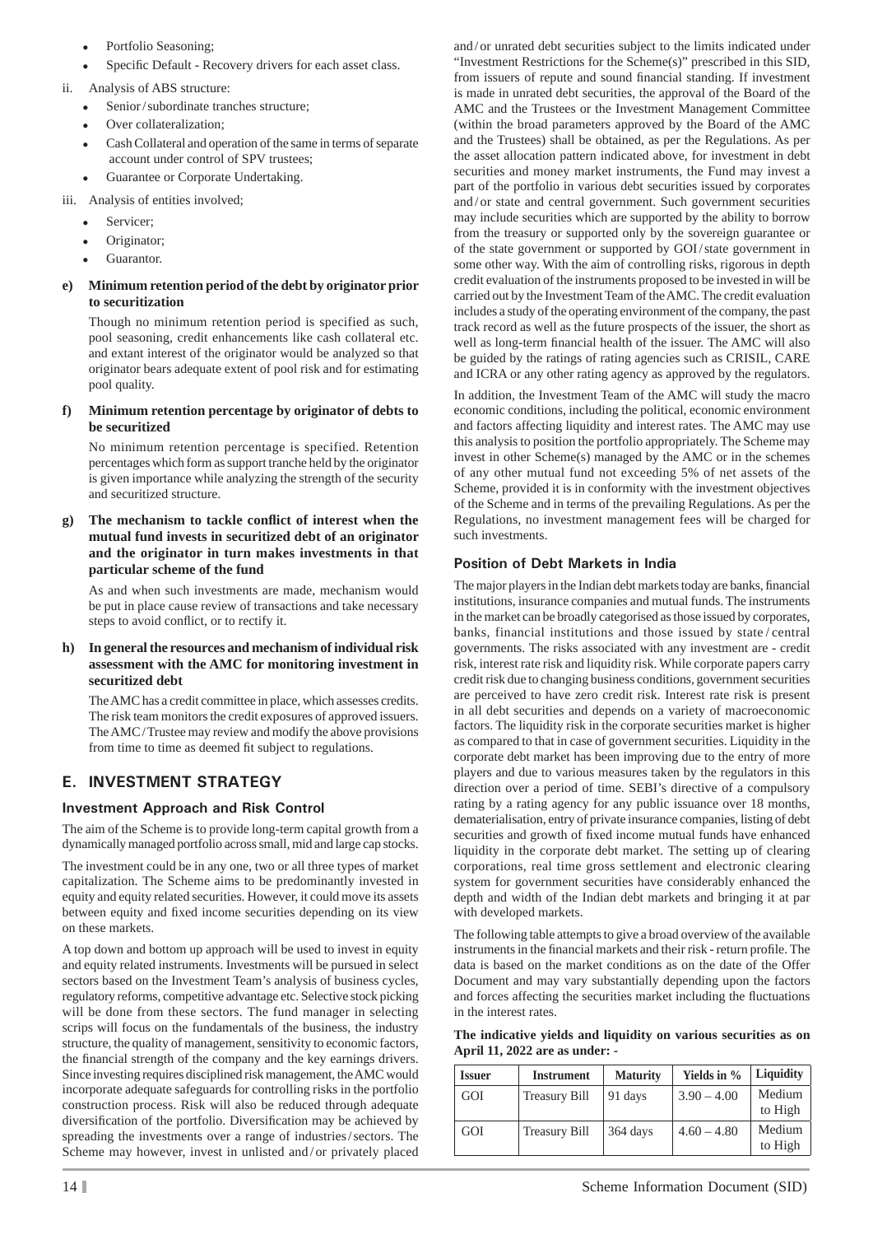- Portfolio Seasoning;
- Specific Default Recovery drivers for each asset class.
- ii. Analysis of ABS structure:
	- Senior / subordinate tranches structure;
	- Over collateralization;
	- Cash Collateral and operation of the same in terms of separate account under control of SPV trustees;
	- Guarantee or Corporate Undertaking.
- iii. Analysis of entities involved;
	- Servicer;
	- Originator;
	- Guarantor.

#### **e) Minimum retention period of the debt by originator prior to securitization**

 Though no minimum retention period is specified as such, pool seasoning, credit enhancements like cash collateral etc. and extant interest of the originator would be analyzed so that originator bears adequate extent of pool risk and for estimating pool quality.

#### **f) Minimum retention percentage by originator of debts to be securitized**

 No minimum retention percentage is specified. Retention percentages which form as support tranche held by the originator is given importance while analyzing the strength of the security and securitized structure.

#### The mechanism to tackle conflict of interest when the **mutual fund invests in securitized debt of an originator and the originator in turn makes investments in that particular scheme of the fund**

 As and when such investments are made, mechanism would be put in place cause review of transactions and take necessary steps to avoid conflict, or to rectify it.

#### **h) In general the resources and mechanism of individual risk assessment with the AMC for monitoring investment in securitized debt**

 The AMC has a credit committee in place, which assesses credits. The risk team monitors the credit exposures of approved issuers. The AMC/Trustee may review and modify the above provisions from time to time as deemed fit subject to regulations.

## **E. INVESTMENT STRATEGY**

## **Investment Approach and Risk Control**

The aim of the Scheme is to provide long-term capital growth from a dynamically managed portfolio across small, mid and large cap stocks.

The investment could be in any one, two or all three types of market capitalization. The Scheme aims to be predominantly invested in equity and equity related securities. However, it could move its assets between equity and fixed income securities depending on its view on these markets.

A top down and bottom up approach will be used to invest in equity and equity related instruments. Investments will be pursued in select sectors based on the Investment Team's analysis of business cycles, regulatory reforms, competitive advantage etc. Selective stock picking will be done from these sectors. The fund manager in selecting scrips will focus on the fundamentals of the business, the industry structure, the quality of management, sensitivity to economic factors, the financial strength of the company and the key earnings drivers. Since investing requires disciplined risk management, the AMC would incorporate adequate safeguards for controlling risks in the portfolio construction process. Risk will also be reduced through adequate diversification of the portfolio. Diversification may be achieved by spreading the investments over a range of industries / sectors. The Scheme may however, invest in unlisted and / or privately placed

and / or unrated debt securities subject to the limits indicated under "Investment Restrictions for the Scheme(s)" prescribed in this SID, from issuers of repute and sound financial standing. If investment is made in unrated debt securities, the approval of the Board of the AMC and the Trustees or the Investment Management Committee (within the broad parameters approved by the Board of the AMC and the Trustees) shall be obtained, as per the Regulations. As per the asset allocation pattern indicated above, for investment in debt securities and money market instruments, the Fund may invest a part of the portfolio in various debt securities issued by corporates and/or state and central government. Such government securities may include securities which are supported by the ability to borrow from the treasury or supported only by the sovereign guarantee or of the state government or supported by GOI / state government in some other way. With the aim of controlling risks, rigorous in depth credit evaluation of the instruments proposed to be invested in will be carried out by the Investment Team of the AMC. The credit evaluation includes a study of the operating environment of the company, the past track record as well as the future prospects of the issuer, the short as well as long-term financial health of the issuer. The AMC will also be guided by the ratings of rating agencies such as CRISIL, CARE and ICRA or any other rating agency as approved by the regulators.

In addition, the Investment Team of the AMC will study the macro economic conditions, including the political, economic environment and factors affecting liquidity and interest rates. The AMC may use this analysis to position the portfolio appropriately. The Scheme may invest in other Scheme(s) managed by the AMC or in the schemes of any other mutual fund not exceeding 5% of net assets of the Scheme, provided it is in conformity with the investment objectives of the Scheme and in terms of the prevailing Regulations. As per the Regulations, no investment management fees will be charged for such investments.

## **Position of Debt Markets in India**

The major players in the Indian debt markets today are banks, financial institutions, insurance companies and mutual funds. The instruments in the market can be broadly categorised as those issued by corporates, banks, financial institutions and those issued by state / central governments. The risks associated with any investment are - credit risk, interest rate risk and liquidity risk. While corporate papers carry credit risk due to changing business conditions, government securities are perceived to have zero credit risk. Interest rate risk is present in all debt securities and depends on a variety of macroeconomic factors. The liquidity risk in the corporate securities market is higher as compared to that in case of government securities. Liquidity in the corporate debt market has been improving due to the entry of more players and due to various measures taken by the regulators in this direction over a period of time. SEBI's directive of a compulsory rating by a rating agency for any public issuance over 18 months, dematerialisation, entry of private insurance companies, listing of debt securities and growth of fixed income mutual funds have enhanced liquidity in the corporate debt market. The setting up of clearing corporations, real time gross settlement and electronic clearing system for government securities have considerably enhanced the depth and width of the Indian debt markets and bringing it at par with developed markets.

The following table attempts to give a broad overview of the available instruments in the financial markets and their risk - return profile. The data is based on the market conditions as on the date of the Offer Document and may vary substantially depending upon the factors and forces affecting the securities market including the fluctuations in the interest rates.

**The indicative yields and liquidity on various securities as on April 11, 2022 are as under: -** 

| <b>Issuer</b> | <b>Instrument</b>    | <b>Maturity</b> | Yields in %   | Liquidity         |
|---------------|----------------------|-----------------|---------------|-------------------|
| GOI           | <b>Treasury Bill</b> | 91 days         | $3.90 - 4.00$ | Medium<br>to High |
| GOI           | <b>Treasury Bill</b> | 364 days        | $4.60 - 4.80$ | Medium<br>to High |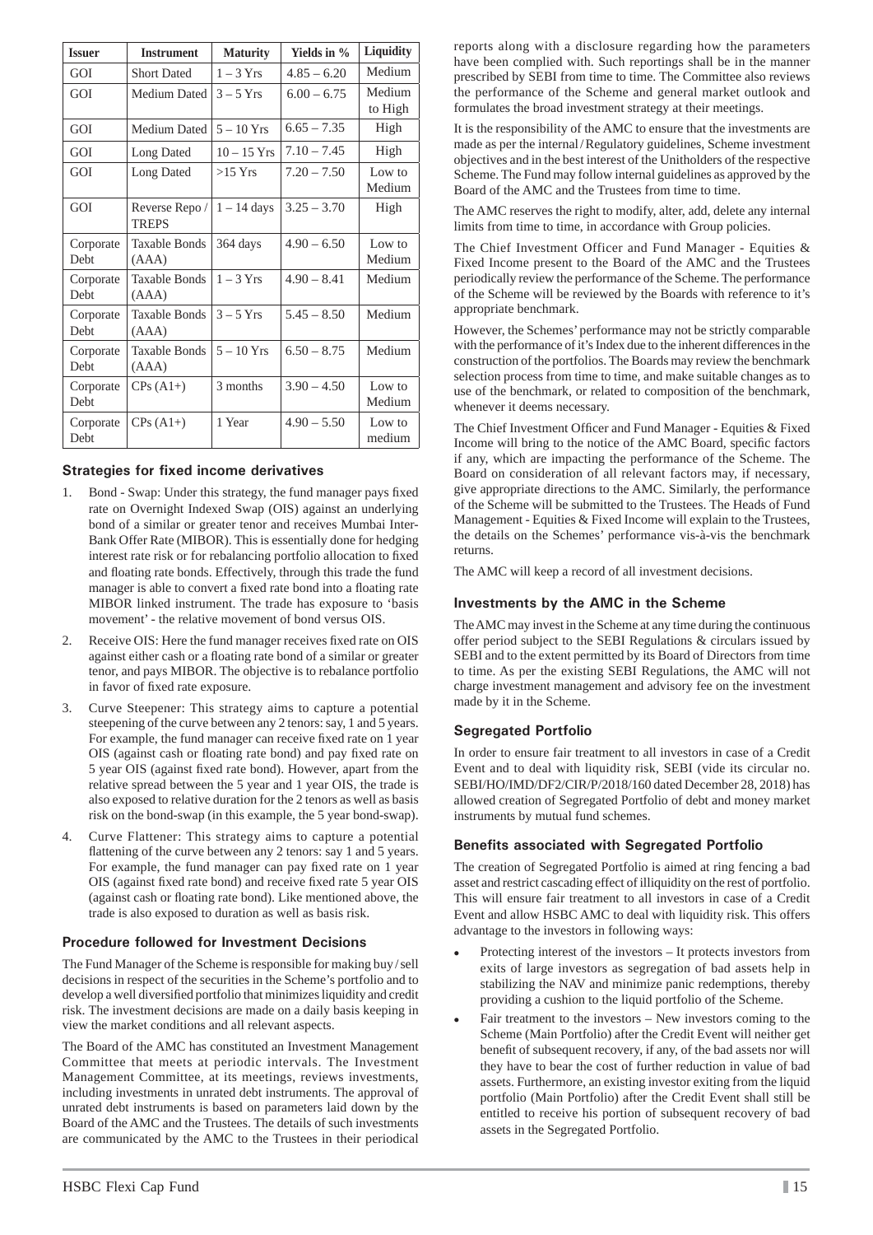| <b>Issuer</b>            | <b>Instrument</b>             | <b>Maturity</b> | Yields in %   | Liquidity         |
|--------------------------|-------------------------------|-----------------|---------------|-------------------|
| GOI                      | <b>Short Dated</b>            | $1 - 3$ Yrs     | $4.85 - 6.20$ | Medium            |
| GOI                      | Medium Dated                  | $3 - 5$ Yrs     | $6.00 - 6.75$ | Medium<br>to High |
| GOI                      | Medium Dated                  | $5 - 10$ Yrs    | $6.65 - 7.35$ | High              |
| GOI                      | Long Dated                    | $10 - 15$ Yrs   | $7.10 - 7.45$ | High              |
| GOI                      | Long Dated                    | $>15$ Yrs       | $7.20 - 7.50$ | Low to<br>Medium  |
| GOI                      | Reverse Repo/<br><b>TREPS</b> | $1 - 14$ days   | $3.25 - 3.70$ | High              |
| Corporate<br>Debt        | Taxable Bonds<br>(AAA)        | 364 days        | $4.90 - 6.50$ | Low to<br>Medium  |
| Corporate<br>Debt        | Taxable Bonds<br>(AAA)        | $1 - 3$ Yrs     | $4.90 - 8.41$ | Medium            |
| Corporate<br><b>Debt</b> | <b>Taxable Bonds</b><br>(AAA) | $3 - 5$ Yrs     | $5.45 - 8.50$ | Medium            |
| Corporate<br>Debt        | <b>Taxable Bonds</b><br>(AAA) | $5 - 10$ Yrs    | $6.50 - 8.75$ | Medium            |
| Corporate<br>Debt        | $CPs(A1+)$                    | 3 months        | $3.90 - 4.50$ | Low to<br>Medium  |
| Corporate<br>Debt        | $CPs(A1+)$                    | 1 Year          | $4.90 - 5.50$ | Low to<br>medium  |

### **Strategies for fixed income derivatives**

- 1. Bond Swap: Under this strategy, the fund manager pays fixed rate on Overnight Indexed Swap (OIS) against an underlying bond of a similar or greater tenor and receives Mumbai Inter-Bank Offer Rate (MIBOR). This is essentially done for hedging interest rate risk or for rebalancing portfolio allocation to fixed and floating rate bonds. Effectively, through this trade the fund manager is able to convert a fixed rate bond into a floating rate MIBOR linked instrument. The trade has exposure to 'basis movement' - the relative movement of bond versus OIS.
- 2. Receive OIS: Here the fund manager receives fixed rate on OIS against either cash or a floating rate bond of a similar or greater tenor, and pays MIBOR. The objective is to rebalance portfolio in favor of fixed rate exposure.
- 3. Curve Steepener: This strategy aims to capture a potential steepening of the curve between any 2 tenors: say, 1 and 5 years. For example, the fund manager can receive fixed rate on 1 year OIS (against cash or floating rate bond) and pay fixed rate on 5 year OIS (against fixed rate bond). However, apart from the relative spread between the 5 year and 1 year OIS, the trade is also exposed to relative duration for the 2 tenors as well as basis risk on the bond-swap (in this example, the 5 year bond-swap).
- 4. Curve Flattener: This strategy aims to capture a potential flattening of the curve between any 2 tenors: say 1 and 5 years. For example, the fund manager can pay fixed rate on 1 year OIS (against fixed rate bond) and receive fixed rate 5 year OIS (against cash or floating rate bond). Like mentioned above, the trade is also exposed to duration as well as basis risk.

#### **Procedure followed for Investment Decisions**

The Fund Manager of the Scheme is responsible for making buy / sell decisions in respect of the securities in the Scheme's portfolio and to develop a well diversified portfolio that minimizes liquidity and credit risk. The investment decisions are made on a daily basis keeping in view the market conditions and all relevant aspects.

The Board of the AMC has constituted an Investment Management Committee that meets at periodic intervals. The Investment Management Committee, at its meetings, reviews investments, including investments in unrated debt instruments. The approval of unrated debt instruments is based on parameters laid down by the Board of the AMC and the Trustees. The details of such investments are communicated by the AMC to the Trustees in their periodical

reports along with a disclosure regarding how the parameters have been complied with. Such reportings shall be in the manner prescribed by SEBI from time to time. The Committee also reviews the performance of the Scheme and general market outlook and formulates the broad investment strategy at their meetings.

It is the responsibility of the AMC to ensure that the investments are made as per the internal / Regulatory guidelines, Scheme investment objectives and in the best interest of the Unitholders of the respective Scheme. The Fund may follow internal guidelines as approved by the Board of the AMC and the Trustees from time to time.

The AMC reserves the right to modify, alter, add, delete any internal limits from time to time, in accordance with Group policies.

The Chief Investment Officer and Fund Manager - Equities & Fixed Income present to the Board of the AMC and the Trustees periodically review the performance of the Scheme. The performance of the Scheme will be reviewed by the Boards with reference to it's appropriate benchmark.

However, the Schemes' performance may not be strictly comparable with the performance of it's Index due to the inherent differences in the construction of the portfolios. The Boards may review the benchmark selection process from time to time, and make suitable changes as to use of the benchmark, or related to composition of the benchmark, whenever it deems necessary.

The Chief Investment Officer and Fund Manager - Equities & Fixed Income will bring to the notice of the AMC Board, specific factors if any, which are impacting the performance of the Scheme. The Board on consideration of all relevant factors may, if necessary, give appropriate directions to the AMC. Similarly, the performance of the Scheme will be submitted to the Trustees. The Heads of Fund Management - Equities & Fixed Income will explain to the Trustees, the details on the Schemes' performance vis-à-vis the benchmark returns.

The AMC will keep a record of all investment decisions.

### **Investments by the AMC in the Scheme**

The AMC may invest in the Scheme at any time during the continuous offer period subject to the SEBI Regulations & circulars issued by SEBI and to the extent permitted by its Board of Directors from time to time. As per the existing SEBI Regulations, the AMC will not charge investment management and advisory fee on the investment made by it in the Scheme.

## **Segregated Portfolio**

In order to ensure fair treatment to all investors in case of a Credit Event and to deal with liquidity risk, SEBI (vide its circular no. SEBI/HO/IMD/DF2/CIR/P/2018/160 dated December 28, 2018) has allowed creation of Segregated Portfolio of debt and money market instruments by mutual fund schemes.

#### **Benefits associated with Segregated Portfolio**

The creation of Segregated Portfolio is aimed at ring fencing a bad asset and restrict cascading effect of illiquidity on the rest of portfolio. This will ensure fair treatment to all investors in case of a Credit Event and allow HSBC AMC to deal with liquidity risk. This offers advantage to the investors in following ways:

- Protecting interest of the investors It protects investors from exits of large investors as segregation of bad assets help in stabilizing the NAV and minimize panic redemptions, thereby providing a cushion to the liquid portfolio of the Scheme.
- Fair treatment to the investors New investors coming to the Scheme (Main Portfolio) after the Credit Event will neither get benefit of subsequent recovery, if any, of the bad assets nor will they have to bear the cost of further reduction in value of bad assets. Furthermore, an existing investor exiting from the liquid portfolio (Main Portfolio) after the Credit Event shall still be entitled to receive his portion of subsequent recovery of bad assets in the Segregated Portfolio.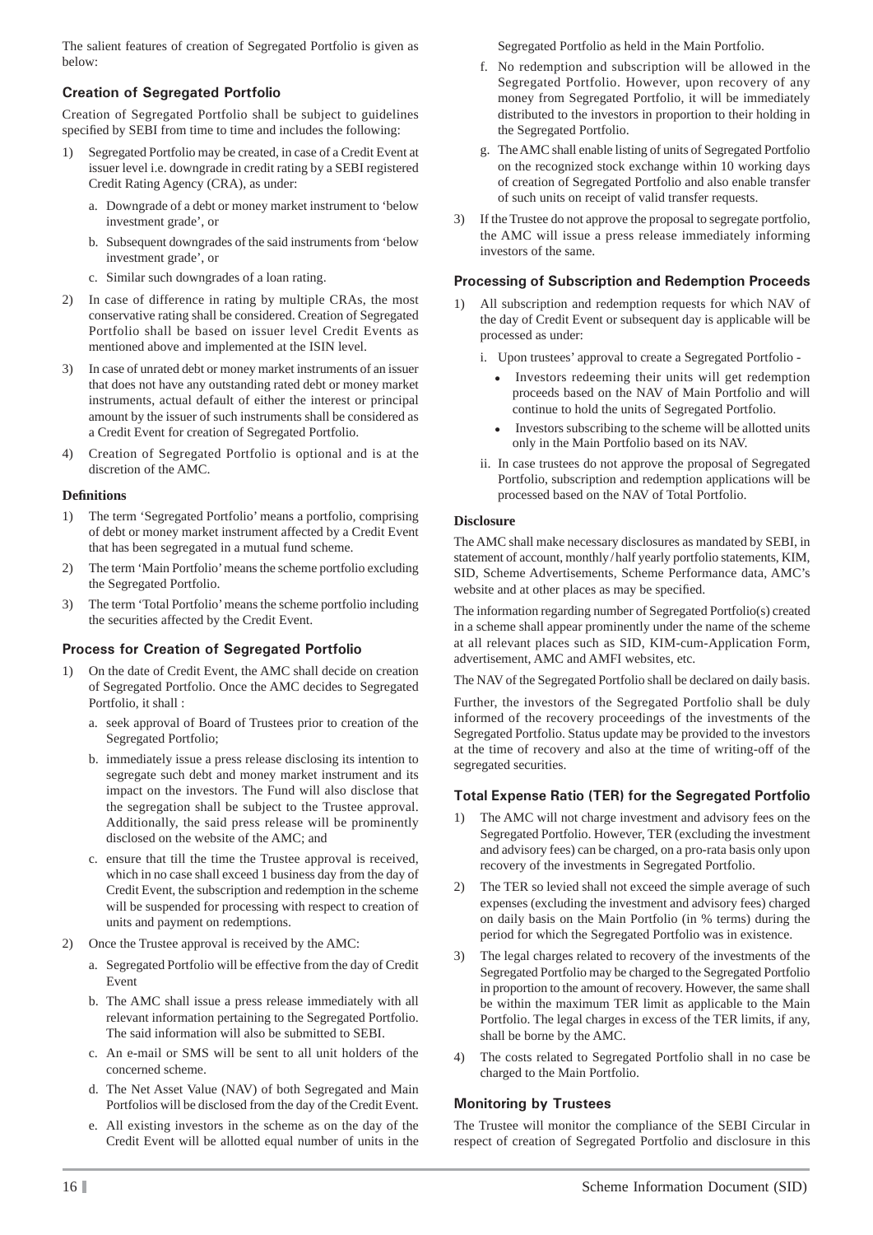The salient features of creation of Segregated Portfolio is given as below:

### **Creation of Segregated Portfolio**

Creation of Segregated Portfolio shall be subject to guidelines specified by SEBI from time to time and includes the following:

- 1) Segregated Portfolio may be created, in case of a Credit Event at issuer level i.e. downgrade in credit rating by a SEBI registered Credit Rating Agency (CRA), as under:
	- a. Downgrade of a debt or money market instrument to 'below investment grade', or
	- b. Subsequent downgrades of the said instruments from 'below investment grade', or
	- c. Similar such downgrades of a loan rating.
- 2) In case of difference in rating by multiple CRAs, the most conservative rating shall be considered. Creation of Segregated Portfolio shall be based on issuer level Credit Events as mentioned above and implemented at the ISIN level.
- 3) In case of unrated debt or money market instruments of an issuer that does not have any outstanding rated debt or money market instruments, actual default of either the interest or principal amount by the issuer of such instruments shall be considered as a Credit Event for creation of Segregated Portfolio.
- 4) Creation of Segregated Portfolio is optional and is at the discretion of the AMC.

#### **Defi nitions**

- 1) The term 'Segregated Portfolio' means a portfolio, comprising of debt or money market instrument affected by a Credit Event that has been segregated in a mutual fund scheme.
- 2) The term 'Main Portfolio' means the scheme portfolio excluding the Segregated Portfolio.
- 3) The term 'Total Portfolio' means the scheme portfolio including the securities affected by the Credit Event.

## **Process for Creation of Segregated Portfolio**

- 1) On the date of Credit Event, the AMC shall decide on creation of Segregated Portfolio. Once the AMC decides to Segregated Portfolio, it shall :
	- a. seek approval of Board of Trustees prior to creation of the Segregated Portfolio;
	- b. immediately issue a press release disclosing its intention to segregate such debt and money market instrument and its impact on the investors. The Fund will also disclose that the segregation shall be subject to the Trustee approval. Additionally, the said press release will be prominently disclosed on the website of the AMC; and
	- c. ensure that till the time the Trustee approval is received, which in no case shall exceed 1 business day from the day of Credit Event, the subscription and redemption in the scheme will be suspended for processing with respect to creation of units and payment on redemptions.
- 2) Once the Trustee approval is received by the AMC:
	- a. Segregated Portfolio will be effective from the day of Credit Event
	- b. The AMC shall issue a press release immediately with all relevant information pertaining to the Segregated Portfolio. The said information will also be submitted to SEBI.
	- c. An e-mail or SMS will be sent to all unit holders of the concerned scheme.
	- d. The Net Asset Value (NAV) of both Segregated and Main Portfolios will be disclosed from the day of the Credit Event.
	- e. All existing investors in the scheme as on the day of the Credit Event will be allotted equal number of units in the

Segregated Portfolio as held in the Main Portfolio.

- f. No redemption and subscription will be allowed in the Segregated Portfolio. However, upon recovery of any money from Segregated Portfolio, it will be immediately distributed to the investors in proportion to their holding in the Segregated Portfolio.
- g. The AMC shall enable listing of units of Segregated Portfolio on the recognized stock exchange within 10 working days of creation of Segregated Portfolio and also enable transfer of such units on receipt of valid transfer requests.
- 3) If the Trustee do not approve the proposal to segregate portfolio, the AMC will issue a press release immediately informing investors of the same.

### **Processing of Subscription and Redemption Proceeds**

- 1) All subscription and redemption requests for which NAV of the day of Credit Event or subsequent day is applicable will be processed as under:
	- i. Upon trustees' approval to create a Segregated Portfolio
		- Investors redeeming their units will get redemption proceeds based on the NAV of Main Portfolio and will continue to hold the units of Segregated Portfolio.
		- Investors subscribing to the scheme will be allotted units only in the Main Portfolio based on its NAV.
	- ii. In case trustees do not approve the proposal of Segregated Portfolio, subscription and redemption applications will be processed based on the NAV of Total Portfolio.

#### **Disclosure**

The AMC shall make necessary disclosures as mandated by SEBI, in statement of account, monthly / half yearly portfolio statements, KIM, SID, Scheme Advertisements, Scheme Performance data, AMC's website and at other places as may be specified.

The information regarding number of Segregated Portfolio(s) created in a scheme shall appear prominently under the name of the scheme at all relevant places such as SID, KIM-cum-Application Form, advertisement, AMC and AMFI websites, etc.

The NAV of the Segregated Portfolio shall be declared on daily basis.

Further, the investors of the Segregated Portfolio shall be duly informed of the recovery proceedings of the investments of the Segregated Portfolio. Status update may be provided to the investors at the time of recovery and also at the time of writing-off of the segregated securities.

## **Total Expense Ratio (TER) for the Segregated Portfolio**

- 1) The AMC will not charge investment and advisory fees on the Segregated Portfolio. However, TER (excluding the investment and advisory fees) can be charged, on a pro-rata basis only upon recovery of the investments in Segregated Portfolio.
- 2) The TER so levied shall not exceed the simple average of such expenses (excluding the investment and advisory fees) charged on daily basis on the Main Portfolio (in % terms) during the period for which the Segregated Portfolio was in existence.
- 3) The legal charges related to recovery of the investments of the Segregated Portfolio may be charged to the Segregated Portfolio in proportion to the amount of recovery. However, the same shall be within the maximum TER limit as applicable to the Main Portfolio. The legal charges in excess of the TER limits, if any, shall be borne by the AMC.
- 4) The costs related to Segregated Portfolio shall in no case be charged to the Main Portfolio.

## **Monitoring by Trustees**

The Trustee will monitor the compliance of the SEBI Circular in respect of creation of Segregated Portfolio and disclosure in this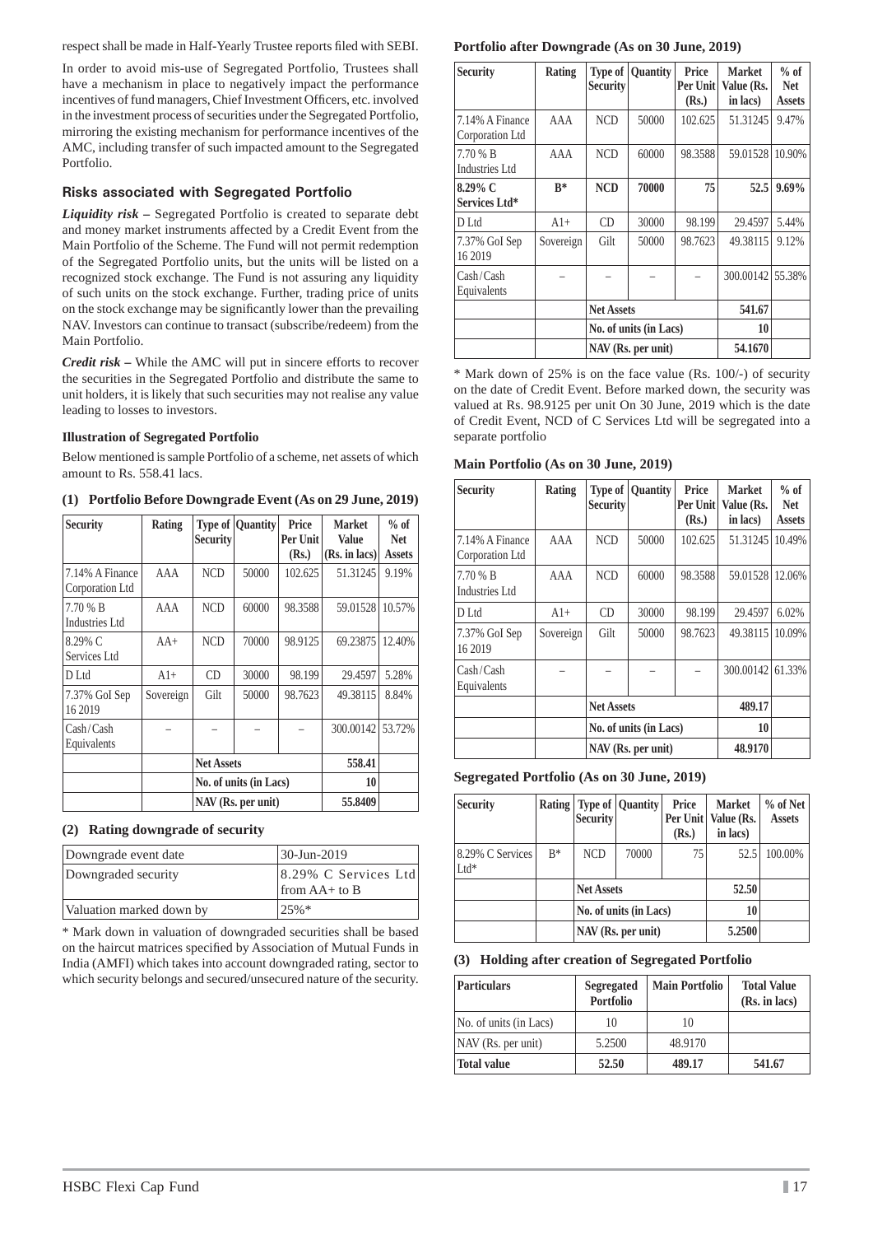respect shall be made in Half-Yearly Trustee reports filed with SEBI.

In order to avoid mis-use of Segregated Portfolio, Trustees shall have a mechanism in place to negatively impact the performance incentives of fund managers, Chief Investment Officers, etc. involved in the investment process of securities under the Segregated Portfolio, mirroring the existing mechanism for performance incentives of the AMC, including transfer of such impacted amount to the Segregated Portfolio.

### **Risks associated with Segregated Portfolio**

*Liquidity risk –* Segregated Portfolio is created to separate debt and money market instruments affected by a Credit Event from the Main Portfolio of the Scheme. The Fund will not permit redemption of the Segregated Portfolio units, but the units will be listed on a recognized stock exchange. The Fund is not assuring any liquidity of such units on the stock exchange. Further, trading price of units on the stock exchange may be significantly lower than the prevailing NAV. Investors can continue to transact (subscribe/redeem) from the Main Portfolio.

*Credit risk –* While the AMC will put in sincere efforts to recover the securities in the Segregated Portfolio and distribute the same to unit holders, it is likely that such securities may not realise any value leading to losses to investors.

### **Illustration of Segregated Portfolio**

Below mentioned is sample Portfolio of a scheme, net assets of which amount to Rs. 558.41 lacs.

| Security                           | Rating    | <b>Security</b>        | <b>Type of Ouantity</b> | Price<br>Per Unit<br>(Rs.) | <b>Market</b><br><b>Value</b><br>(Rs. in lacs) | $%$ of<br><b>Net</b><br><b>Assets</b> |
|------------------------------------|-----------|------------------------|-------------------------|----------------------------|------------------------------------------------|---------------------------------------|
| 7.14% A Finance<br>Corporation Ltd | AAA       | <b>NCD</b>             | 50000                   | 102.625                    | 51.31245                                       | 9.19%                                 |
| 7.70 % B<br><b>Industries Ltd</b>  | AAA       | <b>NCD</b>             | 60000                   | 98.3588                    | 59.01528                                       | 10.57%                                |
| 8.29% C<br>Services Ltd            | $AA+$     | <b>NCD</b>             | 70000                   | 98.9125                    | 69.23875                                       | 12.40%                                |
| D Ltd                              | $Al+$     | CD                     | 30000                   | 98.199                     | 29.4597                                        | 5.28%                                 |
| 7.37% GoI Sep<br>16 2019           | Sovereign | Gilt                   | 50000                   | 98.7623                    | 49.38115                                       | 8.84%                                 |
| Cash/Cash<br>Equivalents           |           |                        |                         |                            | 300.00142                                      | 53.72%                                |
|                                    |           | <b>Net Assets</b>      |                         |                            | 558.41                                         |                                       |
|                                    |           | No. of units (in Lacs) |                         |                            | 10                                             |                                       |
|                                    |           |                        | NAV (Rs. per unit)      |                            | 55,8409                                        |                                       |

**(1) Portfolio Before Downgrade Event (As on 29 June, 2019)**

## **(2) Rating downgrade of security**

| Downgrade event date     | 30-Jun-2019                                   |
|--------------------------|-----------------------------------------------|
| Downgraded security      | [8.29% C Services Ltd]<br>$\lim A + \infty B$ |
| Valuation marked down by | 25%                                           |

\* Mark down in valuation of downgraded securities shall be based on the haircut matrices specified by Association of Mutual Funds in India (AMFI) which takes into account downgraded rating, sector to which security belongs and secured/unsecured nature of the security.

## **Portfolio after Downgrade (As on 30 June, 2019)**

| <b>Security</b>                    | Rating    | Type of<br><b>Security</b> | Quantity | Price<br>Per Unit<br>(Rs.) | Market<br>Value (Rs.<br>in lacs) | $%$ of<br><b>Net</b><br><b>Assets</b> |
|------------------------------------|-----------|----------------------------|----------|----------------------------|----------------------------------|---------------------------------------|
| 7.14% A Finance<br>Corporation Ltd | AAA       | <b>NCD</b>                 | 50000    | 102.625                    | 51.31245                         | 9.47%                                 |
| 7.70 % B<br><b>Industries Ltd</b>  | AAA       | <b>NCD</b>                 | 60000    | 98.3588                    | 59.01528                         | 10.90%                                |
| $8.29\%$ C<br>Services Ltd*        | $R^*$     | <b>NCD</b>                 | 70000    | 75                         | 52.5                             | $9.69\%$                              |
| D Ltd                              | $A1+$     | CD                         | 30000    | 98.199                     | 29.4597                          | 5.44%                                 |
| 7.37% GoI Sep<br>16 2019           | Sovereign | Gilt                       | 50000    | 98.7623                    | 49.38115                         | 9.12%                                 |
| Cash / Cash<br>Equivalents         |           |                            |          |                            | 300.00142                        | 55.38%                                |
|                                    |           | <b>Net Assets</b>          |          |                            | 541.67                           |                                       |
|                                    |           | No. of units (in Lacs)     |          |                            | 10                               |                                       |
|                                    |           | NAV (Rs. per unit)         |          |                            | 54.1670                          |                                       |

\* Mark down of 25% is on the face value (Rs. 100/-) of security on the date of Credit Event. Before marked down, the security was valued at Rs. 98.9125 per unit On 30 June, 2019 which is the date of Credit Event, NCD of C Services Ltd will be segregated into a separate portfolio

| Main Portfolio (As on 30 June, 2019) |  |  |  |  |  |  |  |  |
|--------------------------------------|--|--|--|--|--|--|--|--|
|--------------------------------------|--|--|--|--|--|--|--|--|

| <b>Security</b>                    | Rating    | Type of<br><b>Security</b> | <b>Quantity</b>        | Price<br>Per Unit<br>(Rs.) | <b>Market</b><br>Value (Rs.<br>in lacs) | $%$ of<br><b>Net</b><br><b>Assets</b> |
|------------------------------------|-----------|----------------------------|------------------------|----------------------------|-----------------------------------------|---------------------------------------|
| 7.14% A Finance<br>Corporation Ltd | AAA       | <b>NCD</b>                 | 50000                  | 102.625                    | 51.31245                                | 10.49%                                |
| 7.70 % B<br>Industries Ltd         | AAA       | <b>NCD</b>                 | 60000                  | 98.3588                    | 59.01528                                | 12.06%                                |
| D Ltd                              | $A1+$     | CD                         | 30000                  | 98.199                     | 29.4597                                 | 6.02%                                 |
| 7.37% GoI Sep<br>16 2019           | Sovereign | Gilt                       | 50000                  | 98.7623                    | 49.38115                                | 10.09%                                |
| Cash / Cash<br>Equivalents         |           |                            |                        |                            | 300.00142                               | 61.33%                                |
|                                    |           | <b>Net Assets</b>          |                        | 489.17                     |                                         |                                       |
|                                    |           |                            | No. of units (in Lacs) | 10                         |                                         |                                       |
|                                    |           |                            | NAV (Rs. per unit)     |                            | 48.9170                                 |                                       |

**Segregated Portfolio (As on 30 June, 2019)**

| <b>Security</b>            |       | <b>Security</b>        | Rating   Type of   Quantity | Price<br>(Rs.) | <b>Market</b><br>Per Unit   Value (Rs.<br>in lacs) | % of Net<br><b>Assets</b> |
|----------------------------|-------|------------------------|-----------------------------|----------------|----------------------------------------------------|---------------------------|
| 8.29% C Services<br>$Ltd*$ | $R^*$ | <b>NCD</b>             | 70000                       | 75             | 52.5                                               | 100.00%                   |
|                            |       |                        | <b>Net Assets</b>           |                |                                                    |                           |
|                            |       | No. of units (in Lacs) |                             |                | 10                                                 |                           |
|                            |       |                        | NAV (Rs. per unit)          |                | 5.2500                                             |                           |

**(3) Holding after creation of Segregated Portfolio**

| <b>Particulars</b>     | Segregated<br>Portfolio | <b>Main Portfolio</b> | <b>Total Value</b><br>(Rs. in lacs) |
|------------------------|-------------------------|-----------------------|-------------------------------------|
| No. of units (in Lacs) | 10                      | 10                    |                                     |
| NAV (Rs. per unit)     | 5.2500                  | 48.9170               |                                     |
| Total value            | 52.50                   | 489.17                | 541.67                              |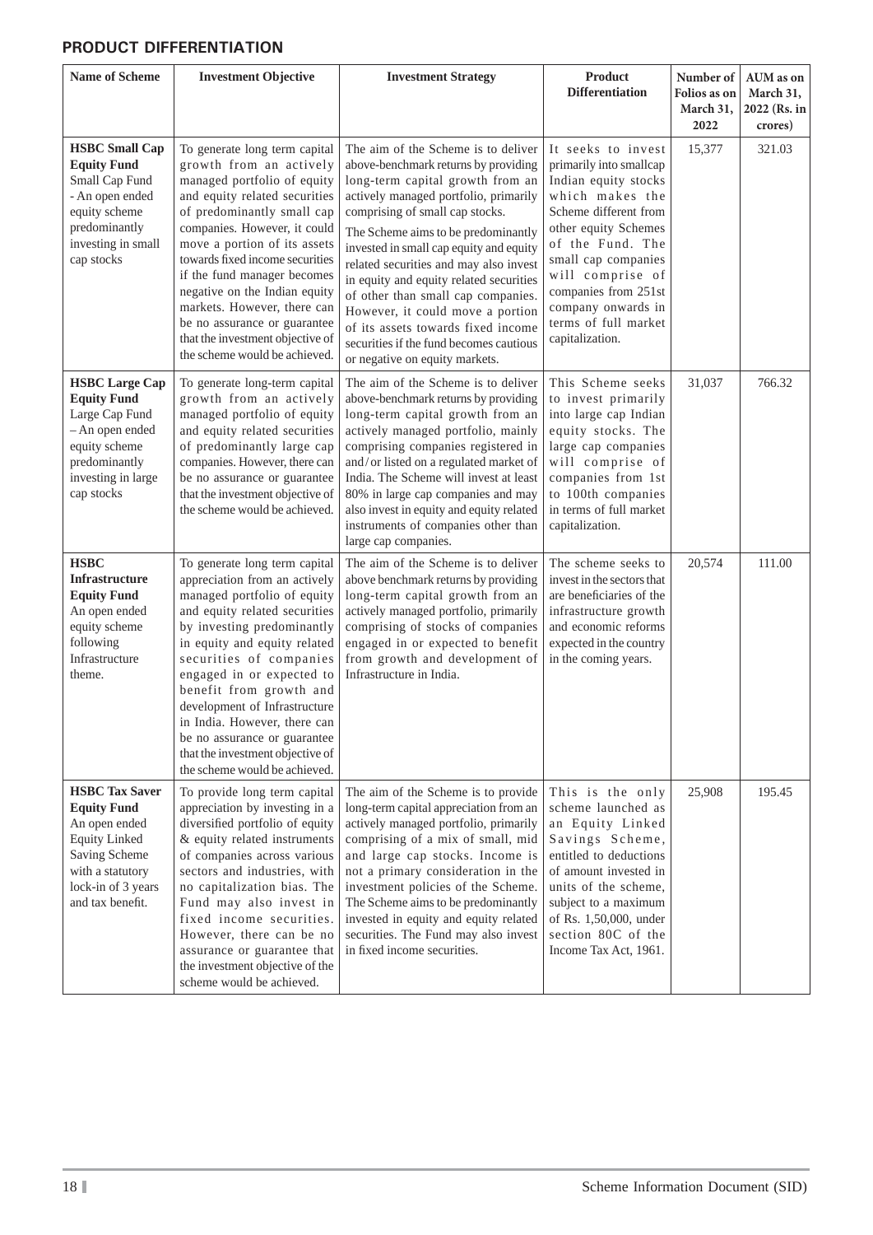## **PRODUCT DIFFERENTIATION**

| <b>Name of Scheme</b>                                                                                                                                               | <b>Investment Objective</b>                                                                                                                                                                                                                                                                                                                                                                                                                                   | <b>Investment Strategy</b>                                                                                                                                                                                                                                                                                                                                                                                                                                                                                                                                      | <b>Product</b><br><b>Differentiation</b>                                                                                                                                                                                                                                                          | Number of<br>Folios as on<br>March 31,<br>2022 | AUM as on<br>March 31,<br>2022 (Rs. in<br>crores) |
|---------------------------------------------------------------------------------------------------------------------------------------------------------------------|---------------------------------------------------------------------------------------------------------------------------------------------------------------------------------------------------------------------------------------------------------------------------------------------------------------------------------------------------------------------------------------------------------------------------------------------------------------|-----------------------------------------------------------------------------------------------------------------------------------------------------------------------------------------------------------------------------------------------------------------------------------------------------------------------------------------------------------------------------------------------------------------------------------------------------------------------------------------------------------------------------------------------------------------|---------------------------------------------------------------------------------------------------------------------------------------------------------------------------------------------------------------------------------------------------------------------------------------------------|------------------------------------------------|---------------------------------------------------|
| <b>HSBC Small Cap</b><br><b>Equity Fund</b><br>Small Cap Fund<br>- An open ended<br>equity scheme<br>predominantly<br>investing in small<br>cap stocks              | To generate long term capital<br>growth from an actively<br>managed portfolio of equity<br>and equity related securities<br>of predominantly small cap<br>companies. However, it could<br>move a portion of its assets<br>towards fixed income securities<br>if the fund manager becomes<br>negative on the Indian equity<br>markets. However, there can<br>be no assurance or guarantee<br>that the investment objective of<br>the scheme would be achieved. | The aim of the Scheme is to deliver<br>above-benchmark returns by providing<br>long-term capital growth from an<br>actively managed portfolio, primarily<br>comprising of small cap stocks.<br>The Scheme aims to be predominantly<br>invested in small cap equity and equity<br>related securities and may also invest<br>in equity and equity related securities<br>of other than small cap companies.<br>However, it could move a portion<br>of its assets towards fixed income<br>securities if the fund becomes cautious<br>or negative on equity markets. | It seeks to invest<br>primarily into smallcap<br>Indian equity stocks<br>which makes the<br>Scheme different from<br>other equity Schemes<br>of the Fund. The<br>small cap companies<br>will comprise of<br>companies from 251st<br>company onwards in<br>terms of full market<br>capitalization. | 15,377                                         | 321.03                                            |
| <b>HSBC Large Cap</b><br><b>Equity Fund</b><br>Large Cap Fund<br>- An open ended<br>equity scheme<br>predominantly<br>investing in large<br>cap stocks              | To generate long-term capital<br>growth from an actively<br>managed portfolio of equity<br>and equity related securities<br>of predominantly large cap<br>companies. However, there can<br>be no assurance or guarantee<br>that the investment objective of<br>the scheme would be achieved.                                                                                                                                                                  | The aim of the Scheme is to deliver<br>above-benchmark returns by providing<br>long-term capital growth from an<br>actively managed portfolio, mainly<br>comprising companies registered in<br>and/or listed on a regulated market of<br>India. The Scheme will invest at least<br>80% in large cap companies and may<br>also invest in equity and equity related<br>instruments of companies other than<br>large cap companies.                                                                                                                                | This Scheme seeks<br>to invest primarily<br>into large cap Indian<br>equity stocks. The<br>large cap companies<br>will comprise of<br>companies from 1st<br>to 100th companies<br>in terms of full market<br>capitalization.                                                                      | 31,037                                         | 766.32                                            |
| <b>HSBC</b><br>Infrastructure<br><b>Equity Fund</b><br>An open ended<br>equity scheme<br>following<br>Infrastructure<br>theme.                                      | To generate long term capital<br>appreciation from an actively<br>managed portfolio of equity<br>and equity related securities<br>by investing predominantly<br>in equity and equity related<br>securities of companies<br>engaged in or expected to<br>benefit from growth and<br>development of Infrastructure<br>in India. However, there can<br>be no assurance or guarantee<br>that the investment objective of<br>the scheme would be achieved.         | The aim of the Scheme is to deliver<br>above benchmark returns by providing<br>long-term capital growth from an<br>actively managed portfolio, primarily<br>comprising of stocks of companies<br>engaged in or expected to benefit<br>from growth and development of<br>Infrastructure in India.                                                                                                                                                                                                                                                                | The scheme seeks to<br>invest in the sectors that<br>are beneficiaries of the<br>infrastructure growth<br>and economic reforms<br>expected in the country<br>in the coming years.                                                                                                                 | 20,574                                         | 111.00                                            |
| <b>HSBC Tax Saver</b><br><b>Equity Fund</b><br>An open ended<br><b>Equity Linked</b><br>Saving Scheme<br>with a statutory<br>lock-in of 3 years<br>and tax benefit. | To provide long term capital<br>appreciation by investing in a<br>diversified portfolio of equity<br>& equity related instruments<br>of companies across various<br>sectors and industries, with<br>no capitalization bias. The<br>Fund may also invest in<br>fixed income securities.<br>However, there can be no<br>assurance or guarantee that<br>the investment objective of the<br>scheme would be achieved.                                             | The aim of the Scheme is to provide<br>long-term capital appreciation from an<br>actively managed portfolio, primarily<br>comprising of a mix of small, mid<br>and large cap stocks. Income is<br>not a primary consideration in the<br>investment policies of the Scheme.<br>The Scheme aims to be predominantly<br>invested in equity and equity related<br>securities. The Fund may also invest<br>in fixed income securities.                                                                                                                               | This is the only<br>scheme launched as<br>an Equity Linked<br>Savings Scheme,<br>entitled to deductions<br>of amount invested in<br>units of the scheme,<br>subject to a maximum<br>of Rs. 1,50,000, under<br>section 80C of the<br>Income Tax Act, 1961.                                         | 25,908                                         | 195.45                                            |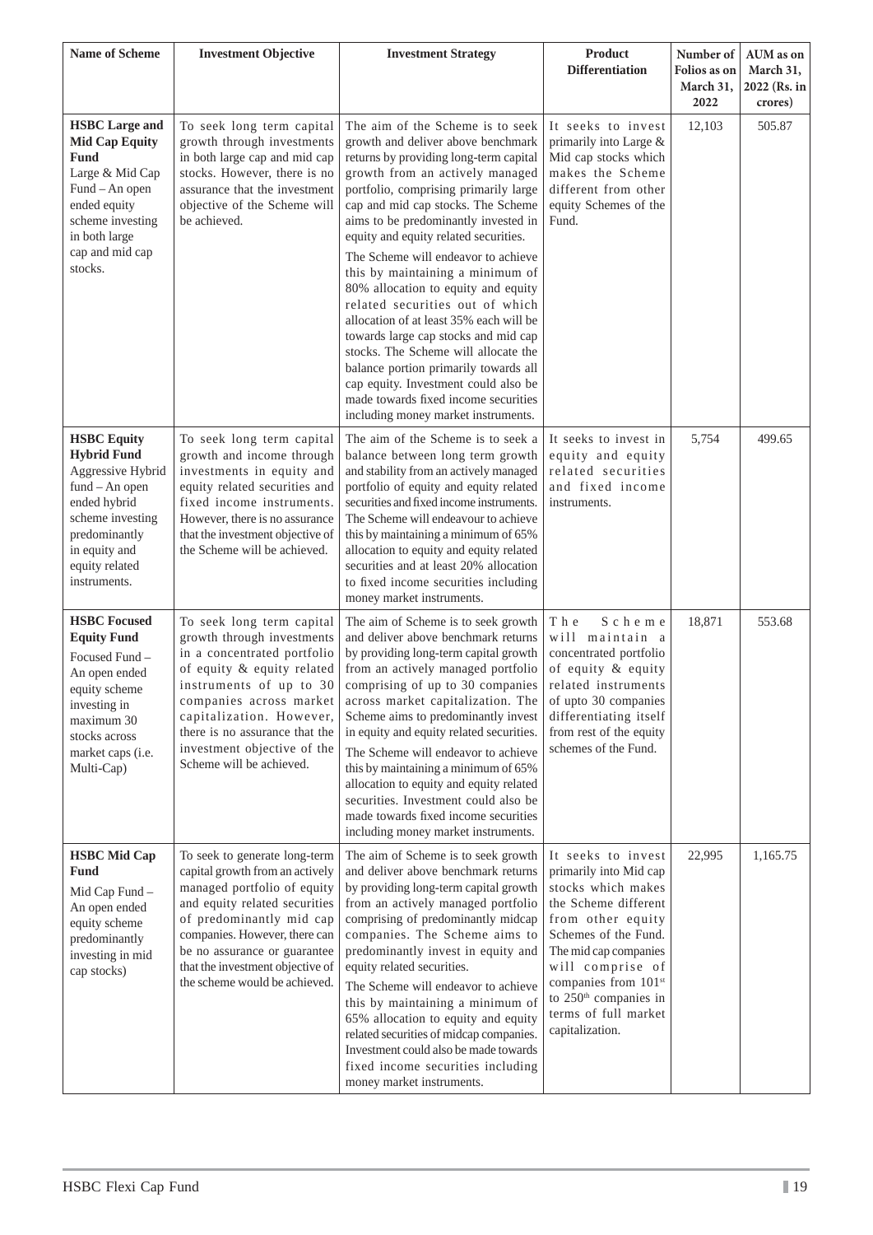| <b>Name of Scheme</b>                                                                                                                                                                     | <b>Investment Objective</b>                                                                                                                                                                                                                                                                         | <b>Investment Strategy</b>                                                                                                                                                                                                                                                                                                                                                                                                                                                                                                                                                                                                                                                                                                                                          | <b>Product</b><br><b>Differentiation</b>                                                                                                                                                                                                                                                     | Number of<br>Folios as on<br>March 31,<br>2022 | AUM as on<br>March 31,<br>2022 (Rs. in<br>crores) |
|-------------------------------------------------------------------------------------------------------------------------------------------------------------------------------------------|-----------------------------------------------------------------------------------------------------------------------------------------------------------------------------------------------------------------------------------------------------------------------------------------------------|---------------------------------------------------------------------------------------------------------------------------------------------------------------------------------------------------------------------------------------------------------------------------------------------------------------------------------------------------------------------------------------------------------------------------------------------------------------------------------------------------------------------------------------------------------------------------------------------------------------------------------------------------------------------------------------------------------------------------------------------------------------------|----------------------------------------------------------------------------------------------------------------------------------------------------------------------------------------------------------------------------------------------------------------------------------------------|------------------------------------------------|---------------------------------------------------|
| <b>HSBC</b> Large and<br><b>Mid Cap Equity</b><br><b>Fund</b><br>Large & Mid Cap<br>Fund – An open<br>ended equity<br>scheme investing<br>in both large<br>cap and mid cap<br>stocks.     | To seek long term capital<br>growth through investments<br>in both large cap and mid cap<br>stocks. However, there is no<br>assurance that the investment<br>objective of the Scheme will<br>be achieved.                                                                                           | The aim of the Scheme is to seek<br>growth and deliver above benchmark<br>returns by providing long-term capital<br>growth from an actively managed<br>portfolio, comprising primarily large<br>cap and mid cap stocks. The Scheme<br>aims to be predominantly invested in<br>equity and equity related securities.<br>The Scheme will endeavor to achieve<br>this by maintaining a minimum of<br>80% allocation to equity and equity<br>related securities out of which<br>allocation of at least 35% each will be<br>towards large cap stocks and mid cap<br>stocks. The Scheme will allocate the<br>balance portion primarily towards all<br>cap equity. Investment could also be<br>made towards fixed income securities<br>including money market instruments. | It seeks to invest<br>primarily into Large &<br>Mid cap stocks which<br>makes the Scheme<br>different from other<br>equity Schemes of the<br>Fund.                                                                                                                                           | 12,103                                         | 505.87                                            |
| <b>HSBC</b> Equity<br><b>Hybrid Fund</b><br>Aggressive Hybrid<br>$fund - An open$<br>ended hybrid<br>scheme investing<br>predominantly<br>in equity and<br>equity related<br>instruments. | To seek long term capital<br>growth and income through<br>investments in equity and<br>equity related securities and<br>fixed income instruments.<br>However, there is no assurance<br>that the investment objective of<br>the Scheme will be achieved.                                             | The aim of the Scheme is to seek a<br>balance between long term growth<br>and stability from an actively managed<br>portfolio of equity and equity related<br>securities and fixed income instruments.<br>The Scheme will endeavour to achieve<br>this by maintaining a minimum of 65%<br>allocation to equity and equity related<br>securities and at least 20% allocation<br>to fixed income securities including<br>money market instruments.                                                                                                                                                                                                                                                                                                                    | It seeks to invest in<br>equity and equity<br>related securities<br>and fixed income<br>instruments.                                                                                                                                                                                         | 5,754                                          | 499.65                                            |
| <b>HSBC</b> Focused<br><b>Equity Fund</b><br>Focused Fund -<br>An open ended<br>equity scheme<br>investing in<br>maximum 30<br>stocks across<br>market caps (i.e.<br>Multi-Cap)           | To seek long term capital<br>growth through investments<br>in a concentrated portfolio<br>of equity & equity related<br>instruments of up to 30<br>companies across market<br>capitalization. However,<br>there is no assurance that the<br>investment objective of the<br>Scheme will be achieved. | The aim of Scheme is to seek growth<br>and deliver above benchmark returns<br>by providing long-term capital growth<br>from an actively managed portfolio<br>comprising of up to 30 companies<br>across market capitalization. The<br>Scheme aims to predominantly invest<br>in equity and equity related securities.<br>The Scheme will endeavor to achieve<br>this by maintaining a minimum of 65%<br>allocation to equity and equity related<br>securities. Investment could also be<br>made towards fixed income securities<br>including money market instruments.                                                                                                                                                                                              | T h e<br>Scheme<br>will maintain a<br>concentrated portfolio<br>of equity & equity<br>related instruments<br>of upto 30 companies<br>differentiating itself<br>from rest of the equity<br>schemes of the Fund.                                                                               | 18,871                                         | 553.68                                            |
| <b>HSBC</b> Mid Cap<br><b>Fund</b><br>Mid Cap Fund -<br>An open ended<br>equity scheme<br>predominantly<br>investing in mid<br>cap stocks)                                                | To seek to generate long-term<br>capital growth from an actively<br>managed portfolio of equity<br>and equity related securities<br>of predominantly mid cap<br>companies. However, there can<br>be no assurance or guarantee<br>that the investment objective of<br>the scheme would be achieved.  | The aim of Scheme is to seek growth<br>and deliver above benchmark returns<br>by providing long-term capital growth<br>from an actively managed portfolio<br>comprising of predominantly midcap<br>companies. The Scheme aims to<br>predominantly invest in equity and<br>equity related securities.<br>The Scheme will endeavor to achieve<br>this by maintaining a minimum of<br>65% allocation to equity and equity<br>related securities of midcap companies.<br>Investment could also be made towards<br>fixed income securities including<br>money market instruments.                                                                                                                                                                                        | It seeks to invest<br>primarily into Mid cap<br>stocks which makes<br>the Scheme different<br>from other equity<br>Schemes of the Fund.<br>The mid cap companies<br>will comprise of<br>companies from 101st<br>to 250 <sup>th</sup> companies in<br>terms of full market<br>capitalization. | 22,995                                         | 1,165.75                                          |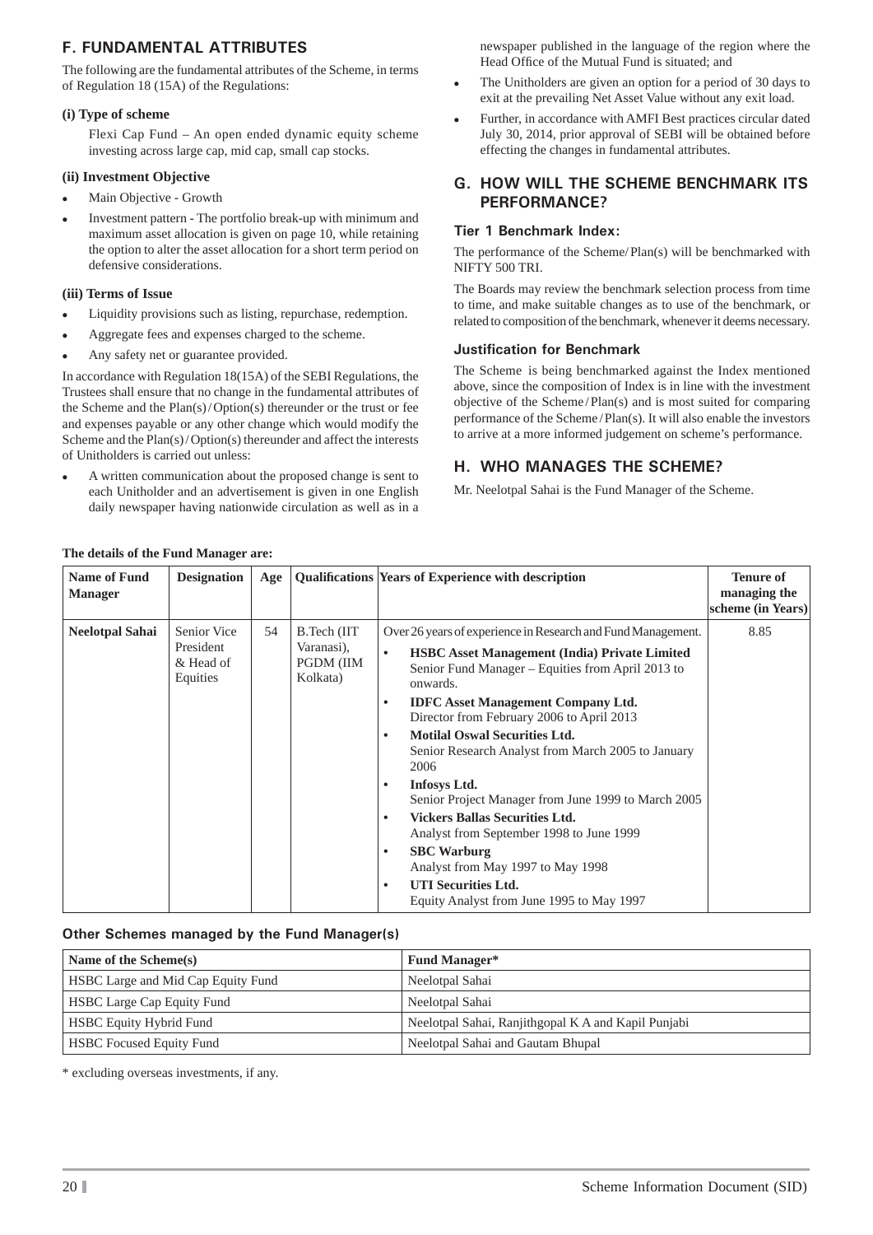## **F. FUNDAMENTAL ATTRIBUTES**

The following are the fundamental attributes of the Scheme, in terms of Regulation 18 (15A) of the Regulations:

### **(i) Type of scheme**

 Flexi Cap Fund – An open ended dynamic equity scheme investing across large cap, mid cap, small cap stocks.

#### **(ii) Investment Objective**

- Main Objective Growth
- Investment pattern The portfolio break-up with minimum and maximum asset allocation is given on page 10, while retaining the option to alter the asset allocation for a short term period on defensive considerations.

#### **(iii) Terms of Issue**

- Liquidity provisions such as listing, repurchase, redemption.
- Aggregate fees and expenses charged to the scheme.
- Any safety net or guarantee provided.

In accordance with Regulation 18(15A) of the SEBI Regulations, the Trustees shall ensure that no change in the fundamental attributes of the Scheme and the Plan(s) / Option(s) thereunder or the trust or fee and expenses payable or any other change which would modify the Scheme and the Plan(s) / Option(s) thereunder and affect the interests of Unitholders is carried out unless:

 A written communication about the proposed change is sent to each Unitholder and an advertisement is given in one English daily newspaper having nationwide circulation as well as in a newspaper published in the language of the region where the Head Office of the Mutual Fund is situated; and

- The Unitholders are given an option for a period of 30 days to exit at the prevailing Net Asset Value without any exit load.
- Further, in accordance with AMFI Best practices circular dated July 30, 2014, prior approval of SEBI will be obtained before effecting the changes in fundamental attributes.

### **G. HOW WILL THE SCHEME BENCHMARK ITS PERFORMANCE?**

### **Tier 1 Benchmark Index:**

The performance of the Scheme/ Plan(s) will be benchmarked with NIFTY 500 TRI.

The Boards may review the benchmark selection process from time to time, and make suitable changes as to use of the benchmark, or related to composition of the benchmark, whenever it deems necessary.

### **Justification for Benchmark**

The Scheme is being benchmarked against the Index mentioned above, since the composition of Index is in line with the investment objective of the Scheme / Plan(s) and is most suited for comparing performance of the Scheme / Plan(s). It will also enable the investors to arrive at a more informed judgement on scheme's performance.

## **H. WHO MANAGES THE SCHEME?**

Mr. Neelotpal Sahai is the Fund Manager of the Scheme.

| <b>Name of Fund</b><br><b>Manager</b> | <b>Designation</b>                                | Age |                                                     | Qualifications Years of Experience with description                                                                                                                                                                                                                                                                                                                                                                                                                                                                                                                                                                                                                                                                                                                               | <b>Tenure of</b><br>managing the<br>scheme (in Years) |
|---------------------------------------|---------------------------------------------------|-----|-----------------------------------------------------|-----------------------------------------------------------------------------------------------------------------------------------------------------------------------------------------------------------------------------------------------------------------------------------------------------------------------------------------------------------------------------------------------------------------------------------------------------------------------------------------------------------------------------------------------------------------------------------------------------------------------------------------------------------------------------------------------------------------------------------------------------------------------------------|-------------------------------------------------------|
| <b>Neelotpal Sahai</b>                | Senior Vice<br>President<br>& Head of<br>Equities | 54  | B.Tech (IIT)<br>Varanasi),<br>PGDM (IIM<br>Kolkata) | Over 26 years of experience in Research and Fund Management.<br><b>HSBC Asset Management (India) Private Limited</b><br>$\bullet$<br>Senior Fund Manager – Equities from April 2013 to<br>onwards.<br><b>IDFC</b> Asset Management Company Ltd.<br>$\bullet$<br>Director from February 2006 to April 2013<br><b>Motilal Oswal Securities Ltd.</b><br>$\bullet$<br>Senior Research Analyst from March 2005 to January<br>2006<br><b>Infosys Ltd.</b><br>٠<br>Senior Project Manager from June 1999 to March 2005<br><b>Vickers Ballas Securities Ltd.</b><br>$\bullet$<br>Analyst from September 1998 to June 1999<br><b>SBC</b> Warburg<br>$\bullet$<br>Analyst from May 1997 to May 1998<br><b>UTI Securities Ltd.</b><br>$\bullet$<br>Equity Analyst from June 1995 to May 1997 | 8.85                                                  |

## **The details of the Fund Manager are:**

## **Other Schemes managed by the Fund Manager(s)**

| Name of the Scheme(s)              | <b>Fund Manager*</b>                                |
|------------------------------------|-----------------------------------------------------|
| HSBC Large and Mid Cap Equity Fund | Neelotpal Sahai                                     |
| <b>HSBC Large Cap Equity Fund</b>  | Neelotpal Sahai                                     |
| <b>HSBC Equity Hybrid Fund</b>     | Neelotpal Sahai, Ranjithgopal K A and Kapil Punjabi |
| <b>HSBC</b> Focused Equity Fund    | Neelotpal Sahai and Gautam Bhupal                   |

\* excluding overseas investments, if any.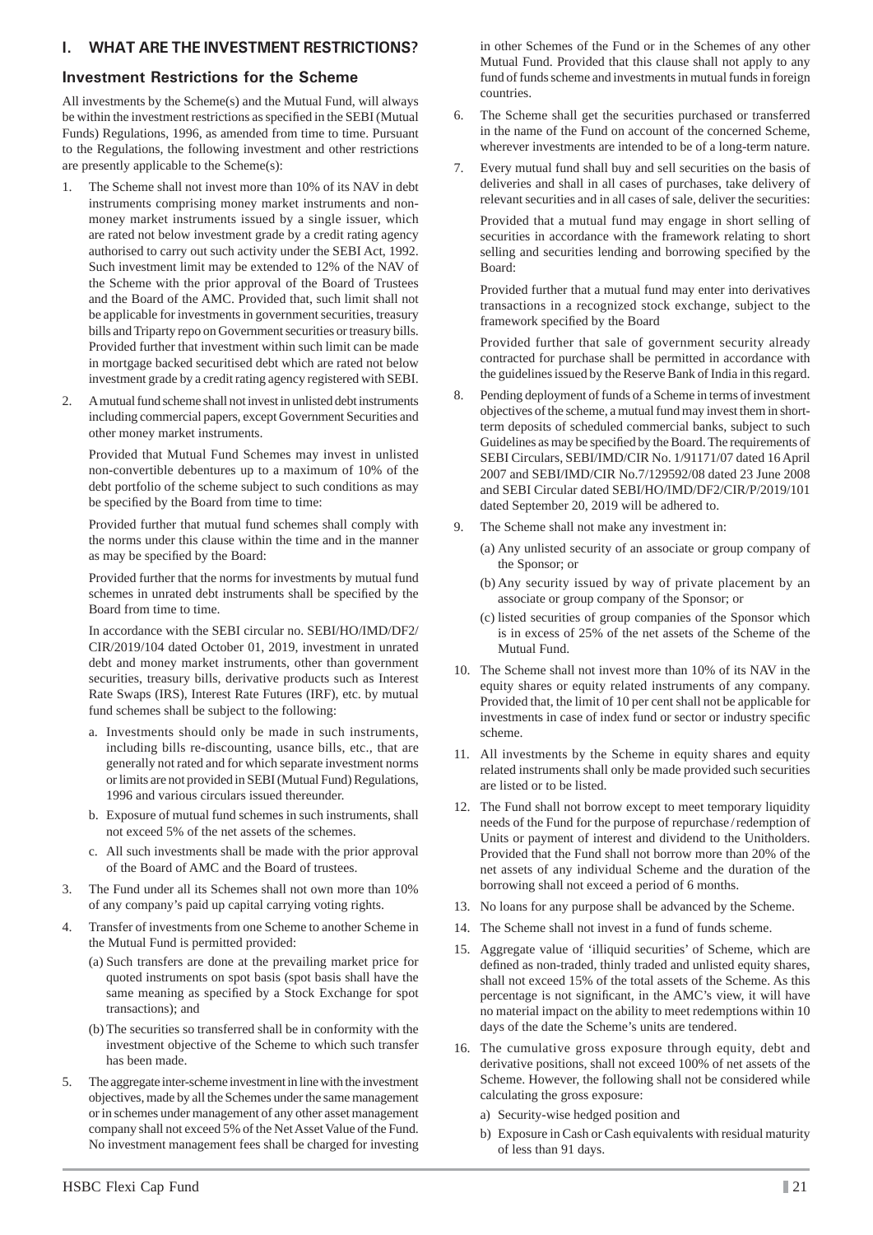## **I. WHAT ARE THE INVESTMENT RESTRICTIONS?**

#### **Investment Restrictions for the Scheme**

All investments by the Scheme(s) and the Mutual Fund, will always be within the investment restrictions as specified in the SEBI (Mutual Funds) Regulations, 1996, as amended from time to time. Pursuant to the Regulations, the following investment and other restrictions are presently applicable to the Scheme(s):

- 1. The Scheme shall not invest more than 10% of its NAV in debt instruments comprising money market instruments and nonmoney market instruments issued by a single issuer, which are rated not below investment grade by a credit rating agency authorised to carry out such activity under the SEBI Act, 1992. Such investment limit may be extended to 12% of the NAV of the Scheme with the prior approval of the Board of Trustees and the Board of the AMC. Provided that, such limit shall not be applicable for investments in government securities, treasury bills and Triparty repo on Government securities or treasury bills. Provided further that investment within such limit can be made in mortgage backed securitised debt which are rated not below investment grade by a credit rating agency registered with SEBI.
- 2. A mutual fund scheme shall not invest in unlisted debt instruments including commercial papers, except Government Securities and other money market instruments.

 Provided that Mutual Fund Schemes may invest in unlisted non-convertible debentures up to a maximum of 10% of the debt portfolio of the scheme subject to such conditions as may be specified by the Board from time to time:

 Provided further that mutual fund schemes shall comply with the norms under this clause within the time and in the manner as may be specified by the Board:

 Provided further that the norms for investments by mutual fund schemes in unrated debt instruments shall be specified by the Board from time to time.

 In accordance with the SEBI circular no. SEBI/HO/IMD/DF2/ CIR/2019/104 dated October 01, 2019, investment in unrated debt and money market instruments, other than government securities, treasury bills, derivative products such as Interest Rate Swaps (IRS), Interest Rate Futures (IRF), etc. by mutual fund schemes shall be subject to the following:

- a. Investments should only be made in such instruments, including bills re-discounting, usance bills, etc., that are generally not rated and for which separate investment norms or limits are not provided in SEBI (Mutual Fund) Regulations, 1996 and various circulars issued thereunder.
- b. Exposure of mutual fund schemes in such instruments, shall not exceed 5% of the net assets of the schemes.
- c. All such investments shall be made with the prior approval of the Board of AMC and the Board of trustees.
- 3. The Fund under all its Schemes shall not own more than 10% of any company's paid up capital carrying voting rights.
- 4. Transfer of investments from one Scheme to another Scheme in the Mutual Fund is permitted provided:
	- (a) Such transfers are done at the prevailing market price for quoted instruments on spot basis (spot basis shall have the same meaning as specified by a Stock Exchange for spot transactions); and
	- (b) The securities so transferred shall be in conformity with the investment objective of the Scheme to which such transfer has been made.
- 5. The aggregate inter-scheme investment in line with the investment objectives, made by all the Schemes under the same management or in schemes under management of any other asset management company shall not exceed 5% of the Net Asset Value of the Fund. No investment management fees shall be charged for investing

in other Schemes of the Fund or in the Schemes of any other Mutual Fund. Provided that this clause shall not apply to any fund of funds scheme and investments in mutual funds in foreign countries.

- 6. The Scheme shall get the securities purchased or transferred in the name of the Fund on account of the concerned Scheme, wherever investments are intended to be of a long-term nature.
- Every mutual fund shall buy and sell securities on the basis of deliveries and shall in all cases of purchases, take delivery of relevant securities and in all cases of sale, deliver the securities:

 Provided that a mutual fund may engage in short selling of securities in accordance with the framework relating to short selling and securities lending and borrowing specified by the Board:

 Provided further that a mutual fund may enter into derivatives transactions in a recognized stock exchange, subject to the framework specified by the Board

 Provided further that sale of government security already contracted for purchase shall be permitted in accordance with the guidelines issued by the Reserve Bank of India in this regard.

- 8. Pending deployment of funds of a Scheme in terms of investment objectives of the scheme, a mutual fund may invest them in shortterm deposits of scheduled commercial banks, subject to such Guidelines as may be specified by the Board. The requirements of SEBI Circulars, SEBI/IMD/CIR No. 1/91171/07 dated 16 April 2007 and SEBI/IMD/CIR No.7/129592/08 dated 23 June 2008 and SEBI Circular dated SEBI/HO/IMD/DF2/CIR/P/2019/101 dated September 20, 2019 will be adhered to.
- 9. The Scheme shall not make any investment in:
	- (a) Any unlisted security of an associate or group company of the Sponsor; or
	- (b) Any security issued by way of private placement by an associate or group company of the Sponsor; or
	- (c) listed securities of group companies of the Sponsor which is in excess of 25% of the net assets of the Scheme of the Mutual Fund.
- 10. The Scheme shall not invest more than 10% of its NAV in the equity shares or equity related instruments of any company. Provided that, the limit of 10 per cent shall not be applicable for investments in case of index fund or sector or industry specific scheme.
- 11. All investments by the Scheme in equity shares and equity related instruments shall only be made provided such securities are listed or to be listed.
- 12. The Fund shall not borrow except to meet temporary liquidity needs of the Fund for the purpose of repurchase / redemption of Units or payment of interest and dividend to the Unitholders. Provided that the Fund shall not borrow more than 20% of the net assets of any individual Scheme and the duration of the borrowing shall not exceed a period of 6 months.
- 13. No loans for any purpose shall be advanced by the Scheme.
- 14. The Scheme shall not invest in a fund of funds scheme.
- 15. Aggregate value of 'illiquid securities' of Scheme, which are defined as non-traded, thinly traded and unlisted equity shares, shall not exceed 15% of the total assets of the Scheme. As this percentage is not significant, in the AMC's view, it will have no material impact on the ability to meet redemptions within 10 days of the date the Scheme's units are tendered.
- 16. The cumulative gross exposure through equity, debt and derivative positions, shall not exceed 100% of net assets of the Scheme. However, the following shall not be considered while calculating the gross exposure:
	- a) Security-wise hedged position and
	- b) Exposure in Cash or Cash equivalents with residual maturity of less than 91 days.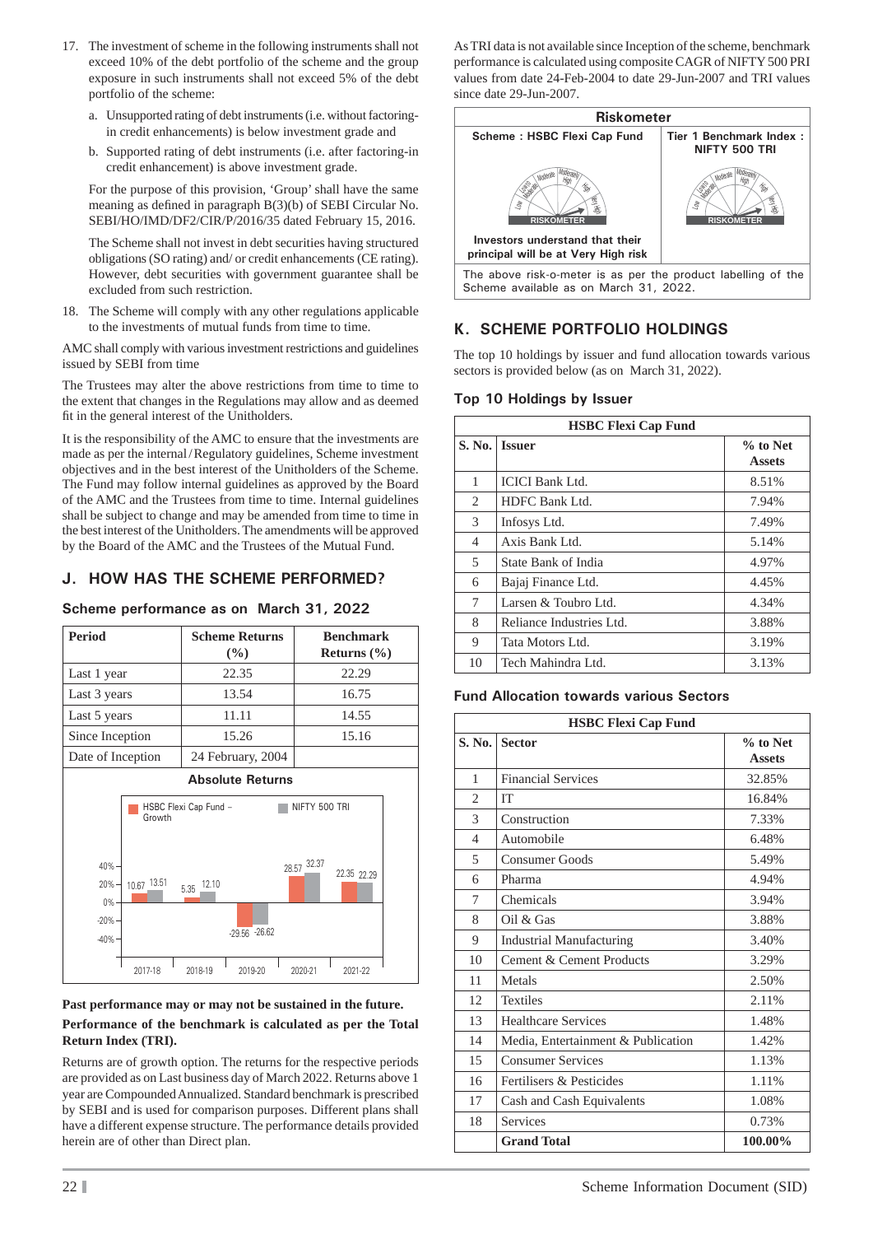- 17. The investment of scheme in the following instruments shall not exceed 10% of the debt portfolio of the scheme and the group exposure in such instruments shall not exceed 5% of the debt portfolio of the scheme:
	- a. Unsupported rating of debt instruments (i.e. without factoringin credit enhancements) is below investment grade and
	- b. Supported rating of debt instruments (i.e. after factoring-in credit enhancement) is above investment grade.

 For the purpose of this provision, 'Group' shall have the same meaning as defined in paragraph  $B(3)(b)$  of SEBI Circular No. SEBI/HO/IMD/DF2/CIR/P/2016/35 dated February 15, 2016.

 The Scheme shall not invest in debt securities having structured obligations (SO rating) and/ or credit enhancements (CE rating). However, debt securities with government guarantee shall be excluded from such restriction.

18. The Scheme will comply with any other regulations applicable to the investments of mutual funds from time to time.

AMC shall comply with various investment restrictions and guidelines issued by SEBI from time

The Trustees may alter the above restrictions from time to time to the extent that changes in the Regulations may allow and as deemed fit in the general interest of the Unitholders.

It is the responsibility of the AMC to ensure that the investments are made as per the internal / Regulatory guidelines, Scheme investment objectives and in the best interest of the Unitholders of the Scheme. The Fund may follow internal guidelines as approved by the Board of the AMC and the Trustees from time to time. Internal guidelines shall be subject to change and may be amended from time to time in the best interest of the Unitholders. The amendments will be approved by the Board of the AMC and the Trustees of the Mutual Fund.

## **J. HOW HAS THE SCHEME PERFORMED?**

### **Scheme performance as on March 31, 2022**

| <b>Period</b>               | <b>Scheme Returns</b><br>$\frac{6}{6}$ |                       |                  | <b>Benchmark</b><br>Returns $(\% )$ |       |               |
|-----------------------------|----------------------------------------|-----------------------|------------------|-------------------------------------|-------|---------------|
| Last 1 year                 |                                        |                       | 22.35            |                                     | 22.29 |               |
| Last 3 years                |                                        |                       | 13.54            |                                     | 16.75 |               |
| Last 5 years                |                                        |                       | 11.11            |                                     | 14.55 |               |
| Since Inception             |                                        |                       | 15.26            |                                     | 15.16 |               |
|                             | Date of Inception<br>24 February, 2004 |                       |                  |                                     |       |               |
|                             | Growth                                 | HSBC Flexi Cap Fund - |                  |                                     |       | NIFTY 500 TRI |
| $40% -$<br>$20% -$<br>$0\%$ | 10.67 13.51                            | $5.35 - 12.10$        |                  | 28.57 32.37                         |       | 22.35 22.29   |
| $-20%$<br>$-40%$            |                                        |                       | $-29.56 - 26.62$ |                                     |       |               |
|                             | 2017-18                                | 2018-19               | 2019-20          | 2020-21                             |       | 2021-22       |

#### **Past performance may or may not be sustained in the future. Performance of the benchmark is calculated as per the Total Return Index (TRI).**

Returns are of growth option. The returns for the respective periods are provided as on Last business day of March 2022. Returns above 1 year are Compounded Annualized. Standard benchmark is prescribed by SEBI and is used for comparison purposes. Different plans shall have a different expense structure. The performance details provided herein are of other than Direct plan.

As TRI data is not available since Inception of the scheme, benchmark performance is calculated using composite CAGR of NIFTY 500 PRI values from date 24-Feb-2004 to date 29-Jun-2007 and TRI values since date 29-Jun-2007.



## **K. SCHEME PORTFOLIO HOLDINGS**

The top 10 holdings by issuer and fund allocation towards various sectors is provided below (as on March 31, 2022).

### **Top 10 Holdings by Issuer**

| <b>HSBC Flexi Cap Fund</b> |                          |                           |  |
|----------------------------|--------------------------|---------------------------|--|
|                            | S. No.   Issuer          | % to Net<br><b>Assets</b> |  |
| 1                          | <b>ICICI Bank Ltd.</b>   | 8.51%                     |  |
| 2                          | HDFC Bank Ltd.           | 7.94%                     |  |
| 3                          | Infosys Ltd.             | 7.49%                     |  |
| 4                          | Axis Bank Ltd.           | 5.14%                     |  |
| 5                          | State Bank of India      | 4.97%                     |  |
| 6                          | Bajaj Finance Ltd.       | 4.45%                     |  |
| 7                          | Larsen & Toubro Ltd.     | 4.34%                     |  |
| 8                          | Reliance Industries Ltd. | 3.88%                     |  |
| 9                          | Tata Motors Ltd.         | 3.19%                     |  |
| 10                         | Tech Mahindra Ltd.       | 3.13%                     |  |

#### **Fund Allocation towards various Sectors**

| <b>HSBC Flexi Cap Fund</b> |                                    |                           |  |  |
|----------------------------|------------------------------------|---------------------------|--|--|
| S. No.                     | <b>Sector</b>                      | % to Net<br><b>Assets</b> |  |  |
| 1                          | <b>Financial Services</b>          | 32.85%                    |  |  |
| $\mathfrak{D}$             | <b>IT</b>                          | 16.84%                    |  |  |
| 3                          | Construction                       | 7.33%                     |  |  |
| $\overline{4}$             | Automobile                         | 6.48%                     |  |  |
| 5                          | Consumer Goods                     | 5.49%                     |  |  |
| 6                          | Pharma                             | 4.94%                     |  |  |
| 7                          | Chemicals                          | 3.94%                     |  |  |
| 8                          | Oil & Gas                          | 3.88%                     |  |  |
| 9                          | <b>Industrial Manufacturing</b>    | 3.40%                     |  |  |
| 10                         | Cement & Cement Products           | 3.29%                     |  |  |
| 11                         | Metals                             | 2.50%                     |  |  |
| 12                         | <b>Textiles</b>                    | 2.11%                     |  |  |
| 13                         | Healthcare Services                | 1.48%                     |  |  |
| 14                         | Media, Entertainment & Publication | 1.42%                     |  |  |
| 15                         | <b>Consumer Services</b>           | 1.13%                     |  |  |
| 16                         | Fertilisers & Pesticides           | 1.11%                     |  |  |
| 17                         | Cash and Cash Equivalents          | 1.08%                     |  |  |
| 18                         | Services                           | 0.73%                     |  |  |
|                            | <b>Grand Total</b>                 | 100.00%                   |  |  |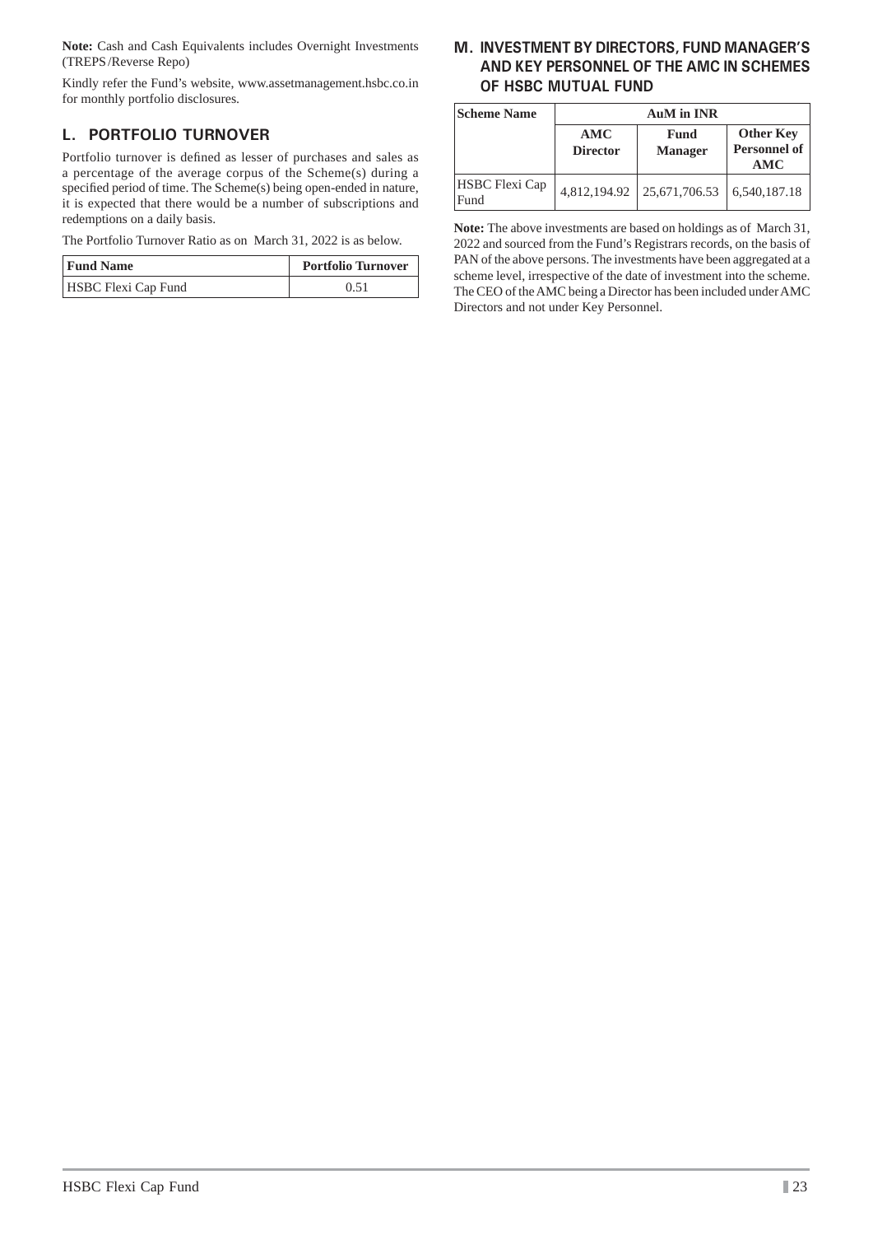**Note:** Cash and Cash Equivalents includes Overnight Investments (TREPS /Reverse Repo)

Kindly refer the Fund's website, www.assetmanagement.hsbc.co.in for monthly portfolio disclosures.

## **L. PORTFOLIO TURNOVER**

Portfolio turnover is defined as lesser of purchases and sales as a percentage of the average corpus of the Scheme(s) during a specified period of time. The Scheme(s) being open-ended in nature, it is expected that there would be a number of subscriptions and redemptions on a daily basis.

The Portfolio Turnover Ratio as on March 31, 2022 is as below.

| <b>Fund Name</b>           | <b>Portfolio Turnover</b> |  |
|----------------------------|---------------------------|--|
| <b>HSBC Flexi Cap Fund</b> | 0.51                      |  |

## **M. INVESTMENT BY DIRECTORS, FUND MANAGER'S AND KEY PERSONNEL OF THE AMC IN SCHEMES OF HSBC MUTUAL FUND**

| <b>Scheme Name</b>     | <b>AuM</b> in INR      |                        |                                                |  |
|------------------------|------------------------|------------------------|------------------------------------------------|--|
|                        | AMC<br><b>Director</b> | Fund<br><b>Manager</b> | <b>Other Key</b><br><b>Personnel of</b><br>AMC |  |
| HSBC Flexi Cap<br>Fund | 4,812,194.92           | 25,671,706.53          | 6,540,187.18                                   |  |

**Note:** The above investments are based on holdings as of March 31, 2022 and sourced from the Fund's Registrars records, on the basis of PAN of the above persons. The investments have been aggregated at a scheme level, irrespective of the date of investment into the scheme. The CEO of the AMC being a Director has been included under AMC Directors and not under Key Personnel.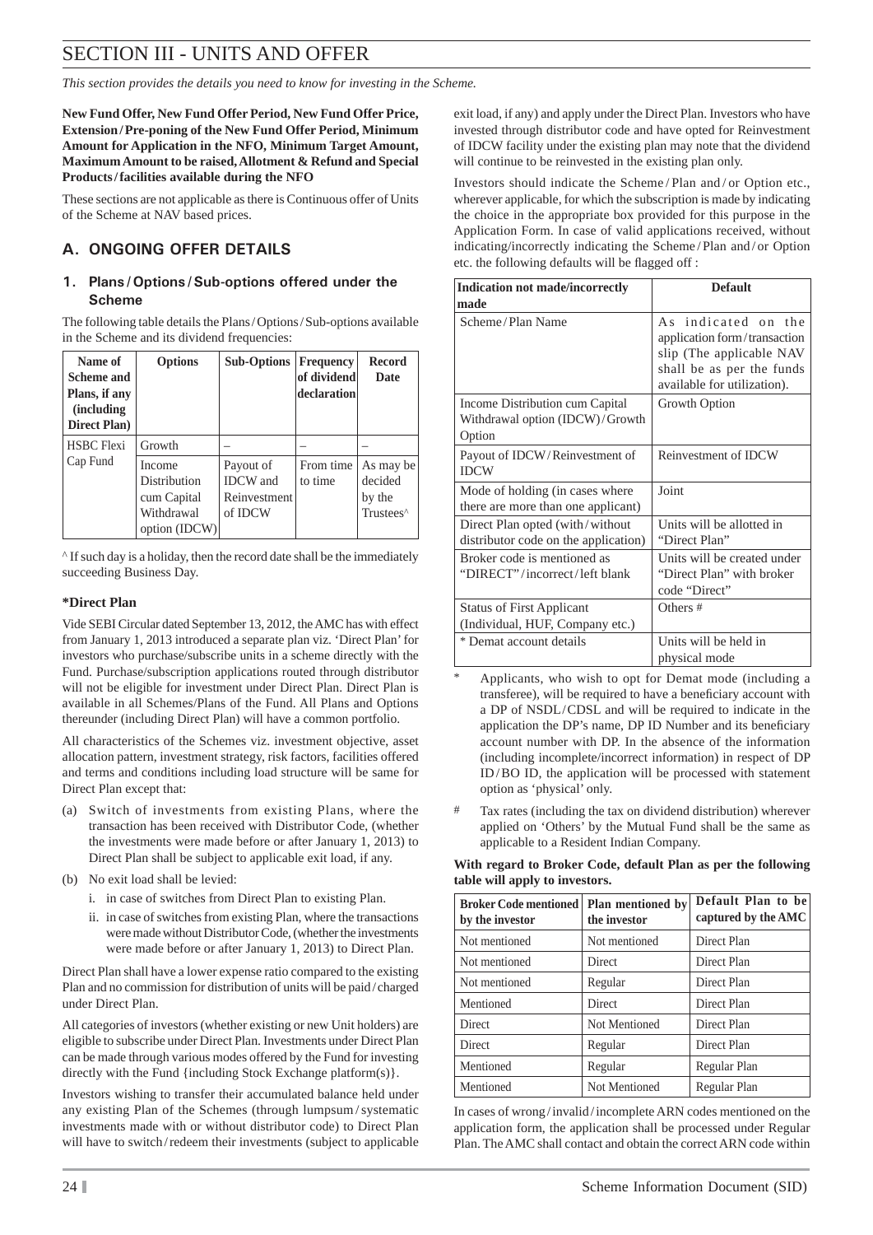# SECTION III - UNITS AND OFFER

*This section provides the details you need to know for investing in the Scheme.*

**New Fund Offer, New Fund Offer Period, New Fund Offer Price, Extension / Pre-poning of the New Fund Offer Period, Minimum Amount for Application in the NFO, Minimum Target Amount, Maximum Amount to be raised, Allotment & Refund and Special Products / facilities available during the NFO**

These sections are not applicable as there is Continuous offer of Units of the Scheme at NAV based prices.

## **A. ONGOING OFFER DETAILS**

### **1. Plans / Options / Sub-options offered under the Scheme**

The following table details the Plans / Options / Sub-options available in the Scheme and its dividend frequencies:

| Name of<br>Scheme and<br>Plans, if any<br><i>(including)</i><br><b>Direct Plan</b> ) | <b>Options</b>                                                       | <b>Sub-Options</b>                                      | <b>Frequency</b><br>of dividend<br>declaration | <b>Record</b><br><b>Date</b>                            |
|--------------------------------------------------------------------------------------|----------------------------------------------------------------------|---------------------------------------------------------|------------------------------------------------|---------------------------------------------------------|
| <b>HSBC</b> Flexi                                                                    | Growth                                                               |                                                         |                                                |                                                         |
| Cap Fund                                                                             | Income<br>Distribution<br>cum Capital<br>Withdrawal<br>option (IDCW) | Payout of<br><b>IDCW</b> and<br>Reinvestment<br>of IDCW | From time<br>to time                           | As may be<br>decided<br>by the<br>Trustees <sup>^</sup> |

^ If such day is a holiday, then the record date shall be the immediately succeeding Business Day.

### **\*Direct Plan**

Vide SEBI Circular dated September 13, 2012, the AMC has with effect from January 1, 2013 introduced a separate plan viz. 'Direct Plan' for investors who purchase/subscribe units in a scheme directly with the Fund. Purchase/subscription applications routed through distributor will not be eligible for investment under Direct Plan. Direct Plan is available in all Schemes/Plans of the Fund. All Plans and Options thereunder (including Direct Plan) will have a common portfolio.

All characteristics of the Schemes viz. investment objective, asset allocation pattern, investment strategy, risk factors, facilities offered and terms and conditions including load structure will be same for Direct Plan except that:

- (a) Switch of investments from existing Plans, where the transaction has been received with Distributor Code, (whether the investments were made before or after January 1, 2013) to Direct Plan shall be subject to applicable exit load, if any.
- (b) No exit load shall be levied:
	- i. in case of switches from Direct Plan to existing Plan.
	- ii. in case of switches from existing Plan, where the transactions were made without Distributor Code, (whether the investments were made before or after January 1, 2013) to Direct Plan.

Direct Plan shall have a lower expense ratio compared to the existing Plan and no commission for distribution of units will be paid / charged under Direct Plan.

All categories of investors (whether existing or new Unit holders) are eligible to subscribe under Direct Plan. Investments under Direct Plan can be made through various modes offered by the Fund for investing directly with the Fund {including Stock Exchange platform(s)}.

Investors wishing to transfer their accumulated balance held under any existing Plan of the Schemes (through lumpsum / systematic investments made with or without distributor code) to Direct Plan will have to switch/redeem their investments (subject to applicable

exit load, if any) and apply under the Direct Plan. Investors who have invested through distributor code and have opted for Reinvestment of IDCW facility under the existing plan may note that the dividend will continue to be reinvested in the existing plan only.

Investors should indicate the Scheme / Plan and / or Option etc., wherever applicable, for which the subscription is made by indicating the choice in the appropriate box provided for this purpose in the Application Form. In case of valid applications received, without indicating/incorrectly indicating the Scheme / Plan and / or Option etc. the following defaults will be flagged off :

| Indication not made/incorrectly<br>made                                      | <b>Default</b>                                                                                                                              |
|------------------------------------------------------------------------------|---------------------------------------------------------------------------------------------------------------------------------------------|
| Scheme/Plan Name                                                             | As indicated on the<br>application form/transaction<br>slip (The applicable NAV<br>shall be as per the funds<br>available for utilization). |
| Income Distribution cum Capital<br>Withdrawal option (IDCW)/Growth<br>Option | Growth Option                                                                                                                               |
| Payout of IDCW/Reinvestment of<br><b>IDCW</b>                                | Reinvestment of IDCW                                                                                                                        |
| Mode of holding (in cases where<br>there are more than one applicant)        | Joint                                                                                                                                       |
| Direct Plan opted (with/without)<br>distributor code on the application)     | Units will be allotted in<br>"Direct Plan"                                                                                                  |
| Broker code is mentioned as<br>"DIRECT"/incorrect/left blank                 | Units will be created under<br>"Direct Plan" with broker<br>code "Direct"                                                                   |
| <b>Status of First Applicant</b><br>(Individual, HUF, Company etc.)          | Others #                                                                                                                                    |
| * Demat account details                                                      | Units will be held in<br>physical mode                                                                                                      |

- Applicants, who wish to opt for Demat mode (including a transferee), will be required to have a beneficiary account with a DP of NSDL/CDSL and will be required to indicate in the application the DP's name, DP ID Number and its beneficiary account number with DP. In the absence of the information (including incomplete/incorrect information) in respect of DP ID / BO ID, the application will be processed with statement option as 'physical' only.
- # Tax rates (including the tax on dividend distribution) wherever applied on 'Others' by the Mutual Fund shall be the same as applicable to a Resident Indian Company.

**With regard to Broker Code, default Plan as per the following table will apply to investors.**

| <b>Broker Code mentioned</b><br>by the investor | Plan mentioned by<br>the investor | Default Plan to be<br>captured by the AMC |
|-------------------------------------------------|-----------------------------------|-------------------------------------------|
| Not mentioned                                   | Not mentioned                     | Direct Plan                               |
| Not mentioned                                   | Direct                            | Direct Plan                               |
| Not mentioned                                   | Regular                           | Direct Plan                               |
| Mentioned                                       | Direct                            | Direct Plan                               |
| <b>Direct</b>                                   | Not Mentioned                     | Direct Plan                               |
| Direct                                          | Regular                           | Direct Plan                               |
| Mentioned                                       | Regular                           | Regular Plan                              |
| Mentioned                                       | Not Mentioned                     | Regular Plan                              |

In cases of wrong / invalid / incomplete ARN codes mentioned on the application form, the application shall be processed under Regular Plan. The AMC shall contact and obtain the correct ARN code within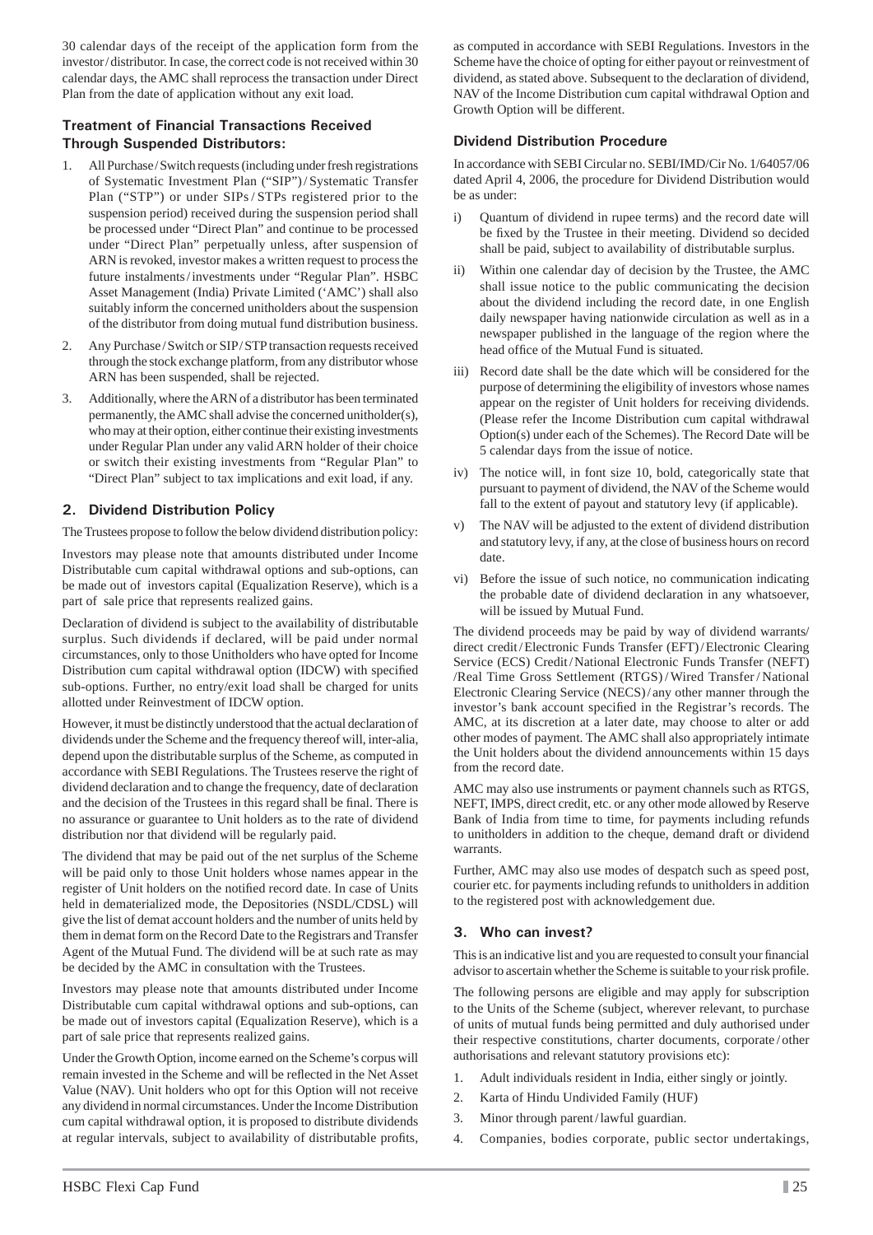30 calendar days of the receipt of the application form from the investor / distributor. In case, the correct code is not received within 30 calendar days, the AMC shall reprocess the transaction under Direct Plan from the date of application without any exit load.

### **Treatment of Financial Transactions Received Through Suspended Distributors:**

- 1. All Purchase / Switch requests (including under fresh registrations of Systematic Investment Plan ("SIP") / Systematic Transfer Plan ("STP") or under SIPs/STPs registered prior to the suspension period) received during the suspension period shall be processed under "Direct Plan" and continue to be processed under "Direct Plan" perpetually unless, after suspension of ARN is revoked, investor makes a written request to process the future instalments/investments under "Regular Plan". HSBC Asset Management (India) Private Limited ('AMC') shall also suitably inform the concerned unitholders about the suspension of the distributor from doing mutual fund distribution business.
- 2. Any Purchase / Switch or SIP / STP transaction requests received through the stock exchange platform, from any distributor whose ARN has been suspended, shall be rejected.
- 3. Additionally, where the ARN of a distributor has been terminated permanently, the AMC shall advise the concerned unitholder(s), who may at their option, either continue their existing investments under Regular Plan under any valid ARN holder of their choice or switch their existing investments from "Regular Plan" to "Direct Plan" subject to tax implications and exit load, if any.

### **2. Dividend Distribution Policy**

The Trustees propose to follow the below dividend distribution policy:

Investors may please note that amounts distributed under Income Distributable cum capital withdrawal options and sub-options, can be made out of investors capital (Equalization Reserve), which is a part of sale price that represents realized gains.

Declaration of dividend is subject to the availability of distributable surplus. Such dividends if declared, will be paid under normal circumstances, only to those Unitholders who have opted for Income Distribution cum capital withdrawal option (IDCW) with specified sub-options. Further, no entry/exit load shall be charged for units allotted under Reinvestment of IDCW option.

However, it must be distinctly understood that the actual declaration of dividends under the Scheme and the frequency thereof will, inter-alia, depend upon the distributable surplus of the Scheme, as computed in accordance with SEBI Regulations. The Trustees reserve the right of dividend declaration and to change the frequency, date of declaration and the decision of the Trustees in this regard shall be final. There is no assurance or guarantee to Unit holders as to the rate of dividend distribution nor that dividend will be regularly paid.

The dividend that may be paid out of the net surplus of the Scheme will be paid only to those Unit holders whose names appear in the register of Unit holders on the notified record date. In case of Units held in dematerialized mode, the Depositories (NSDL/CDSL) will give the list of demat account holders and the number of units held by them in demat form on the Record Date to the Registrars and Transfer Agent of the Mutual Fund. The dividend will be at such rate as may be decided by the AMC in consultation with the Trustees.

Investors may please note that amounts distributed under Income Distributable cum capital withdrawal options and sub-options, can be made out of investors capital (Equalization Reserve), which is a part of sale price that represents realized gains.

Under the Growth Option, income earned on the Scheme's corpus will remain invested in the Scheme and will be reflected in the Net Asset Value (NAV). Unit holders who opt for this Option will not receive any dividend in normal circumstances. Under the Income Distribution cum capital withdrawal option, it is proposed to distribute dividends at regular intervals, subject to availability of distributable profits,

as computed in accordance with SEBI Regulations. Investors in the Scheme have the choice of opting for either payout or reinvestment of dividend, as stated above. Subsequent to the declaration of dividend, NAV of the Income Distribution cum capital withdrawal Option and Growth Option will be different.

#### **Dividend Distribution Procedure**

In accordance with SEBI Circular no. SEBI/IMD/Cir No. 1/64057/06 dated April 4, 2006, the procedure for Dividend Distribution would be as under:

- i) Quantum of dividend in rupee terms) and the record date will be fixed by the Trustee in their meeting. Dividend so decided shall be paid, subject to availability of distributable surplus.
- ii) Within one calendar day of decision by the Trustee, the AMC shall issue notice to the public communicating the decision about the dividend including the record date, in one English daily newspaper having nationwide circulation as well as in a newspaper published in the language of the region where the head office of the Mutual Fund is situated.
- iii) Record date shall be the date which will be considered for the purpose of determining the eligibility of investors whose names appear on the register of Unit holders for receiving dividends. (Please refer the Income Distribution cum capital withdrawal Option(s) under each of the Schemes). The Record Date will be 5 calendar days from the issue of notice.
- iv) The notice will, in font size 10, bold, categorically state that pursuant to payment of dividend, the NAV of the Scheme would fall to the extent of payout and statutory levy (if applicable).
- v) The NAV will be adjusted to the extent of dividend distribution and statutory levy, if any, at the close of business hours on record date.
- vi) Before the issue of such notice, no communication indicating the probable date of dividend declaration in any whatsoever, will be issued by Mutual Fund.

The dividend proceeds may be paid by way of dividend warrants/ direct credit/Electronic Funds Transfer (EFT)/Electronic Clearing Service (ECS) Credit / National Electronic Funds Transfer (NEFT) /Real Time Gross Settlement (RTGS) / Wired Transfer / National Electronic Clearing Service (NECS) / any other manner through the investor's bank account specified in the Registrar's records. The AMC, at its discretion at a later date, may choose to alter or add other modes of payment. The AMC shall also appropriately intimate the Unit holders about the dividend announcements within 15 days from the record date.

AMC may also use instruments or payment channels such as RTGS, NEFT, IMPS, direct credit, etc. or any other mode allowed by Reserve Bank of India from time to time, for payments including refunds to unitholders in addition to the cheque, demand draft or dividend warrants.

Further, AMC may also use modes of despatch such as speed post, courier etc. for payments including refunds to unitholders in addition to the registered post with acknowledgement due.

#### **3. Who can invest?**

This is an indicative list and you are requested to consult your financial advisor to ascertain whether the Scheme is suitable to your risk profile.

The following persons are eligible and may apply for subscription to the Units of the Scheme (subject, wherever relevant, to purchase of units of mutual funds being permitted and duly authorised under their respective constitutions, charter documents, corporate / other authorisations and relevant statutory provisions etc):

- 1. Adult individuals resident in India, either singly or jointly.
- 2. Karta of Hindu Undivided Family (HUF)
- 3. Minor through parent / lawful guardian.
- 4. Companies, bodies corporate, public sector undertakings,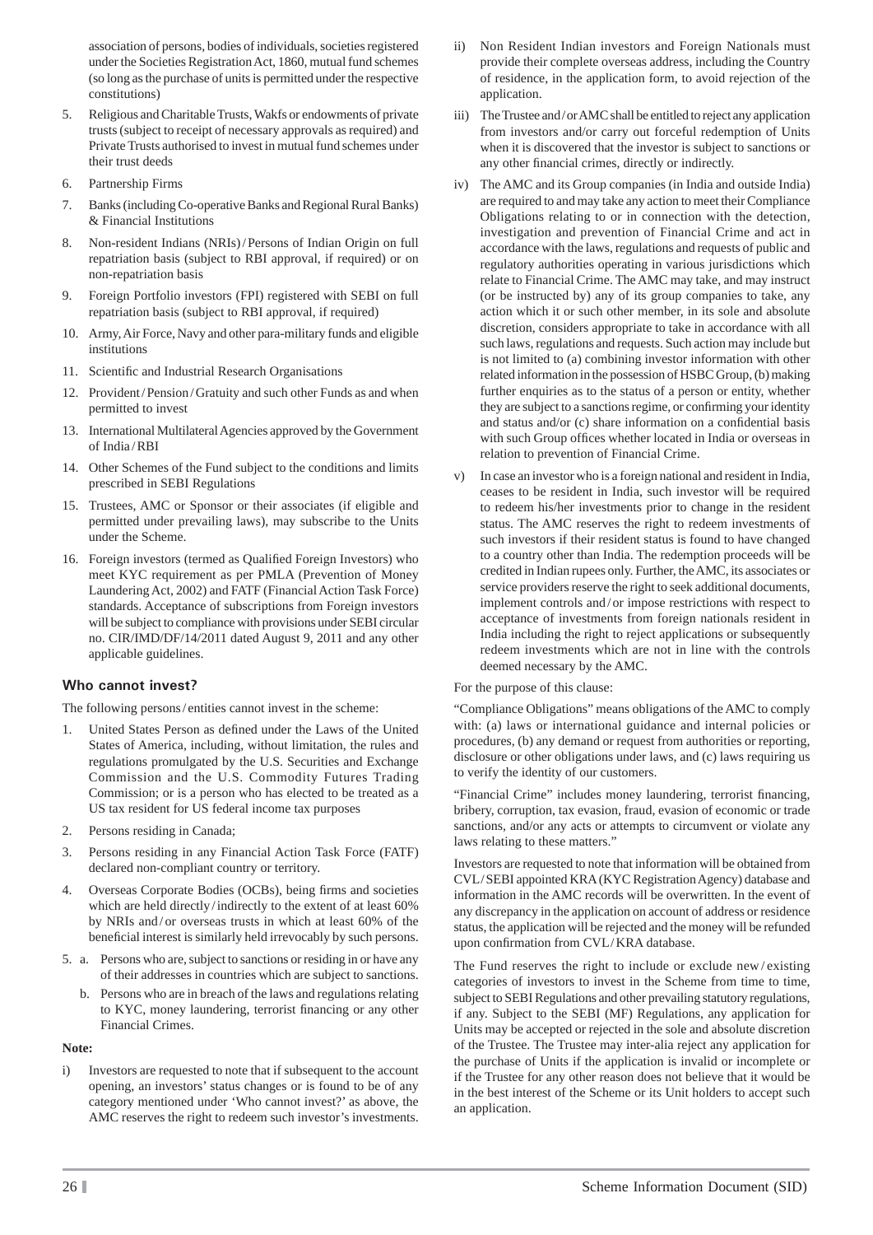association of persons, bodies of individuals, societies registered under the Societies Registration Act, 1860, mutual fund schemes (so long as the purchase of units is permitted under the respective constitutions)

- 5. Religious and Charitable Trusts, Wakfs or endowments of private trusts (subject to receipt of necessary approvals as required) and Private Trusts authorised to invest in mutual fund schemes under their trust deeds
- 6. Partnership Firms
- 7. Banks (including Co-operative Banks and Regional Rural Banks) & Financial Institutions
- 8. Non-resident Indians (NRIs) / Persons of Indian Origin on full repatriation basis (subject to RBI approval, if required) or on non-repatriation basis
- 9. Foreign Portfolio investors (FPI) registered with SEBI on full repatriation basis (subject to RBI approval, if required)
- 10. Army, Air Force, Navy and other para-military funds and eligible institutions
- 11. Scientific and Industrial Research Organisations
- 12. Provident/Pension/Gratuity and such other Funds as and when permitted to invest
- 13. International Multilateral Agencies approved by the Government of India / RBI
- 14. Other Schemes of the Fund subject to the conditions and limits prescribed in SEBI Regulations
- 15. Trustees, AMC or Sponsor or their associates (if eligible and permitted under prevailing laws), may subscribe to the Units under the Scheme.
- 16. Foreign investors (termed as Qualified Foreign Investors) who meet KYC requirement as per PMLA (Prevention of Money Laundering Act, 2002) and FATF (Financial Action Task Force) standards. Acceptance of subscriptions from Foreign investors will be subject to compliance with provisions under SEBI circular no. CIR/IMD/DF/14/2011 dated August 9, 2011 and any other applicable guidelines.

## **Who cannot invest?**

The following persons/entities cannot invest in the scheme:

- 1. United States Person as defined under the Laws of the United States of America, including, without limitation, the rules and regulations promulgated by the U.S. Securities and Exchange Commission and the U.S. Commodity Futures Trading Commission; or is a person who has elected to be treated as a US tax resident for US federal income tax purposes
- 2. Persons residing in Canada;
- 3. Persons residing in any Financial Action Task Force (FATF) declared non-compliant country or territory.
- 4. Overseas Corporate Bodies (OCBs), being firms and societies which are held directly / indirectly to the extent of at least 60% by NRIs and / or overseas trusts in which at least 60% of the beneficial interest is similarly held irrevocably by such persons.
- 5. a. Persons who are, subject to sanctions or residing in or have any of their addresses in countries which are subject to sanctions.
	- b. Persons who are in breach of the laws and regulations relating to KYC, money laundering, terrorist financing or any other Financial Crimes.

#### **Note:**

i) Investors are requested to note that if subsequent to the account opening, an investors' status changes or is found to be of any category mentioned under 'Who cannot invest?' as above, the AMC reserves the right to redeem such investor's investments.

- ii) Non Resident Indian investors and Foreign Nationals must provide their complete overseas address, including the Country of residence, in the application form, to avoid rejection of the application.
- iii) The Trustee and / or AMC shall be entitled to reject any application from investors and/or carry out forceful redemption of Units when it is discovered that the investor is subject to sanctions or any other financial crimes, directly or indirectly.
- iv) The AMC and its Group companies (in India and outside India) are required to and may take any action to meet their Compliance Obligations relating to or in connection with the detection, investigation and prevention of Financial Crime and act in accordance with the laws, regulations and requests of public and regulatory authorities operating in various jurisdictions which relate to Financial Crime. The AMC may take, and may instruct (or be instructed by) any of its group companies to take, any action which it or such other member, in its sole and absolute discretion, considers appropriate to take in accordance with all such laws, regulations and requests. Such action may include but is not limited to (a) combining investor information with other related information in the possession of HSBC Group, (b) making further enquiries as to the status of a person or entity, whether they are subject to a sanctions regime, or confirming your identity and status and/or  $(c)$  share information on a confidential basis with such Group offices whether located in India or overseas in relation to prevention of Financial Crime.
- In case an investor who is a foreign national and resident in India, ceases to be resident in India, such investor will be required to redeem his/her investments prior to change in the resident status. The AMC reserves the right to redeem investments of such investors if their resident status is found to have changed to a country other than India. The redemption proceeds will be credited in Indian rupees only. Further, the AMC, its associates or service providers reserve the right to seek additional documents, implement controls and / or impose restrictions with respect to acceptance of investments from foreign nationals resident in India including the right to reject applications or subsequently redeem investments which are not in line with the controls deemed necessary by the AMC.

For the purpose of this clause:

"Compliance Obligations" means obligations of the AMC to comply with: (a) laws or international guidance and internal policies or procedures, (b) any demand or request from authorities or reporting, disclosure or other obligations under laws, and (c) laws requiring us to verify the identity of our customers.

"Financial Crime" includes money laundering, terrorist financing, bribery, corruption, tax evasion, fraud, evasion of economic or trade sanctions, and/or any acts or attempts to circumvent or violate any laws relating to these matters."

Investors are requested to note that information will be obtained from CVL / SEBI appointed KRA (KYC Registration Agency) database and information in the AMC records will be overwritten. In the event of any discrepancy in the application on account of address or residence status, the application will be rejected and the money will be refunded upon confirmation from CVL/KRA database.

The Fund reserves the right to include or exclude new / existing categories of investors to invest in the Scheme from time to time, subject to SEBI Regulations and other prevailing statutory regulations, if any. Subject to the SEBI (MF) Regulations, any application for Units may be accepted or rejected in the sole and absolute discretion of the Trustee. The Trustee may inter-alia reject any application for the purchase of Units if the application is invalid or incomplete or if the Trustee for any other reason does not believe that it would be in the best interest of the Scheme or its Unit holders to accept such an application.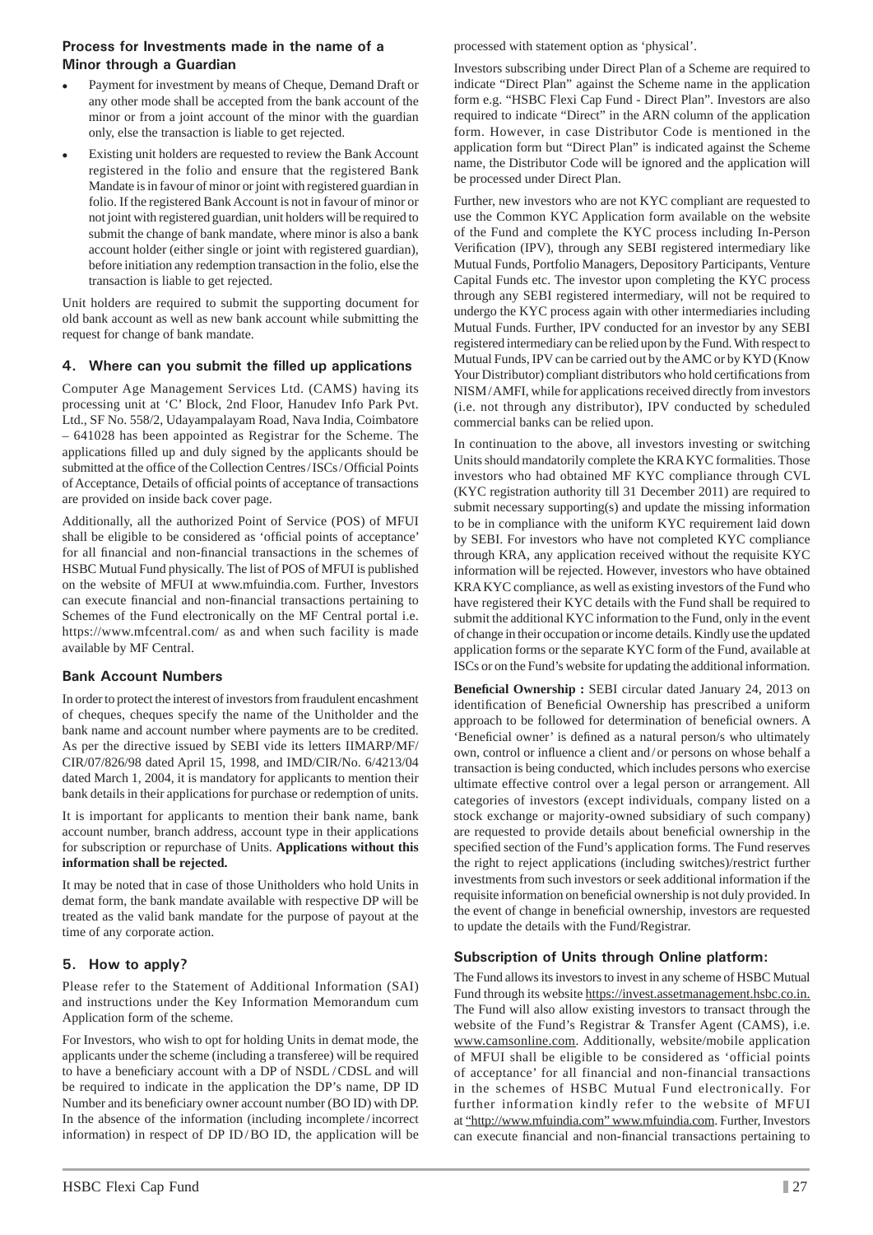#### **Process for Investments made in the name of a Minor through a Guardian**

- Payment for investment by means of Cheque, Demand Draft or any other mode shall be accepted from the bank account of the minor or from a joint account of the minor with the guardian only, else the transaction is liable to get rejected.
- Existing unit holders are requested to review the Bank Account registered in the folio and ensure that the registered Bank Mandate is in favour of minor or joint with registered guardian in folio. If the registered Bank Account is not in favour of minor or not joint with registered guardian, unit holders will be required to submit the change of bank mandate, where minor is also a bank account holder (either single or joint with registered guardian), before initiation any redemption transaction in the folio, else the transaction is liable to get rejected.

Unit holders are required to submit the supporting document for old bank account as well as new bank account while submitting the request for change of bank mandate.

### **4. Where can you submit the filled up applications**

Computer Age Management Services Ltd. (CAMS) having its processing unit at 'C' Block, 2nd Floor, Hanudev Info Park Pvt. Ltd., SF No. 558/2, Udayampalayam Road, Nava India, Coimbatore – 641028 has been appointed as Registrar for the Scheme. The applications filled up and duly signed by the applicants should be submitted at the office of the Collection Centres/ISCs/Official Points of Acceptance, Details of official points of acceptance of transactions are provided on inside back cover page.

Additionally, all the authorized Point of Service (POS) of MFUI shall be eligible to be considered as 'official points of acceptance' for all financial and non-financial transactions in the schemes of HSBC Mutual Fund physically. The list of POS of MFUI is published on the website of MFUI at www.mfuindia.com. Further, Investors can execute financial and non-financial transactions pertaining to Schemes of the Fund electronically on the MF Central portal i.e. https://www.mfcentral.com/ as and when such facility is made available by MF Central.

## **Bank Account Numbers**

In order to protect the interest of investors from fraudulent encashment of cheques, cheques specify the name of the Unitholder and the bank name and account number where payments are to be credited. As per the directive issued by SEBI vide its letters IIMARP/MF/ CIR/07/826/98 dated April 15, 1998, and IMD/CIR/No. 6/4213/04 dated March 1, 2004, it is mandatory for applicants to mention their bank details in their applications for purchase or redemption of units.

It is important for applicants to mention their bank name, bank account number, branch address, account type in their applications for subscription or repurchase of Units. **Applications without this information shall be rejected.**

It may be noted that in case of those Unitholders who hold Units in demat form, the bank mandate available with respective DP will be treated as the valid bank mandate for the purpose of payout at the time of any corporate action.

## **5. How to apply?**

Please refer to the Statement of Additional Information (SAI) and instructions under the Key Information Memorandum cum Application form of the scheme.

For Investors, who wish to opt for holding Units in demat mode, the applicants under the scheme (including a transferee) will be required to have a beneficiary account with a DP of NSDL/CDSL and will be required to indicate in the application the DP's name, DP ID Number and its beneficiary owner account number (BOID) with DP. In the absence of the information (including incomplete / incorrect information) in respect of DP ID/BO ID, the application will be

processed with statement option as 'physical'.

Investors subscribing under Direct Plan of a Scheme are required to indicate "Direct Plan" against the Scheme name in the application form e.g. "HSBC Flexi Cap Fund - Direct Plan". Investors are also required to indicate "Direct" in the ARN column of the application form. However, in case Distributor Code is mentioned in the application form but "Direct Plan" is indicated against the Scheme name, the Distributor Code will be ignored and the application will be processed under Direct Plan.

Further, new investors who are not KYC compliant are requested to use the Common KYC Application form available on the website of the Fund and complete the KYC process including In-Person Verification (IPV), through any SEBI registered intermediary like Mutual Funds, Portfolio Managers, Depository Participants, Venture Capital Funds etc. The investor upon completing the KYC process through any SEBI registered intermediary, will not be required to undergo the KYC process again with other intermediaries including Mutual Funds. Further, IPV conducted for an investor by any SEBI registered intermediary can be relied upon by the Fund. With respect to Mutual Funds, IPV can be carried out by the AMC or by KYD (Know Your Distributor) compliant distributors who hold certifications from NISM / AMFI, while for applications received directly from investors (i.e. not through any distributor), IPV conducted by scheduled commercial banks can be relied upon.

In continuation to the above, all investors investing or switching Units should mandatorily complete the KRA KYC formalities. Those investors who had obtained MF KYC compliance through CVL (KYC registration authority till 31 December 2011) are required to submit necessary supporting(s) and update the missing information to be in compliance with the uniform KYC requirement laid down by SEBI. For investors who have not completed KYC compliance through KRA, any application received without the requisite KYC information will be rejected. However, investors who have obtained KRA KYC compliance, as well as existing investors of the Fund who have registered their KYC details with the Fund shall be required to submit the additional KYC information to the Fund, only in the event of change in their occupation or income details. Kindly use the updated application forms or the separate KYC form of the Fund, available at ISCs or on the Fund's website for updating the additional information.

**Beneficial Ownership : SEBI** circular dated January 24, 2013 on identification of Beneficial Ownership has prescribed a uniform approach to be followed for determination of beneficial owners. A 'Beneficial owner' is defined as a natural person/s who ultimately own, control or influence a client and/or persons on whose behalf a transaction is being conducted, which includes persons who exercise ultimate effective control over a legal person or arrangement. All categories of investors (except individuals, company listed on a stock exchange or majority-owned subsidiary of such company) are requested to provide details about beneficial ownership in the specified section of the Fund's application forms. The Fund reserves the right to reject applications (including switches)/restrict further investments from such investors or seek additional information if the requisite information on beneficial ownership is not duly provided. In the event of change in beneficial ownership, investors are requested to update the details with the Fund/Registrar.

## **Subscription of Units through Online platform:**

The Fund allows its investors to invest in any scheme of HSBC Mutual Fund through its website https://invest.assetmanagement.hsbc.co.in. The Fund will also allow existing investors to transact through the website of the Fund's Registrar & Transfer Agent (CAMS), i.e. www.camsonline.com. Additionally, website/mobile application of MFUI shall be eligible to be considered as 'official points of acceptance' for all financial and non-financial transactions in the schemes of HSBC Mutual Fund electronically. For further information kindly refer to the website of MFUI at "http://www.mfuindia.com" www.mfuindia.com. Further, Investors can execute financial and non-financial transactions pertaining to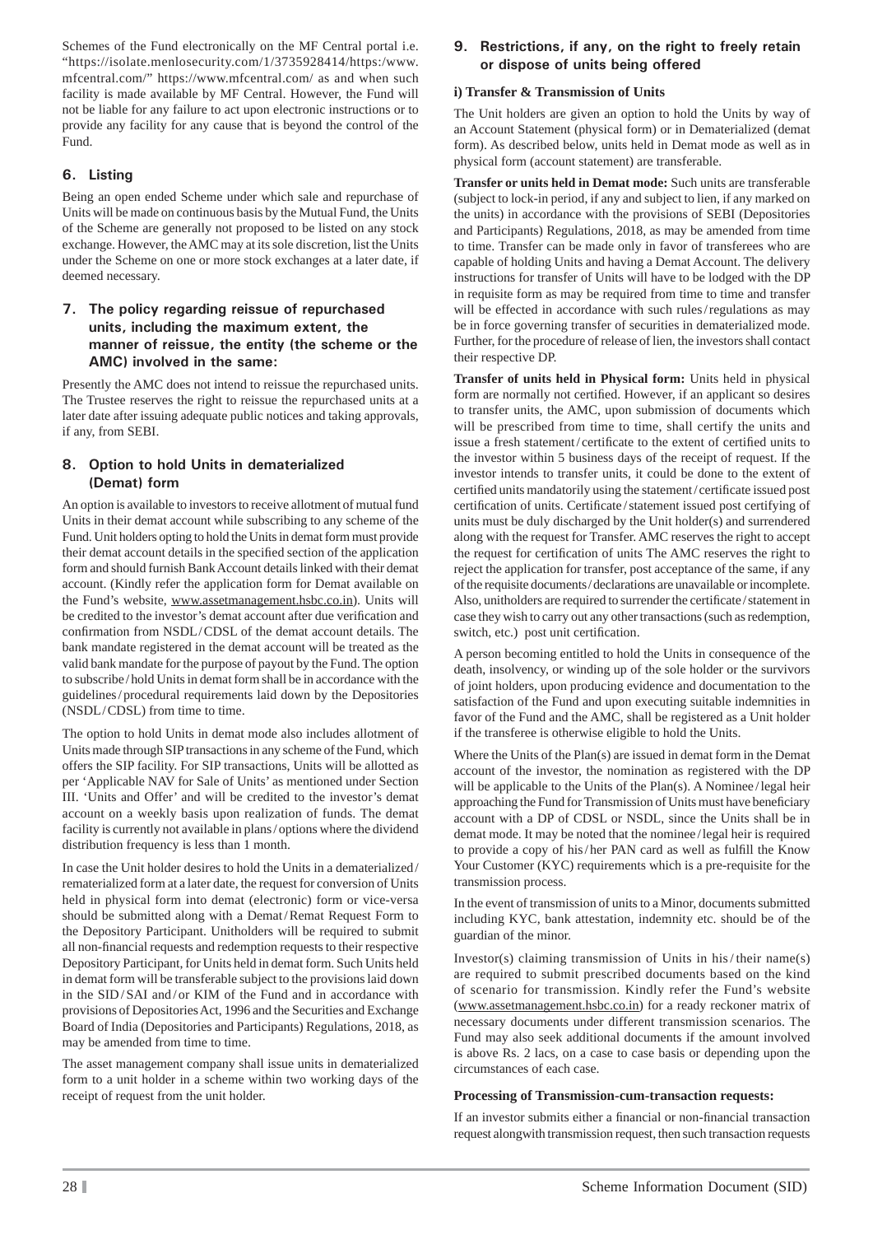Schemes of the Fund electronically on the MF Central portal i.e. "https://isolate.menlosecurity.com/1/3735928414/https:/www. mfcentral.com/" https://www.mfcentral.com/ as and when such facility is made available by MF Central. However, the Fund will not be liable for any failure to act upon electronic instructions or to provide any facility for any cause that is beyond the control of the Fund.

## **6. Listing**

Being an open ended Scheme under which sale and repurchase of Units will be made on continuous basis by the Mutual Fund, the Units of the Scheme are generally not proposed to be listed on any stock exchange. However, the AMC may at its sole discretion, list the Units under the Scheme on one or more stock exchanges at a later date, if deemed necessary.

#### **7. The policy regarding reissue of repurchased units, including the maximum extent, the manner of reissue, the entity (the scheme or the AMC) involved in the same:**

Presently the AMC does not intend to reissue the repurchased units. The Trustee reserves the right to reissue the repurchased units at a later date after issuing adequate public notices and taking approvals, if any, from SEBI.

### **8. Option to hold Units in dematerialized (Demat) form**

An option is available to investors to receive allotment of mutual fund Units in their demat account while subscribing to any scheme of the Fund. Unit holders opting to hold the Units in demat form must provide their demat account details in the specified section of the application form and should furnish Bank Account details linked with their demat account. (Kindly refer the application form for Demat available on the Fund's website, www.assetmanagement.hsbc.co.in). Units will be credited to the investor's demat account after due verification and confirmation from NSDL / CDSL of the demat account details. The bank mandate registered in the demat account will be treated as the valid bank mandate for the purpose of payout by the Fund. The option to subscribe / hold Units in demat form shall be in accordance with the guidelines / procedural requirements laid down by the Depositories (NSDL/CDSL) from time to time.

The option to hold Units in demat mode also includes allotment of Units made through SIP transactions in any scheme of the Fund, which offers the SIP facility. For SIP transactions, Units will be allotted as per 'Applicable NAV for Sale of Units' as mentioned under Section III. 'Units and Offer' and will be credited to the investor's demat account on a weekly basis upon realization of funds. The demat facility is currently not available in plans / options where the dividend distribution frequency is less than 1 month.

In case the Unit holder desires to hold the Units in a dematerialized / rematerialized form at a later date, the request for conversion of Units held in physical form into demat (electronic) form or vice-versa should be submitted along with a Demat/Remat Request Form to the Depository Participant. Unitholders will be required to submit all non-financial requests and redemption requests to their respective Depository Participant, for Units held in demat form. Such Units held in demat form will be transferable subject to the provisions laid down in the SID/SAI and/or KIM of the Fund and in accordance with provisions of Depositories Act, 1996 and the Securities and Exchange Board of India (Depositories and Participants) Regulations, 2018, as may be amended from time to time.

The asset management company shall issue units in dematerialized form to a unit holder in a scheme within two working days of the receipt of request from the unit holder.

## **9. Restrictions, if any, on the right to freely retain or dispose of units being offered**

## **i) Transfer & Transmission of Units**

The Unit holders are given an option to hold the Units by way of an Account Statement (physical form) or in Dematerialized (demat form). As described below, units held in Demat mode as well as in physical form (account statement) are transferable.

**Transfer or units held in Demat mode:** Such units are transferable (subject to lock-in period, if any and subject to lien, if any marked on the units) in accordance with the provisions of SEBI (Depositories and Participants) Regulations, 2018, as may be amended from time to time. Transfer can be made only in favor of transferees who are capable of holding Units and having a Demat Account. The delivery instructions for transfer of Units will have to be lodged with the DP in requisite form as may be required from time to time and transfer will be effected in accordance with such rules/regulations as may be in force governing transfer of securities in dematerialized mode. Further, for the procedure of release of lien, the investors shall contact their respective DP.

**Transfer of units held in Physical form:** Units held in physical form are normally not certified. However, if an applicant so desires to transfer units, the AMC, upon submission of documents which will be prescribed from time to time, shall certify the units and issue a fresh statement/certificate to the extent of certified units to the investor within 5 business days of the receipt of request. If the investor intends to transfer units, it could be done to the extent of certified units mandatorily using the statement/certificate issued post certification of units. Certificate/statement issued post certifying of units must be duly discharged by the Unit holder(s) and surrendered along with the request for Transfer. AMC reserves the right to accept the request for certification of units The AMC reserves the right to reject the application for transfer, post acceptance of the same, if any of the requisite documents / declarations are unavailable or incomplete. Also, unitholders are required to surrender the certificate/statement in case they wish to carry out any other transactions (such as redemption, switch, etc.) post unit certification.

A person becoming entitled to hold the Units in consequence of the death, insolvency, or winding up of the sole holder or the survivors of joint holders, upon producing evidence and documentation to the satisfaction of the Fund and upon executing suitable indemnities in favor of the Fund and the AMC, shall be registered as a Unit holder if the transferee is otherwise eligible to hold the Units.

Where the Units of the Plan(s) are issued in demat form in the Demat account of the investor, the nomination as registered with the DP will be applicable to the Units of the Plan(s). A Nominee/legal heir approaching the Fund for Transmission of Units must have beneficiary account with a DP of CDSL or NSDL, since the Units shall be in demat mode. It may be noted that the nominee / legal heir is required to provide a copy of his/her PAN card as well as fulfill the Know Your Customer (KYC) requirements which is a pre-requisite for the transmission process.

In the event of transmission of units to a Minor, documents submitted including KYC, bank attestation, indemnity etc. should be of the guardian of the minor.

Investor(s) claiming transmission of Units in his/their name(s) are required to submit prescribed documents based on the kind of scenario for transmission. Kindly refer the Fund's website (www.assetmanagement.hsbc.co.in) for a ready reckoner matrix of necessary documents under different transmission scenarios. The Fund may also seek additional documents if the amount involved is above Rs. 2 lacs, on a case to case basis or depending upon the circumstances of each case.

#### **Processing of Transmission-cum-transaction requests:**

If an investor submits either a financial or non-financial transaction request alongwith transmission request, then such transaction requests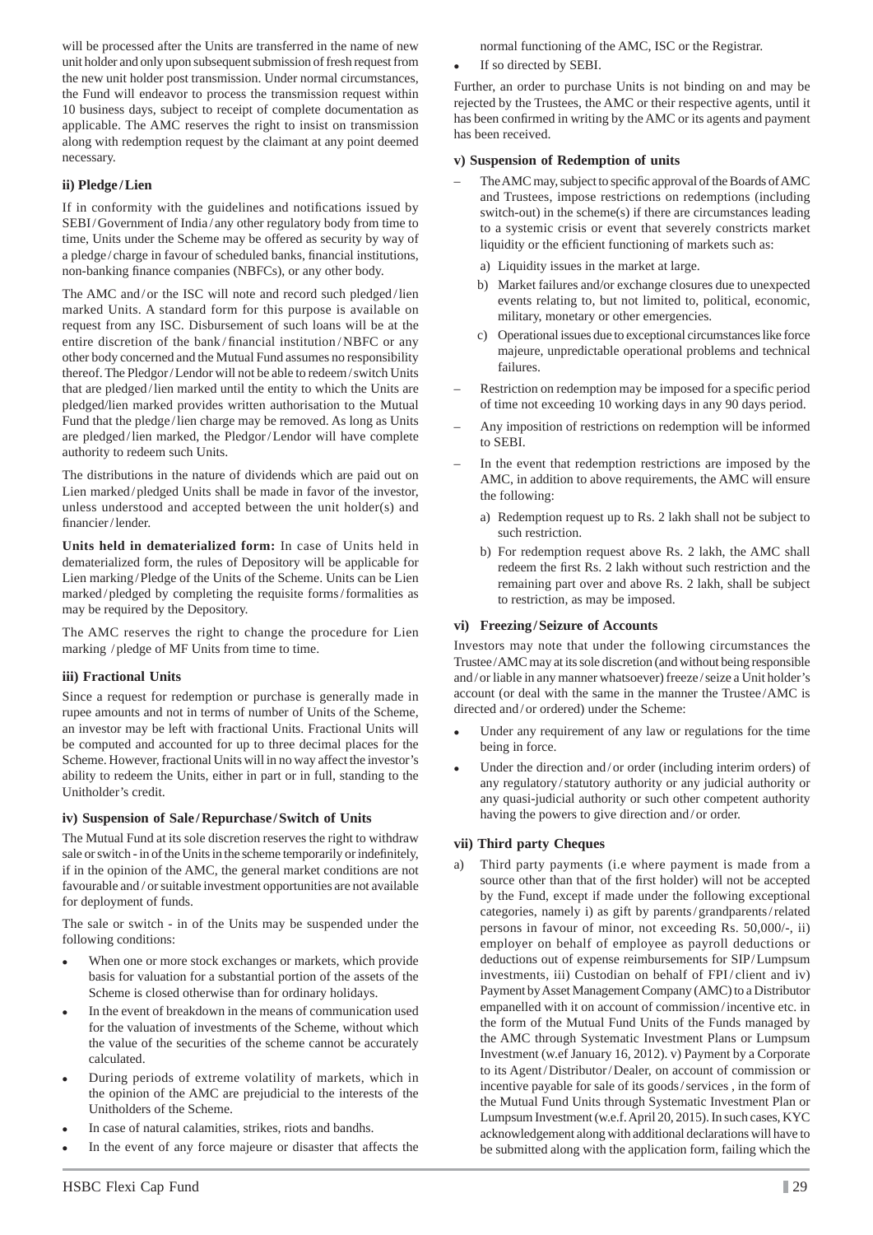will be processed after the Units are transferred in the name of new unit holder and only upon subsequent submission of fresh request from the new unit holder post transmission. Under normal circumstances, the Fund will endeavor to process the transmission request within 10 business days, subject to receipt of complete documentation as applicable. The AMC reserves the right to insist on transmission along with redemption request by the claimant at any point deemed necessary.

#### **ii) Pledge / Lien**

If in conformity with the guidelines and notifications issued by SEBI / Government of India / any other regulatory body from time to time, Units under the Scheme may be offered as security by way of a pledge/charge in favour of scheduled banks, financial institutions, non-banking finance companies (NBFCs), or any other body.

The AMC and/or the ISC will note and record such pledged/lien marked Units. A standard form for this purpose is available on request from any ISC. Disbursement of such loans will be at the entire discretion of the bank/financial institution/NBFC or any other body concerned and the Mutual Fund assumes no responsibility thereof. The Pledgor / Lendor will not be able to redeem / switch Units that are pledged / lien marked until the entity to which the Units are pledged/lien marked provides written authorisation to the Mutual Fund that the pledge / lien charge may be removed. As long as Units are pledged / lien marked, the Pledgor / Lendor will have complete authority to redeem such Units.

The distributions in the nature of dividends which are paid out on Lien marked / pledged Units shall be made in favor of the investor, unless understood and accepted between the unit holder(s) and financier/lender.

**Units held in dematerialized form:** In case of Units held in dematerialized form, the rules of Depository will be applicable for Lien marking / Pledge of the Units of the Scheme. Units can be Lien marked / pledged by completing the requisite forms / formalities as may be required by the Depository.

The AMC reserves the right to change the procedure for Lien marking / pledge of MF Units from time to time.

#### **iii) Fractional Units**

Since a request for redemption or purchase is generally made in rupee amounts and not in terms of number of Units of the Scheme, an investor may be left with fractional Units. Fractional Units will be computed and accounted for up to three decimal places for the Scheme. However, fractional Units will in no way affect the investor's ability to redeem the Units, either in part or in full, standing to the Unitholder's credit.

#### **iv) Suspension of Sale / Repurchase / Switch of Units**

The Mutual Fund at its sole discretion reserves the right to withdraw sale or switch - in of the Units in the scheme temporarily or indefinitely, if in the opinion of the AMC, the general market conditions are not favourable and / or suitable investment opportunities are not available for deployment of funds.

The sale or switch - in of the Units may be suspended under the following conditions:

- When one or more stock exchanges or markets, which provide basis for valuation for a substantial portion of the assets of the Scheme is closed otherwise than for ordinary holidays.
- In the event of breakdown in the means of communication used for the valuation of investments of the Scheme, without which the value of the securities of the scheme cannot be accurately calculated.
- During periods of extreme volatility of markets, which in the opinion of the AMC are prejudicial to the interests of the Unitholders of the Scheme.
- In case of natural calamities, strikes, riots and bandhs.
- In the event of any force majeure or disaster that affects the

normal functioning of the AMC, ISC or the Registrar.

If so directed by SEBI.

Further, an order to purchase Units is not binding on and may be rejected by the Trustees, the AMC or their respective agents, until it has been confirmed in writing by the AMC or its agents and payment has been received.

#### **v) Suspension of Redemption of units**

- The AMC may, subject to specific approval of the Boards of AMC and Trustees, impose restrictions on redemptions (including switch-out) in the scheme(s) if there are circumstances leading to a systemic crisis or event that severely constricts market liquidity or the efficient functioning of markets such as:
	- a) Liquidity issues in the market at large.
	- b) Market failures and/or exchange closures due to unexpected events relating to, but not limited to, political, economic, military, monetary or other emergencies.
	- c) Operational issues due to exceptional circumstances like force majeure, unpredictable operational problems and technical failures.
- Restriction on redemption may be imposed for a specific period of time not exceeding 10 working days in any 90 days period.
- Any imposition of restrictions on redemption will be informed to SEBI.
- In the event that redemption restrictions are imposed by the AMC, in addition to above requirements, the AMC will ensure the following:
	- a) Redemption request up to Rs. 2 lakh shall not be subject to such restriction.
	- b) For redemption request above Rs. 2 lakh, the AMC shall redeem the first Rs. 2 lakh without such restriction and the remaining part over and above Rs. 2 lakh, shall be subject to restriction, as may be imposed.

#### **vi) Freezing / Seizure of Accounts**

Investors may note that under the following circumstances the Trustee / AMC may at its sole discretion (and without being responsible and / or liable in any manner whatsoever) freeze / seize a Unit holder's account (or deal with the same in the manner the Trustee / AMC is directed and / or ordered) under the Scheme:

- Under any requirement of any law or regulations for the time being in force.
- Under the direction and / or order (including interim orders) of any regulatory / statutory authority or any judicial authority or any quasi-judicial authority or such other competent authority having the powers to give direction and/or order.

#### **vii) Third party Cheques**

a) Third party payments (i.e where payment is made from a source other than that of the first holder) will not be accepted by the Fund, except if made under the following exceptional categories, namely i) as gift by parents / grandparents / related persons in favour of minor, not exceeding Rs. 50,000/-, ii) employer on behalf of employee as payroll deductions or deductions out of expense reimbursements for SIP/Lumpsum investments, iii) Custodian on behalf of FPI/client and iv) Payment by Asset Management Company (AMC) to a Distributor empanelled with it on account of commission / incentive etc. in the form of the Mutual Fund Units of the Funds managed by the AMC through Systematic Investment Plans or Lumpsum Investment (w.ef January 16, 2012). v) Payment by a Corporate to its Agent/Distributor/Dealer, on account of commission or incentive payable for sale of its goods / services , in the form of the Mutual Fund Units through Systematic Investment Plan or Lumpsum Investment (w.e.f. April 20, 2015). In such cases, KYC acknowledgement along with additional declarations will have to be submitted along with the application form, failing which the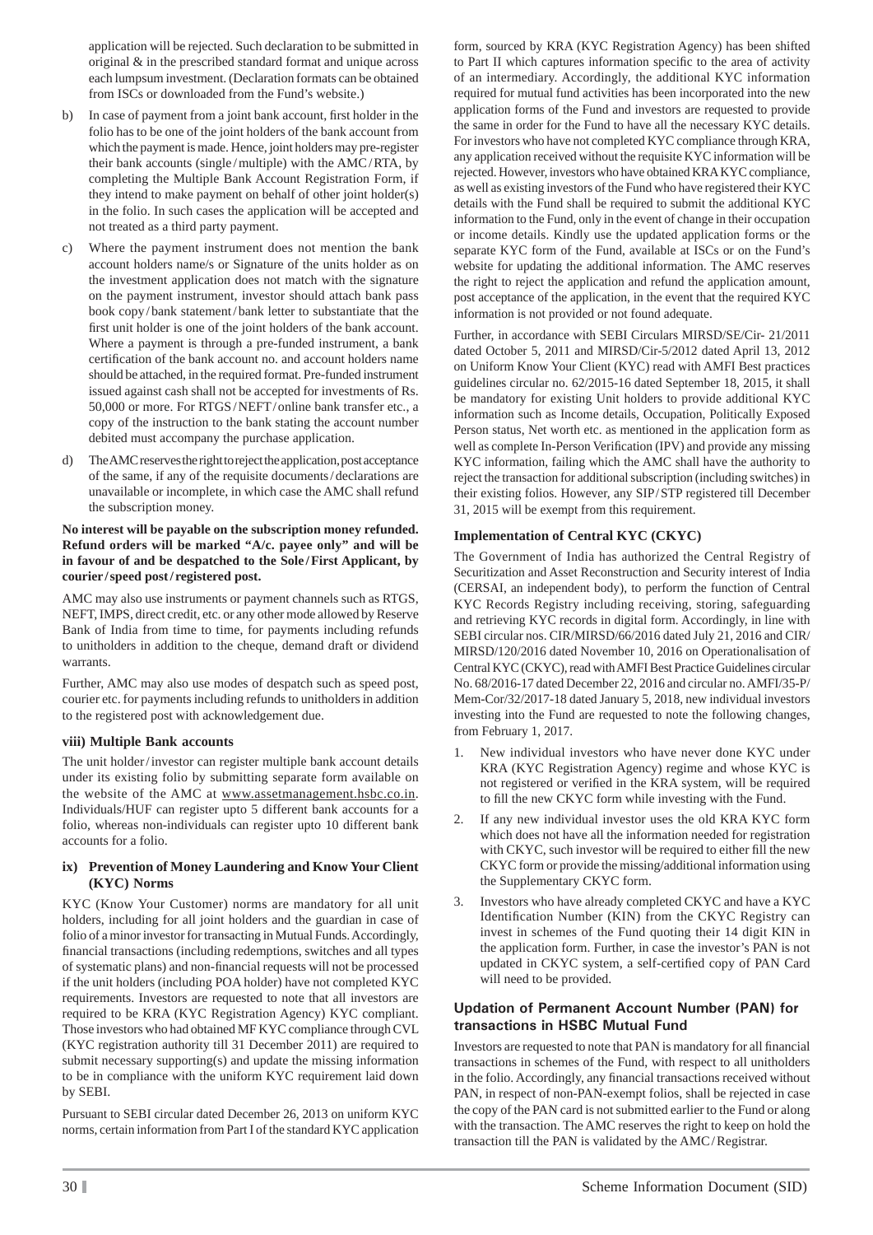application will be rejected. Such declaration to be submitted in original & in the prescribed standard format and unique across each lumpsum investment. (Declaration formats can be obtained from ISCs or downloaded from the Fund's website.)

- b) In case of payment from a joint bank account, first holder in the folio has to be one of the joint holders of the bank account from which the payment is made. Hence, joint holders may pre-register their bank accounts (single / multiple) with the AMC / RTA, by completing the Multiple Bank Account Registration Form, if they intend to make payment on behalf of other joint holder(s) in the folio. In such cases the application will be accepted and not treated as a third party payment.
- c) Where the payment instrument does not mention the bank account holders name/s or Signature of the units holder as on the investment application does not match with the signature on the payment instrument, investor should attach bank pass book copy / bank statement / bank letter to substantiate that the first unit holder is one of the joint holders of the bank account. Where a payment is through a pre-funded instrument, a bank certification of the bank account no. and account holders name should be attached, in the required format. Pre-funded instrument issued against cash shall not be accepted for investments of Rs. 50,000 or more. For RTGS / NEFT / online bank transfer etc., a copy of the instruction to the bank stating the account number debited must accompany the purchase application.
- d) The AMC reserves the right to reject the application, post acceptance of the same, if any of the requisite documents / declarations are unavailable or incomplete, in which case the AMC shall refund the subscription money.

#### **No interest will be payable on the subscription money refunded. Refund orders will be marked "A/c. payee only" and will be in favour of and be despatched to the Sole / First Applicant, by courier / speed post / registered post.**

AMC may also use instruments or payment channels such as RTGS, NEFT, IMPS, direct credit, etc. or any other mode allowed by Reserve Bank of India from time to time, for payments including refunds to unitholders in addition to the cheque, demand draft or dividend warrants.

Further, AMC may also use modes of despatch such as speed post, courier etc. for payments including refunds to unitholders in addition to the registered post with acknowledgement due.

#### **viii) Multiple Bank accounts**

The unit holder/investor can register multiple bank account details under its existing folio by submitting separate form available on the website of the AMC at www.assetmanagement.hsbc.co.in. Individuals/HUF can register upto 5 different bank accounts for a folio, whereas non-individuals can register upto 10 different bank accounts for a folio.

#### **ix) Prevention of Money Laundering and Know Your Client (KYC) Norms**

KYC (Know Your Customer) norms are mandatory for all unit holders, including for all joint holders and the guardian in case of folio of a minor investor for transacting in Mutual Funds. Accordingly, financial transactions (including redemptions, switches and all types of systematic plans) and non-financial requests will not be processed if the unit holders (including POA holder) have not completed KYC requirements. Investors are requested to note that all investors are required to be KRA (KYC Registration Agency) KYC compliant. Those investors who had obtained MF KYC compliance through CVL (KYC registration authority till 31 December 2011) are required to submit necessary supporting(s) and update the missing information to be in compliance with the uniform KYC requirement laid down by SEBI.

Pursuant to SEBI circular dated December 26, 2013 on uniform KYC norms, certain information from Part I of the standard KYC application

form, sourced by KRA (KYC Registration Agency) has been shifted to Part II which captures information specific to the area of activity of an intermediary. Accordingly, the additional KYC information required for mutual fund activities has been incorporated into the new application forms of the Fund and investors are requested to provide the same in order for the Fund to have all the necessary KYC details. For investors who have not completed KYC compliance through KRA, any application received without the requisite KYC information will be rejected. However, investors who have obtained KRA KYC compliance, as well as existing investors of the Fund who have registered their KYC details with the Fund shall be required to submit the additional KYC information to the Fund, only in the event of change in their occupation or income details. Kindly use the updated application forms or the separate KYC form of the Fund, available at ISCs or on the Fund's website for updating the additional information. The AMC reserves the right to reject the application and refund the application amount, post acceptance of the application, in the event that the required KYC information is not provided or not found adequate.

Further, in accordance with SEBI Circulars MIRSD/SE/Cir- 21/2011 dated October 5, 2011 and MIRSD/Cir-5/2012 dated April 13, 2012 on Uniform Know Your Client (KYC) read with AMFI Best practices guidelines circular no. 62/2015-16 dated September 18, 2015, it shall be mandatory for existing Unit holders to provide additional KYC information such as Income details, Occupation, Politically Exposed Person status, Net worth etc. as mentioned in the application form as well as complete In-Person Verification (IPV) and provide any missing KYC information, failing which the AMC shall have the authority to reject the transaction for additional subscription (including switches) in their existing folios. However, any SIP/STP registered till December 31, 2015 will be exempt from this requirement.

## **Implementation of Central KYC (CKYC)**

The Government of India has authorized the Central Registry of Securitization and Asset Reconstruction and Security interest of India (CERSAI, an independent body), to perform the function of Central KYC Records Registry including receiving, storing, safeguarding and retrieving KYC records in digital form. Accordingly, in line with SEBI circular nos. CIR/MIRSD/66/2016 dated July 21, 2016 and CIR/ MIRSD/120/2016 dated November 10, 2016 on Operationalisation of Central KYC (CKYC), read with AMFI Best Practice Guidelines circular No. 68/2016-17 dated December 22, 2016 and circular no. AMFI/35-P/ Mem-Cor/32/2017-18 dated January 5, 2018, new individual investors investing into the Fund are requested to note the following changes, from February 1, 2017.

- New individual investors who have never done KYC under KRA (KYC Registration Agency) regime and whose KYC is not registered or verified in the KRA system, will be required to fill the new CKYC form while investing with the Fund.
- 2. If any new individual investor uses the old KRA KYC form which does not have all the information needed for registration with CKYC, such investor will be required to either fill the new CKYC form or provide the missing/additional information using the Supplementary CKYC form.
- 3. Investors who have already completed CKYC and have a KYC Identification Number (KIN) from the CKYC Registry can invest in schemes of the Fund quoting their 14 digit KIN in the application form. Further, in case the investor's PAN is not updated in CKYC system, a self-certified copy of PAN Card will need to be provided.

### **Updation of Permanent Account Number (PAN) for transactions in HSBC Mutual Fund**

Investors are requested to note that PAN is mandatory for all financial transactions in schemes of the Fund, with respect to all unitholders in the folio. Accordingly, any financial transactions received without PAN, in respect of non-PAN-exempt folios, shall be rejected in case the copy of the PAN card is not submitted earlier to the Fund or along with the transaction. The AMC reserves the right to keep on hold the transaction till the PAN is validated by the AMC / Registrar.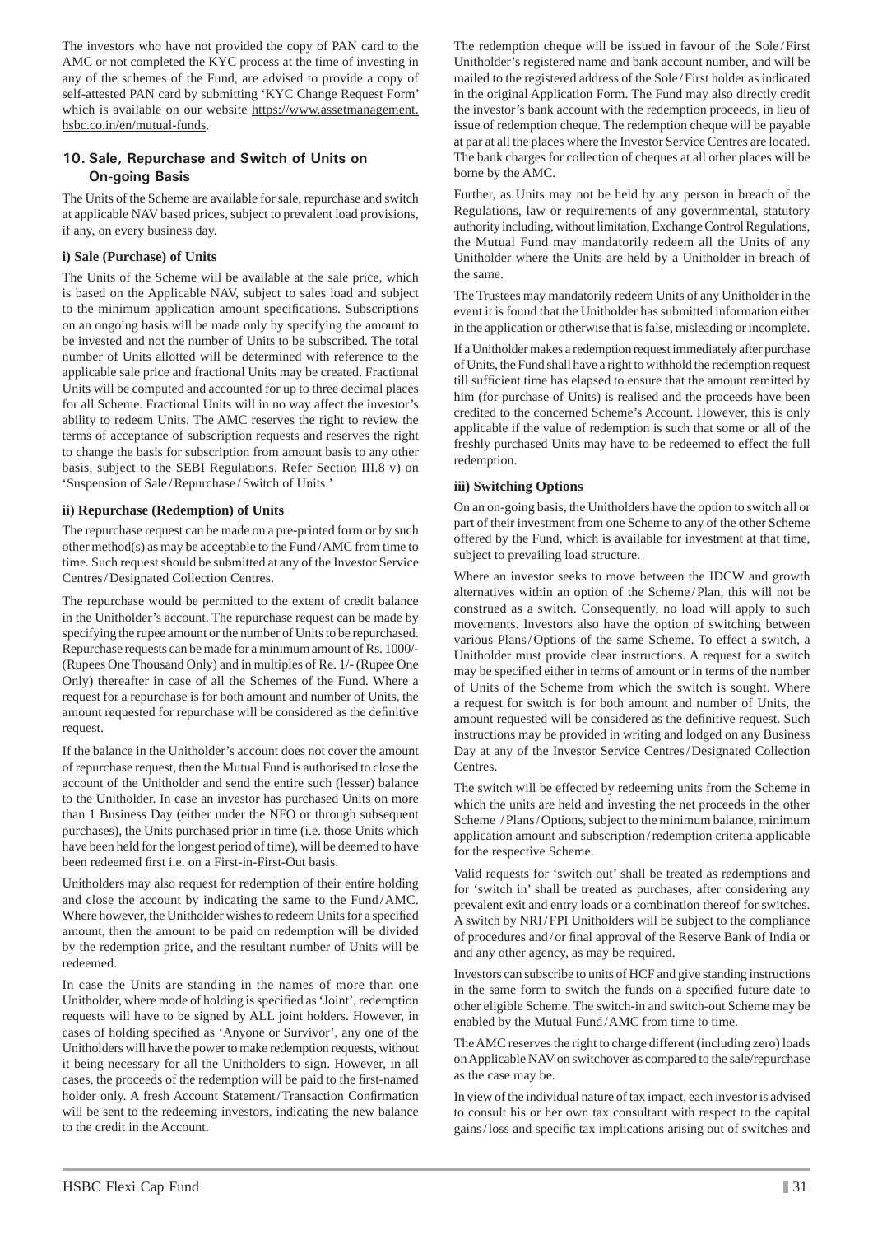The investors who have not provided the copy of PAN card to the AMC or not completed the KYC process at the time of investing in any of the schemes of the Fund, are advised to provide a copy of self-attested PAN card by submitting 'KYC Change Request Form' which is available on our website https://www.assetmanagement. hsbc.co.in/en/mutual-funds.

### **10. Sale, Repurchase and Switch of Units on On-going Basis**

The Units of the Scheme are available for sale, repurchase and switch at applicable NAV based prices, subject to prevalent load provisions, if any, on every business day.

#### **i) Sale (Purchase) of Units**

The Units of the Scheme will be available at the sale price, which is based on the Applicable NAV, subject to sales load and subject to the minimum application amount specifications. Subscriptions on an ongoing basis will be made only by specifying the amount to be invested and not the number of Units to be subscribed. The total number of Units allotted will be determined with reference to the applicable sale price and fractional Units may be created. Fractional Units will be computed and accounted for up to three decimal places for all Scheme. Fractional Units will in no way affect the investor's ability to redeem Units. The AMC reserves the right to review the terms of acceptance of subscription requests and reserves the right to change the basis for subscription from amount basis to any other basis, subject to the SEBI Regulations. Refer Section III.8 v) on 'Suspension of Sale / Repurchase / Switch of Units.'

#### **ii) Repurchase (Redemption) of Units**

The repurchase request can be made on a pre-printed form or by such other method(s) as may be acceptable to the Fund / AMC from time to time. Such request should be submitted at any of the Investor Service Centres / Designated Collection Centres.

The repurchase would be permitted to the extent of credit balance in the Unitholder's account. The repurchase request can be made by specifying the rupee amount or the number of Units to be repurchased. Repurchase requests can be made for a minimum amount of Rs. 1000/- (Rupees One Thousand Only) and in multiples of Re. 1/- (Rupee One Only) thereafter in case of all the Schemes of the Fund. Where a request for a repurchase is for both amount and number of Units, the amount requested for repurchase will be considered as the definitive request.

If the balance in the Unitholder's account does not cover the amount of repurchase request, then the Mutual Fund is authorised to close the account of the Unitholder and send the entire such (lesser) balance to the Unitholder. In case an investor has purchased Units on more than 1 Business Day (either under the NFO or through subsequent purchases), the Units purchased prior in time (i.e. those Units which have been held for the longest period of time), will be deemed to have been redeemed first i.e. on a First-in-First-Out basis.

Unitholders may also request for redemption of their entire holding and close the account by indicating the same to the Fund / AMC. Where however, the Unitholder wishes to redeem Units for a specified amount, then the amount to be paid on redemption will be divided by the redemption price, and the resultant number of Units will be redeemed.

In case the Units are standing in the names of more than one Unitholder, where mode of holding is specified as 'Joint', redemption requests will have to be signed by ALL joint holders. However, in cases of holding specified as 'Anyone or Survivor', any one of the Unitholders will have the power to make redemption requests, without it being necessary for all the Unitholders to sign. However, in all cases, the proceeds of the redemption will be paid to the first-named holder only. A fresh Account Statement/Transaction Confirmation will be sent to the redeeming investors, indicating the new balance to the credit in the Account.

The redemption cheque will be issued in favour of the Sole / First Unitholder's registered name and bank account number, and will be mailed to the registered address of the Sole / First holder as indicated in the original Application Form. The Fund may also directly credit the investor's bank account with the redemption proceeds, in lieu of issue of redemption cheque. The redemption cheque will be payable at par at all the places where the Investor Service Centres are located. The bank charges for collection of cheques at all other places will be borne by the AMC.

Further, as Units may not be held by any person in breach of the Regulations, law or requirements of any governmental, statutory authority including, without limitation, Exchange Control Regulations, the Mutual Fund may mandatorily redeem all the Units of any Unitholder where the Units are held by a Unitholder in breach of the same.

The Trustees may mandatorily redeem Units of any Unitholder in the event it is found that the Unitholder has submitted information either in the application or otherwise that is false, misleading or incomplete.

If a Unitholder makes a redemption request immediately after purchase of Units, the Fund shall have a right to withhold the redemption request till sufficient time has elapsed to ensure that the amount remitted by him (for purchase of Units) is realised and the proceeds have been credited to the concerned Scheme's Account. However, this is only applicable if the value of redemption is such that some or all of the freshly purchased Units may have to be redeemed to effect the full redemption.

### **iii) Switching Options**

On an on-going basis, the Unitholders have the option to switch all or part of their investment from one Scheme to any of the other Scheme offered by the Fund, which is available for investment at that time, subject to prevailing load structure.

Where an investor seeks to move between the IDCW and growth alternatives within an option of the Scheme / Plan, this will not be construed as a switch. Consequently, no load will apply to such movements. Investors also have the option of switching between various Plans/Options of the same Scheme. To effect a switch, a Unitholder must provide clear instructions. A request for a switch may be specified either in terms of amount or in terms of the number of Units of the Scheme from which the switch is sought. Where a request for switch is for both amount and number of Units, the amount requested will be considered as the definitive request. Such instructions may be provided in writing and lodged on any Business Day at any of the Investor Service Centres / Designated Collection Centres.

The switch will be effected by redeeming units from the Scheme in which the units are held and investing the net proceeds in the other Scheme / Plans/ Options, subject to the minimum balance, minimum application amount and subscription / redemption criteria applicable for the respective Scheme.

Valid requests for 'switch out' shall be treated as redemptions and for 'switch in' shall be treated as purchases, after considering any prevalent exit and entry loads or a combination thereof for switches. A switch by NRI / FPI Unitholders will be subject to the compliance of procedures and/or final approval of the Reserve Bank of India or and any other agency, as may be required.

Investors can subscribe to units of HCF and give standing instructions in the same form to switch the funds on a specified future date to other eligible Scheme. The switch-in and switch-out Scheme may be enabled by the Mutual Fund / AMC from time to time.

The AMC reserves the right to charge different (including zero) loads on Applicable NAV on switchover as compared to the sale/repurchase as the case may be.

In view of the individual nature of tax impact, each investor is advised to consult his or her own tax consultant with respect to the capital gains/loss and specific tax implications arising out of switches and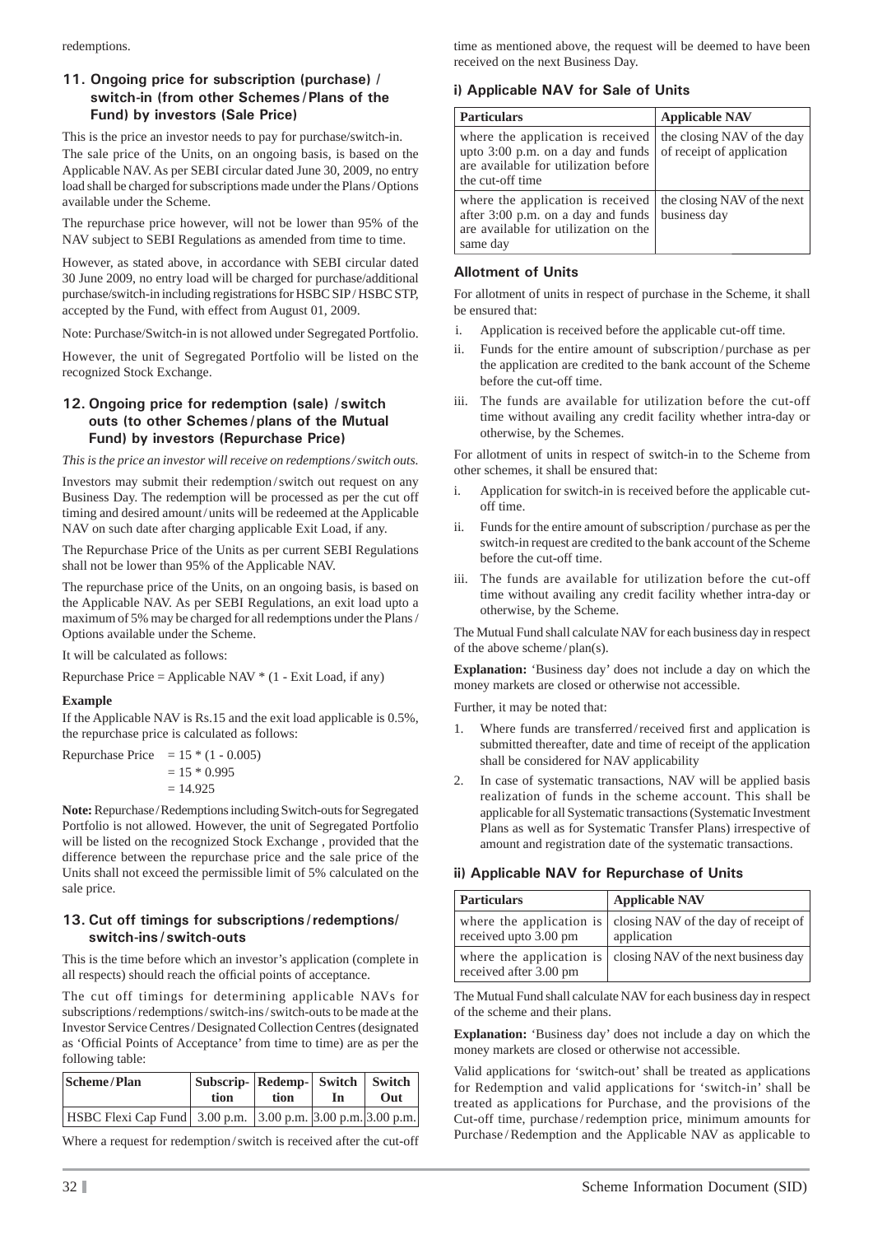redemptions.

## **11. Ongoing price for subscription (purchase) / switch-in (from other Schemes / Plans of the Fund) by investors (Sale Price)**

This is the price an investor needs to pay for purchase/switch-in. The sale price of the Units, on an ongoing basis, is based on the Applicable NAV. As per SEBI circular dated June 30, 2009, no entry load shall be charged for subscriptions made under the Plans / Options available under the Scheme.

The repurchase price however, will not be lower than 95% of the NAV subject to SEBI Regulations as amended from time to time.

However, as stated above, in accordance with SEBI circular dated 30 June 2009, no entry load will be charged for purchase/additional purchase/switch-in including registrations for HSBC SIP / HSBC STP, accepted by the Fund, with effect from August 01, 2009.

Note: Purchase/Switch-in is not allowed under Segregated Portfolio.

However, the unit of Segregated Portfolio will be listed on the recognized Stock Exchange.

#### **12. Ongoing price for redemption (sale) / switch outs (to other Schemes / plans of the Mutual Fund) by investors (Repurchase Price)**

*This is the price an investor will receive on redemptions / switch outs.*

Investors may submit their redemption / switch out request on any Business Day. The redemption will be processed as per the cut off timing and desired amount / units will be redeemed at the Applicable NAV on such date after charging applicable Exit Load, if any.

The Repurchase Price of the Units as per current SEBI Regulations shall not be lower than 95% of the Applicable NAV.

The repurchase price of the Units, on an ongoing basis, is based on the Applicable NAV. As per SEBI Regulations, an exit load upto a maximum of 5% may be charged for all redemptions under the Plans / Options available under the Scheme.

It will be calculated as follows:

Repurchase Price = Applicable NAV \* (1 - Exit Load, if any)

#### **Example**

If the Applicable NAV is Rs.15 and the exit load applicable is 0.5%, the repurchase price is calculated as follows:

| Repurchase Price = $15 * (1 - 0.005)$ |
|---------------------------------------|
| $= 15 * 0.995$                        |
| $= 14.925$                            |

**Note:** Repurchase / Redemptions including Switch-outs for Segregated Portfolio is not allowed. However, the unit of Segregated Portfolio will be listed on the recognized Stock Exchange , provided that the difference between the repurchase price and the sale price of the Units shall not exceed the permissible limit of 5% calculated on the sale price.

### **13. Cut off timings for subscriptions / redemptions/ switch-ins / switch-outs**

This is the time before which an investor's application (complete in all respects) should reach the official points of acceptance.

The cut off timings for determining applicable NAVs for subscriptions / redemptions / switch-ins / switch-outs to be made at the Investor Service Centres / Designated Collection Centres (designated as 'Official Points of Acceptance' from time to time) are as per the following table:

| Scheme/Plan                                                         | Subscrip-   Redemp-   Switch   Switch  <br>tion | tion | In | Out |
|---------------------------------------------------------------------|-------------------------------------------------|------|----|-----|
| HSBC Flexi Cap Fund   3.00 p.m.   3.00 p.m.   3.00 p.m.   3.00 p.m. |                                                 |      |    |     |

Where a request for redemption / switch is received after the cut-off

time as mentioned above, the request will be deemed to have been received on the next Business Day.

### **i) Applicable NAV for Sale of Units**

| <b>Particulars</b>                                                                                                                   | <b>Applicable NAV</b>                                   |
|--------------------------------------------------------------------------------------------------------------------------------------|---------------------------------------------------------|
| where the application is received<br>upto $3:00$ p.m. on a day and funds<br>are available for utilization before<br>the cut-off time | the closing NAV of the day<br>of receipt of application |
| where the application is received<br>after 3:00 p.m. on a day and funds<br>are available for utilization on the<br>same day          | the closing NAV of the next<br>business day             |

### **Allotment of Units**

For allotment of units in respect of purchase in the Scheme, it shall be ensured that:

- i. Application is received before the applicable cut-off time.
- Funds for the entire amount of subscription / purchase as per the application are credited to the bank account of the Scheme before the cut-off time.
- iii. The funds are available for utilization before the cut-off time without availing any credit facility whether intra-day or otherwise, by the Schemes.

For allotment of units in respect of switch-in to the Scheme from other schemes, it shall be ensured that:

- i. Application for switch-in is received before the applicable cutoff time.
- ii. Funds for the entire amount of subscription / purchase as per the switch-in request are credited to the bank account of the Scheme before the cut-off time.
- iii. The funds are available for utilization before the cut-off time without availing any credit facility whether intra-day or otherwise, by the Scheme.

The Mutual Fund shall calculate NAV for each business day in respect of the above scheme / plan(s).

**Explanation:** 'Business day' does not include a day on which the money markets are closed or otherwise not accessible.

Further, it may be noted that:

- Where funds are transferred/received first and application is submitted thereafter, date and time of receipt of the application shall be considered for NAV applicability
- 2. In case of systematic transactions, NAV will be applied basis realization of funds in the scheme account. This shall be applicable for all Systematic transactions (Systematic Investment Plans as well as for Systematic Transfer Plans) irrespective of amount and registration date of the systematic transactions.

#### **ii) Applicable NAV for Repurchase of Units**

| <b>Particulars</b>                                 | <b>Applicable NAV</b>                                 |
|----------------------------------------------------|-------------------------------------------------------|
| where the application is<br>received upto 3.00 pm  | closing NAV of the day of receipt of  <br>application |
| where the application is<br>received after 3.00 pm | closing NAV of the next business day                  |

The Mutual Fund shall calculate NAV for each business day in respect of the scheme and their plans.

**Explanation:** 'Business day' does not include a day on which the money markets are closed or otherwise not accessible.

Valid applications for 'switch-out' shall be treated as applications for Redemption and valid applications for 'switch-in' shall be treated as applications for Purchase, and the provisions of the Cut-off time, purchase / redemption price, minimum amounts for Purchase / Redemption and the Applicable NAV as applicable to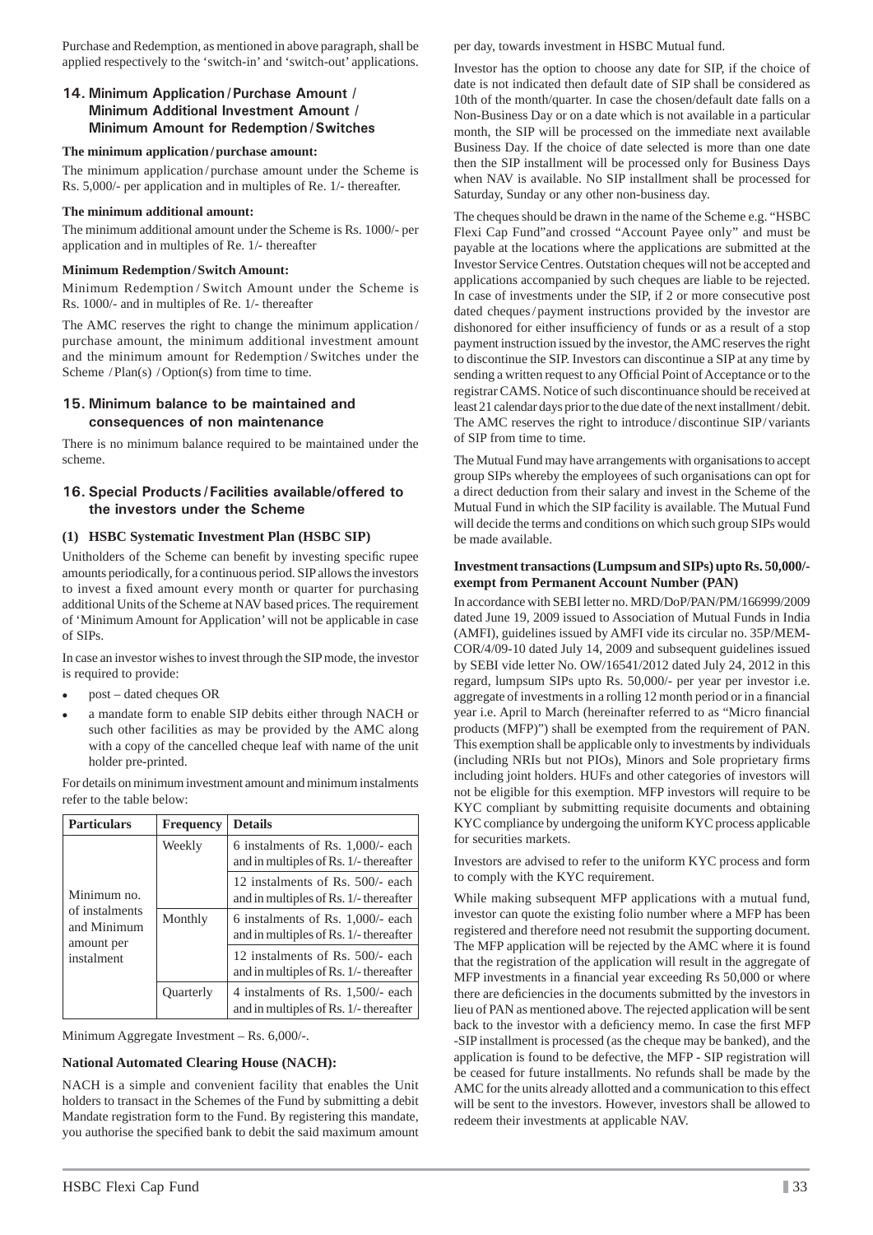Purchase and Redemption, as mentioned in above paragraph, shall be applied respectively to the 'switch-in' and 'switch-out' applications.

### **14. Minimum Application / Purchase Amount / Minimum Additional Investment Amount / Minimum Amount for Redemption / Switches**

#### **The minimum application / purchase amount:**

The minimum application / purchase amount under the Scheme is Rs. 5,000/- per application and in multiples of Re. 1/- thereafter.

#### **The minimum additional amount:**

The minimum additional amount under the Scheme is Rs. 1000/- per application and in multiples of Re. 1/- thereafter

#### **Minimum Redemption / Switch Amount:**

Minimum Redemption / Switch Amount under the Scheme is Rs. 1000/- and in multiples of Re. 1/- thereafter

The AMC reserves the right to change the minimum application / purchase amount, the minimum additional investment amount and the minimum amount for Redemption / Switches under the Scheme  $/$ Plan(s)  $/$ Option(s) from time to time.

#### **15. Minimum balance to be maintained and consequences of non maintenance**

There is no minimum balance required to be maintained under the scheme.

#### **16. Special Products / Facilities available/offered to the investors under the Scheme**

## **(1) HSBC Systematic Investment Plan (HSBC SIP)**

Unitholders of the Scheme can benefit by investing specific rupee amounts periodically, for a continuous period. SIP allows the investors to invest a fixed amount every month or quarter for purchasing additional Units of the Scheme at NAV based prices. The requirement of 'Minimum Amount for Application' will not be applicable in case of SIPs.

In case an investor wishes to invest through the SIP mode, the investor is required to provide:

- post dated cheques OR
- a mandate form to enable SIP debits either through NACH or such other facilities as may be provided by the AMC along with a copy of the cancelled cheque leaf with name of the unit holder pre-printed.

For details on minimum investment amount and minimum instalments refer to the table below:

| <b>Particulars</b>                                                       | <b>Frequency</b> | <b>Details</b>                                                                 |
|--------------------------------------------------------------------------|------------------|--------------------------------------------------------------------------------|
| Minimum no.<br>of instalments<br>and Minimum<br>amount per<br>instalment | Weekly           | 6 instalments of Rs. $1,000/$ - each<br>and in multiples of Rs. 1/- thereafter |
|                                                                          |                  | 12 instalments of Rs. 500/- each<br>and in multiples of Rs. 1/- thereafter     |
|                                                                          | Monthly          | 6 instalments of Rs. 1,000/- each<br>and in multiples of Rs. 1/- thereafter    |
|                                                                          |                  | 12 instalments of Rs. 500/- each<br>and in multiples of Rs. 1/- thereafter     |
|                                                                          | <b>Ouarterly</b> | 4 instalments of Rs. 1,500/- each<br>and in multiples of Rs. 1/- thereafter    |

Minimum Aggregate Investment – Rs. 6,000/-.

#### **National Automated Clearing House (NACH):**

NACH is a simple and convenient facility that enables the Unit holders to transact in the Schemes of the Fund by submitting a debit Mandate registration form to the Fund. By registering this mandate, you authorise the specified bank to debit the said maximum amount per day, towards investment in HSBC Mutual fund.

Investor has the option to choose any date for SIP, if the choice of date is not indicated then default date of SIP shall be considered as 10th of the month/quarter. In case the chosen/default date falls on a Non-Business Day or on a date which is not available in a particular month, the SIP will be processed on the immediate next available Business Day. If the choice of date selected is more than one date then the SIP installment will be processed only for Business Days when NAV is available. No SIP installment shall be processed for Saturday, Sunday or any other non-business day.

The cheques should be drawn in the name of the Scheme e.g. "HSBC Flexi Cap Fund"and crossed "Account Payee only" and must be payable at the locations where the applications are submitted at the Investor Service Centres. Outstation cheques will not be accepted and applications accompanied by such cheques are liable to be rejected. In case of investments under the SIP, if 2 or more consecutive post dated cheques / payment instructions provided by the investor are dishonored for either insufficiency of funds or as a result of a stop payment instruction issued by the investor, the AMC reserves the right to discontinue the SIP. Investors can discontinue a SIP at any time by sending a written request to any Official Point of Acceptance or to the registrar CAMS. Notice of such discontinuance should be received at least 21 calendar days prior to the due date of the next installment / debit. The AMC reserves the right to introduce/discontinue SIP/variants of SIP from time to time.

The Mutual Fund may have arrangements with organisations to accept group SIPs whereby the employees of such organisations can opt for a direct deduction from their salary and invest in the Scheme of the Mutual Fund in which the SIP facility is available. The Mutual Fund will decide the terms and conditions on which such group SIPs would be made available.

#### **Investment transactions (Lumpsum and SIPs) upto Rs. 50,000/ exempt from Permanent Account Number (PAN)**

In accordance with SEBI letter no. MRD/DoP/PAN/PM/166999/2009 dated June 19, 2009 issued to Association of Mutual Funds in India (AMFI), guidelines issued by AMFI vide its circular no. 35P/MEM-COR/4/09-10 dated July 14, 2009 and subsequent guidelines issued by SEBI vide letter No. OW/16541/2012 dated July 24, 2012 in this regard, lumpsum SIPs upto Rs. 50,000/- per year per investor i.e. aggregate of investments in a rolling 12 month period or in a financial year i.e. April to March (hereinafter referred to as "Micro financial products (MFP)") shall be exempted from the requirement of PAN. This exemption shall be applicable only to investments by individuals (including NRIs but not PIOs), Minors and Sole proprietary firms including joint holders. HUFs and other categories of investors will not be eligible for this exemption. MFP investors will require to be KYC compliant by submitting requisite documents and obtaining KYC compliance by undergoing the uniform KYC process applicable for securities markets.

Investors are advised to refer to the uniform KYC process and form to comply with the KYC requirement.

While making subsequent MFP applications with a mutual fund, investor can quote the existing folio number where a MFP has been registered and therefore need not resubmit the supporting document. The MFP application will be rejected by the AMC where it is found that the registration of the application will result in the aggregate of MFP investments in a financial year exceeding Rs 50,000 or where there are deficiencies in the documents submitted by the investors in lieu of PAN as mentioned above. The rejected application will be sent back to the investor with a deficiency memo. In case the first MFP -SIP installment is processed (as the cheque may be banked), and the application is found to be defective, the MFP - SIP registration will be ceased for future installments. No refunds shall be made by the AMC for the units already allotted and a communication to this effect will be sent to the investors. However, investors shall be allowed to redeem their investments at applicable NAV.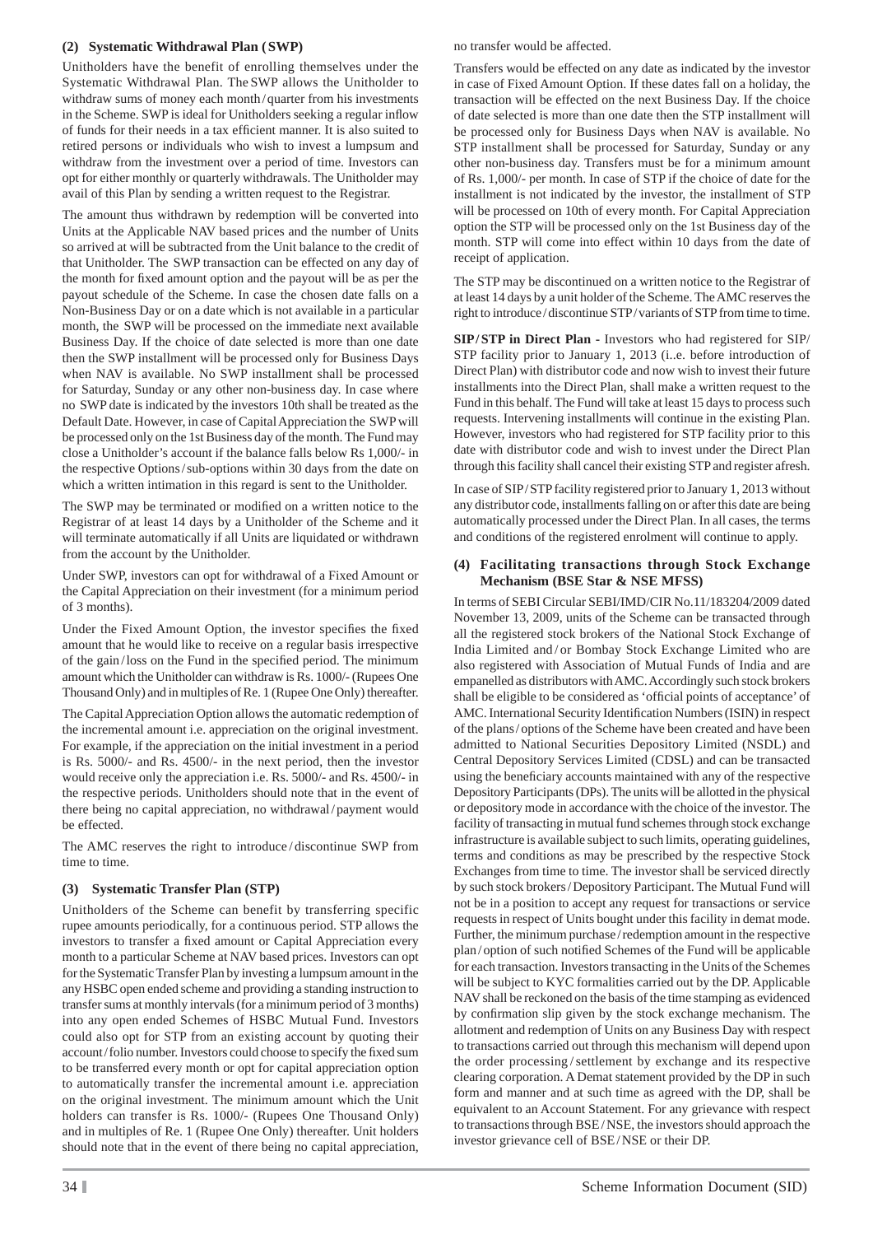#### **(2) Systematic Withdrawal Plan ( SWP)**

Unitholders have the benefit of enrolling themselves under the Systematic Withdrawal Plan. The SWP allows the Unitholder to withdraw sums of money each month/quarter from his investments in the Scheme. SWP is ideal for Unitholders seeking a regular inflow of funds for their needs in a tax efficient manner. It is also suited to retired persons or individuals who wish to invest a lumpsum and withdraw from the investment over a period of time. Investors can opt for either monthly or quarterly withdrawals. The Unitholder may avail of this Plan by sending a written request to the Registrar.

The amount thus withdrawn by redemption will be converted into Units at the Applicable NAV based prices and the number of Units so arrived at will be subtracted from the Unit balance to the credit of that Unitholder. The SWP transaction can be effected on any day of the month for fixed amount option and the payout will be as per the payout schedule of the Scheme. In case the chosen date falls on a Non-Business Day or on a date which is not available in a particular month, the SWP will be processed on the immediate next available Business Day. If the choice of date selected is more than one date then the SWP installment will be processed only for Business Days when NAV is available. No SWP installment shall be processed for Saturday, Sunday or any other non-business day. In case where no SWP date is indicated by the investors 10th shall be treated as the Default Date. However, in case of Capital Appreciation the SWP will be processed only on the 1st Business day of the month. The Fund may close a Unitholder's account if the balance falls below Rs 1,000/- in the respective Options / sub-options within 30 days from the date on which a written intimation in this regard is sent to the Unitholder.

The SWP may be terminated or modified on a written notice to the Registrar of at least 14 days by a Unitholder of the Scheme and it will terminate automatically if all Units are liquidated or withdrawn from the account by the Unitholder.

Under SWP, investors can opt for withdrawal of a Fixed Amount or the Capital Appreciation on their investment (for a minimum period of 3 months).

Under the Fixed Amount Option, the investor specifies the fixed amount that he would like to receive on a regular basis irrespective of the gain/loss on the Fund in the specified period. The minimum amount which the Unitholder can withdraw is Rs. 1000/- (Rupees One Thousand Only) and in multiples of Re. 1 (Rupee One Only) thereafter.

The Capital Appreciation Option allows the automatic redemption of the incremental amount i.e. appreciation on the original investment. For example, if the appreciation on the initial investment in a period is Rs. 5000/- and Rs. 4500/- in the next period, then the investor would receive only the appreciation i.e. Rs. 5000/- and Rs. 4500/- in the respective periods. Unitholders should note that in the event of there being no capital appreciation, no withdrawal / payment would be effected.

The AMC reserves the right to introduce / discontinue SWP from time to time.

## **(3) Systematic Transfer Plan (STP)**

Unitholders of the Scheme can benefit by transferring specific rupee amounts periodically, for a continuous period. STP allows the investors to transfer a fixed amount or Capital Appreciation every month to a particular Scheme at NAV based prices. Investors can opt for the Systematic Transfer Plan by investing a lumpsum amount in the any HSBC open ended scheme and providing a standing instruction to transfer sums at monthly intervals (for a minimum period of 3 months) into any open ended Schemes of HSBC Mutual Fund. Investors could also opt for STP from an existing account by quoting their account/folio number. Investors could choose to specify the fixed sum to be transferred every month or opt for capital appreciation option to automatically transfer the incremental amount i.e. appreciation on the original investment. The minimum amount which the Unit holders can transfer is Rs. 1000/- (Rupees One Thousand Only) and in multiples of Re. 1 (Rupee One Only) thereafter. Unit holders should note that in the event of there being no capital appreciation,

no transfer would be affected.

Transfers would be effected on any date as indicated by the investor in case of Fixed Amount Option. If these dates fall on a holiday, the transaction will be effected on the next Business Day. If the choice of date selected is more than one date then the STP installment will be processed only for Business Days when NAV is available. No STP installment shall be processed for Saturday, Sunday or any other non-business day. Transfers must be for a minimum amount of Rs. 1,000/- per month. In case of STP if the choice of date for the installment is not indicated by the investor, the installment of STP will be processed on 10th of every month. For Capital Appreciation option the STP will be processed only on the 1st Business day of the month. STP will come into effect within 10 days from the date of receipt of application.

The STP may be discontinued on a written notice to the Registrar of at least 14 days by a unit holder of the Scheme. The AMC reserves the right to introduce / discontinue STP / variants of STP from time to time.

**SIP / STP in Direct Plan -** Investors who had registered for SIP/ STP facility prior to January 1, 2013 (i..e. before introduction of Direct Plan) with distributor code and now wish to invest their future installments into the Direct Plan, shall make a written request to the Fund in this behalf. The Fund will take at least 15 days to process such requests. Intervening installments will continue in the existing Plan. However, investors who had registered for STP facility prior to this date with distributor code and wish to invest under the Direct Plan through this facility shall cancel their existing STP and register afresh.

In case of SIP/STP facility registered prior to January 1, 2013 without any distributor code, installments falling on or after this date are being automatically processed under the Direct Plan. In all cases, the terms and conditions of the registered enrolment will continue to apply.

#### **(4) Facilitating transactions through Stock Exchange Mechanism (BSE Star & NSE MFSS)**

In terms of SEBI Circular SEBI/IMD/CIR No.11/183204/2009 dated November 13, 2009, units of the Scheme can be transacted through all the registered stock brokers of the National Stock Exchange of India Limited and / or Bombay Stock Exchange Limited who are also registered with Association of Mutual Funds of India and are empanelled as distributors with AMC. Accordingly such stock brokers shall be eligible to be considered as 'official points of acceptance' of AMC. International Security Identification Numbers (ISIN) in respect of the plans / options of the Scheme have been created and have been admitted to National Securities Depository Limited (NSDL) and Central Depository Services Limited (CDSL) and can be transacted using the beneficiary accounts maintained with any of the respective Depository Participants (DPs). The units will be allotted in the physical or depository mode in accordance with the choice of the investor. The facility of transacting in mutual fund schemes through stock exchange infrastructure is available subject to such limits, operating guidelines, terms and conditions as may be prescribed by the respective Stock Exchanges from time to time. The investor shall be serviced directly by such stock brokers / Depository Participant. The Mutual Fund will not be in a position to accept any request for transactions or service requests in respect of Units bought under this facility in demat mode. Further, the minimum purchase / redemption amount in the respective plan/option of such notified Schemes of the Fund will be applicable for each transaction. Investors transacting in the Units of the Schemes will be subject to KYC formalities carried out by the DP. Applicable NAV shall be reckoned on the basis of the time stamping as evidenced by confirmation slip given by the stock exchange mechanism. The allotment and redemption of Units on any Business Day with respect to transactions carried out through this mechanism will depend upon the order processing / settlement by exchange and its respective clearing corporation. A Demat statement provided by the DP in such form and manner and at such time as agreed with the DP, shall be equivalent to an Account Statement. For any grievance with respect to transactions through BSE / NSE, the investors should approach the investor grievance cell of BSE / NSE or their DP.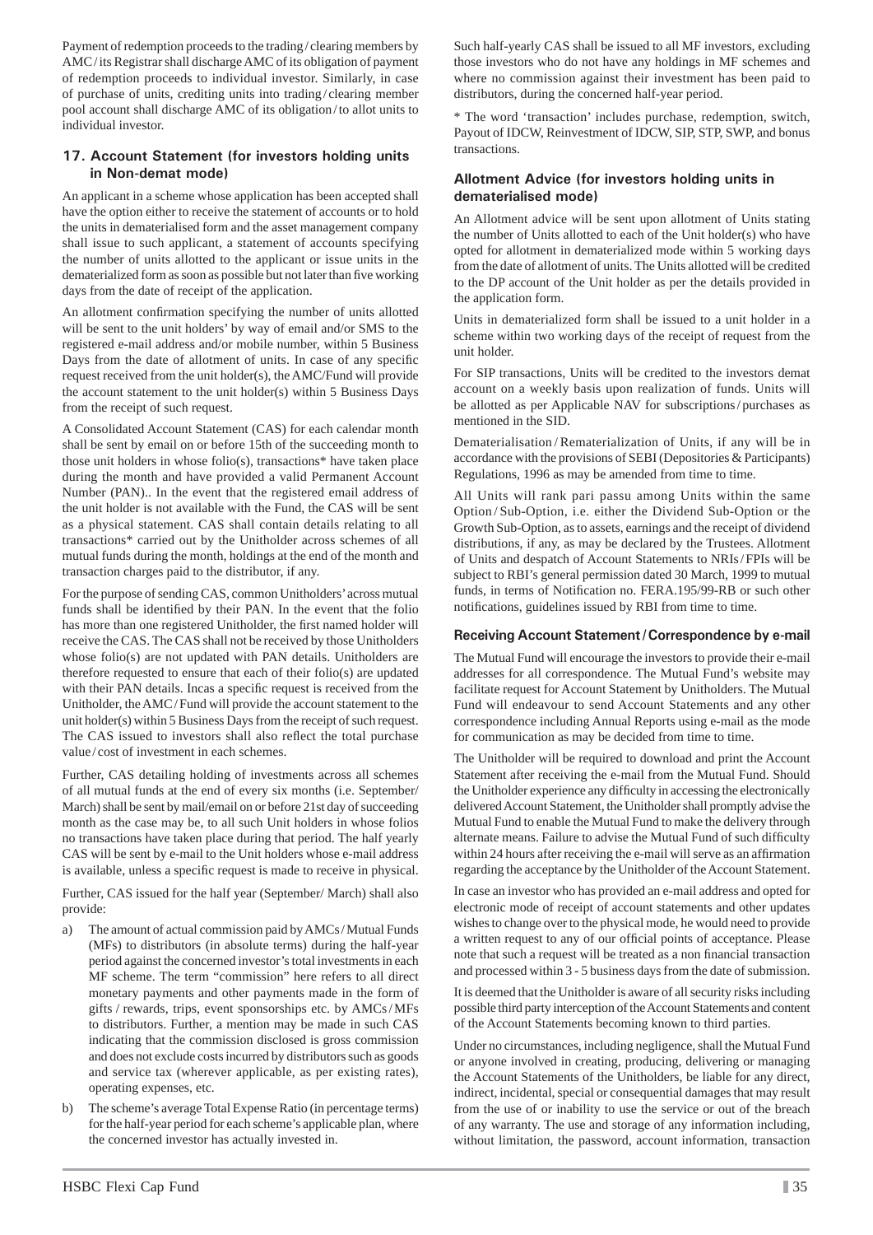Payment of redemption proceeds to the trading / clearing members by AMC/its Registrar shall discharge AMC of its obligation of payment of redemption proceeds to individual investor. Similarly, in case of purchase of units, crediting units into trading / clearing member pool account shall discharge AMC of its obligation / to allot units to individual investor.

#### **17. Account Statement (for investors holding units in Non-demat mode)**

An applicant in a scheme whose application has been accepted shall have the option either to receive the statement of accounts or to hold the units in dematerialised form and the asset management company shall issue to such applicant, a statement of accounts specifying the number of units allotted to the applicant or issue units in the dematerialized form as soon as possible but not later than five working days from the date of receipt of the application.

An allotment confirmation specifying the number of units allotted will be sent to the unit holders' by way of email and/or SMS to the registered e-mail address and/or mobile number, within 5 Business Days from the date of allotment of units. In case of any specific request received from the unit holder(s), the AMC/Fund will provide the account statement to the unit holder(s) within 5 Business Days from the receipt of such request.

A Consolidated Account Statement (CAS) for each calendar month shall be sent by email on or before 15th of the succeeding month to those unit holders in whose folio(s), transactions\* have taken place during the month and have provided a valid Permanent Account Number (PAN).. In the event that the registered email address of the unit holder is not available with the Fund, the CAS will be sent as a physical statement. CAS shall contain details relating to all transactions\* carried out by the Unitholder across schemes of all mutual funds during the month, holdings at the end of the month and transaction charges paid to the distributor, if any.

For the purpose of sending CAS, common Unitholders' across mutual funds shall be identified by their PAN. In the event that the folio has more than one registered Unitholder, the first named holder will receive the CAS. The CAS shall not be received by those Unitholders whose folio(s) are not updated with PAN details. Unitholders are therefore requested to ensure that each of their folio(s) are updated with their PAN details. Incas a specific request is received from the Unitholder, the AMC / Fund will provide the account statement to the unit holder(s) within 5 Business Days from the receipt of such request. The CAS issued to investors shall also reflect the total purchase value / cost of investment in each schemes.

Further, CAS detailing holding of investments across all schemes of all mutual funds at the end of every six months (i.e. September/ March) shall be sent by mail/email on or before 21st day of succeeding month as the case may be, to all such Unit holders in whose folios no transactions have taken place during that period. The half yearly CAS will be sent by e-mail to the Unit holders whose e-mail address is available, unless a specific request is made to receive in physical.

Further, CAS issued for the half year (September/ March) shall also provide:

- a) The amount of actual commission paid by AMCs / Mutual Funds (MFs) to distributors (in absolute terms) during the half-year period against the concerned investor's total investments in each MF scheme. The term "commission" here refers to all direct monetary payments and other payments made in the form of gifts / rewards, trips, event sponsorships etc. by AMCs / MFs to distributors. Further, a mention may be made in such CAS indicating that the commission disclosed is gross commission and does not exclude costs incurred by distributors such as goods and service tax (wherever applicable, as per existing rates), operating expenses, etc.
- b) The scheme's average Total Expense Ratio (in percentage terms) for the half-year period for each scheme's applicable plan, where the concerned investor has actually invested in.

Such half-yearly CAS shall be issued to all MF investors, excluding those investors who do not have any holdings in MF schemes and where no commission against their investment has been paid to distributors, during the concerned half-year period.

\* The word 'transaction' includes purchase, redemption, switch, Payout of IDCW, Reinvestment of IDCW, SIP, STP, SWP, and bonus transactions.

#### **Allotment Advice (for investors holding units in dematerialised mode)**

An Allotment advice will be sent upon allotment of Units stating the number of Units allotted to each of the Unit holder(s) who have opted for allotment in dematerialized mode within 5 working days from the date of allotment of units. The Units allotted will be credited to the DP account of the Unit holder as per the details provided in the application form.

Units in dematerialized form shall be issued to a unit holder in a scheme within two working days of the receipt of request from the unit holder.

For SIP transactions, Units will be credited to the investors demat account on a weekly basis upon realization of funds. Units will be allotted as per Applicable NAV for subscriptions / purchases as mentioned in the SID.

Dematerialisation / Rematerialization of Units, if any will be in accordance with the provisions of SEBI (Depositories & Participants) Regulations, 1996 as may be amended from time to time.

All Units will rank pari passu among Units within the same Option / Sub-Option, i.e. either the Dividend Sub-Option or the Growth Sub-Option, as to assets, earnings and the receipt of dividend distributions, if any, as may be declared by the Trustees. Allotment of Units and despatch of Account Statements to NRIs / FPIs will be subject to RBI's general permission dated 30 March, 1999 to mutual funds, in terms of Notification no. FERA.195/99-RB or such other notifications, guidelines issued by RBI from time to time.

#### **Receiving Account Statement / Correspondence by e-mail**

The Mutual Fund will encourage the investors to provide their e-mail addresses for all correspondence. The Mutual Fund's website may facilitate request for Account Statement by Unitholders. The Mutual Fund will endeavour to send Account Statements and any other correspondence including Annual Reports using e-mail as the mode for communication as may be decided from time to time.

The Unitholder will be required to download and print the Account Statement after receiving the e-mail from the Mutual Fund. Should the Unitholder experience any difficulty in accessing the electronically delivered Account Statement, the Unitholder shall promptly advise the Mutual Fund to enable the Mutual Fund to make the delivery through alternate means. Failure to advise the Mutual Fund of such difficulty within 24 hours after receiving the e-mail will serve as an affirmation regarding the acceptance by the Unitholder of the Account Statement.

In case an investor who has provided an e-mail address and opted for electronic mode of receipt of account statements and other updates wishes to change over to the physical mode, he would need to provide a written request to any of our official points of acceptance. Please note that such a request will be treated as a non financial transaction and processed within 3 - 5 business days from the date of submission.

It is deemed that the Unitholder is aware of all security risks including possible third party interception of the Account Statements and content of the Account Statements becoming known to third parties.

Under no circumstances, including negligence, shall the Mutual Fund or anyone involved in creating, producing, delivering or managing the Account Statements of the Unitholders, be liable for any direct, indirect, incidental, special or consequential damages that may result from the use of or inability to use the service or out of the breach of any warranty. The use and storage of any information including, without limitation, the password, account information, transaction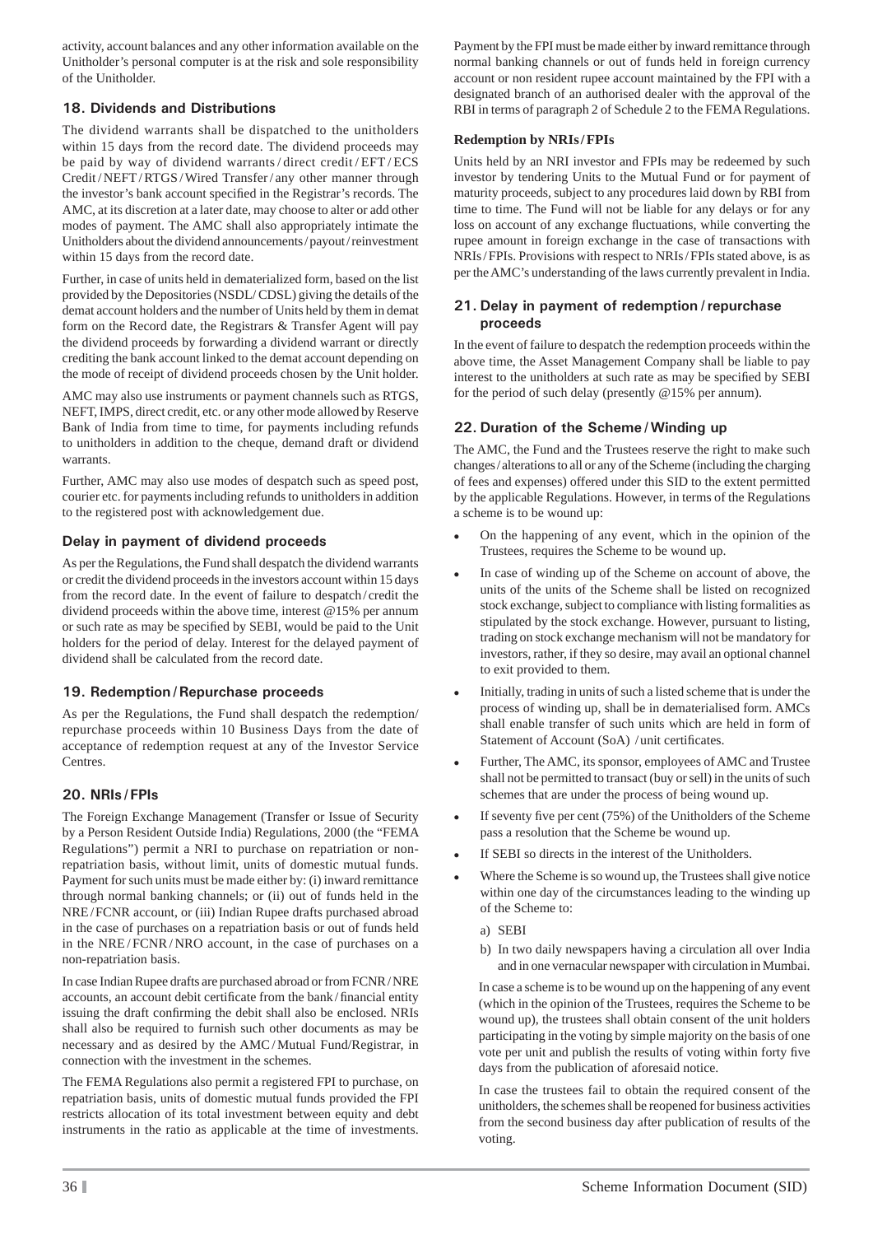activity, account balances and any other information available on the Unitholder's personal computer is at the risk and sole responsibility of the Unitholder.

## **18. Dividends and Distributions**

The dividend warrants shall be dispatched to the unitholders within 15 days from the record date. The dividend proceeds may be paid by way of dividend warrants / direct credit / EFT / ECS Credit / NEFT / RTGS / Wired Transfer / any other manner through the investor's bank account specified in the Registrar's records. The AMC, at its discretion at a later date, may choose to alter or add other modes of payment. The AMC shall also appropriately intimate the Unitholders about the dividend announcements / payout / reinvestment within 15 days from the record date.

Further, in case of units held in dematerialized form, based on the list provided by the Depositories (NSDL/ CDSL) giving the details of the demat account holders and the number of Units held by them in demat form on the Record date, the Registrars & Transfer Agent will pay the dividend proceeds by forwarding a dividend warrant or directly crediting the bank account linked to the demat account depending on the mode of receipt of dividend proceeds chosen by the Unit holder.

AMC may also use instruments or payment channels such as RTGS, NEFT, IMPS, direct credit, etc. or any other mode allowed by Reserve Bank of India from time to time, for payments including refunds to unitholders in addition to the cheque, demand draft or dividend warrants

Further, AMC may also use modes of despatch such as speed post, courier etc. for payments including refunds to unitholders in addition to the registered post with acknowledgement due.

## **Delay in payment of dividend proceeds**

As per the Regulations, the Fund shall despatch the dividend warrants or credit the dividend proceeds in the investors account within 15 days from the record date. In the event of failure to despatch / credit the dividend proceeds within the above time, interest @15% per annum or such rate as may be specified by SEBI, would be paid to the Unit holders for the period of delay. Interest for the delayed payment of dividend shall be calculated from the record date.

## **19. Redemption / Repurchase proceeds**

As per the Regulations, the Fund shall despatch the redemption/ repurchase proceeds within 10 Business Days from the date of acceptance of redemption request at any of the Investor Service Centres.

## **20. NRIs / FPIs**

The Foreign Exchange Management (Transfer or Issue of Security by a Person Resident Outside India) Regulations, 2000 (the "FEMA Regulations") permit a NRI to purchase on repatriation or nonrepatriation basis, without limit, units of domestic mutual funds. Payment for such units must be made either by: (i) inward remittance through normal banking channels; or (ii) out of funds held in the NRE/FCNR account, or (iii) Indian Rupee drafts purchased abroad in the case of purchases on a repatriation basis or out of funds held in the NRE/FCNR/NRO account, in the case of purchases on a non-repatriation basis.

In case Indian Rupee drafts are purchased abroad or from FCNR / NRE accounts, an account debit certificate from the bank/financial entity issuing the draft confirming the debit shall also be enclosed. NRIs shall also be required to furnish such other documents as may be necessary and as desired by the AMC / Mutual Fund/Registrar, in connection with the investment in the schemes.

The FEMA Regulations also permit a registered FPI to purchase, on repatriation basis, units of domestic mutual funds provided the FPI restricts allocation of its total investment between equity and debt instruments in the ratio as applicable at the time of investments.

Payment by the FPI must be made either by inward remittance through normal banking channels or out of funds held in foreign currency account or non resident rupee account maintained by the FPI with a designated branch of an authorised dealer with the approval of the RBI in terms of paragraph 2 of Schedule 2 to the FEMA Regulations.

## **Redemption by NRIs / FPIs**

Units held by an NRI investor and FPIs may be redeemed by such investor by tendering Units to the Mutual Fund or for payment of maturity proceeds, subject to any procedures laid down by RBI from time to time. The Fund will not be liable for any delays or for any loss on account of any exchange fluctuations, while converting the rupee amount in foreign exchange in the case of transactions with NRIs / FPIs. Provisions with respect to NRIs / FPIs stated above, is as per the AMC's understanding of the laws currently prevalent in India.

### **21. Delay in payment of redemption/ repurchase proceeds**

In the event of failure to despatch the redemption proceeds within the above time, the Asset Management Company shall be liable to pay interest to the unitholders at such rate as may be specified by SEBI for the period of such delay (presently @15% per annum).

## **22. Duration of the Scheme / Winding up**

The AMC, the Fund and the Trustees reserve the right to make such changes / alterations to all or any of the Scheme (including the charging of fees and expenses) offered under this SID to the extent permitted by the applicable Regulations. However, in terms of the Regulations a scheme is to be wound up:

- On the happening of any event, which in the opinion of the Trustees, requires the Scheme to be wound up.
- In case of winding up of the Scheme on account of above, the units of the units of the Scheme shall be listed on recognized stock exchange, subject to compliance with listing formalities as stipulated by the stock exchange. However, pursuant to listing, trading on stock exchange mechanism will not be mandatory for investors, rather, if they so desire, may avail an optional channel to exit provided to them.
- Initially, trading in units of such a listed scheme that is under the process of winding up, shall be in dematerialised form. AMCs shall enable transfer of such units which are held in form of Statement of Account (SoA) / unit certificates.
- Further, The AMC, its sponsor, employees of AMC and Trustee shall not be permitted to transact (buy or sell) in the units of such schemes that are under the process of being wound up.
- If seventy five per cent (75%) of the Unitholders of the Scheme pass a resolution that the Scheme be wound up.
- If SEBI so directs in the interest of the Unitholders.
- Where the Scheme is so wound up, the Trustees shall give notice within one day of the circumstances leading to the winding up of the Scheme to:
	- a) SEBI
	- b) In two daily newspapers having a circulation all over India and in one vernacular newspaper with circulation in Mumbai.

In case a scheme is to be wound up on the happening of any event (which in the opinion of the Trustees, requires the Scheme to be wound up), the trustees shall obtain consent of the unit holders participating in the voting by simple majority on the basis of one vote per unit and publish the results of voting within forty five days from the publication of aforesaid notice.

In case the trustees fail to obtain the required consent of the unitholders, the schemes shall be reopened for business activities from the second business day after publication of results of the voting.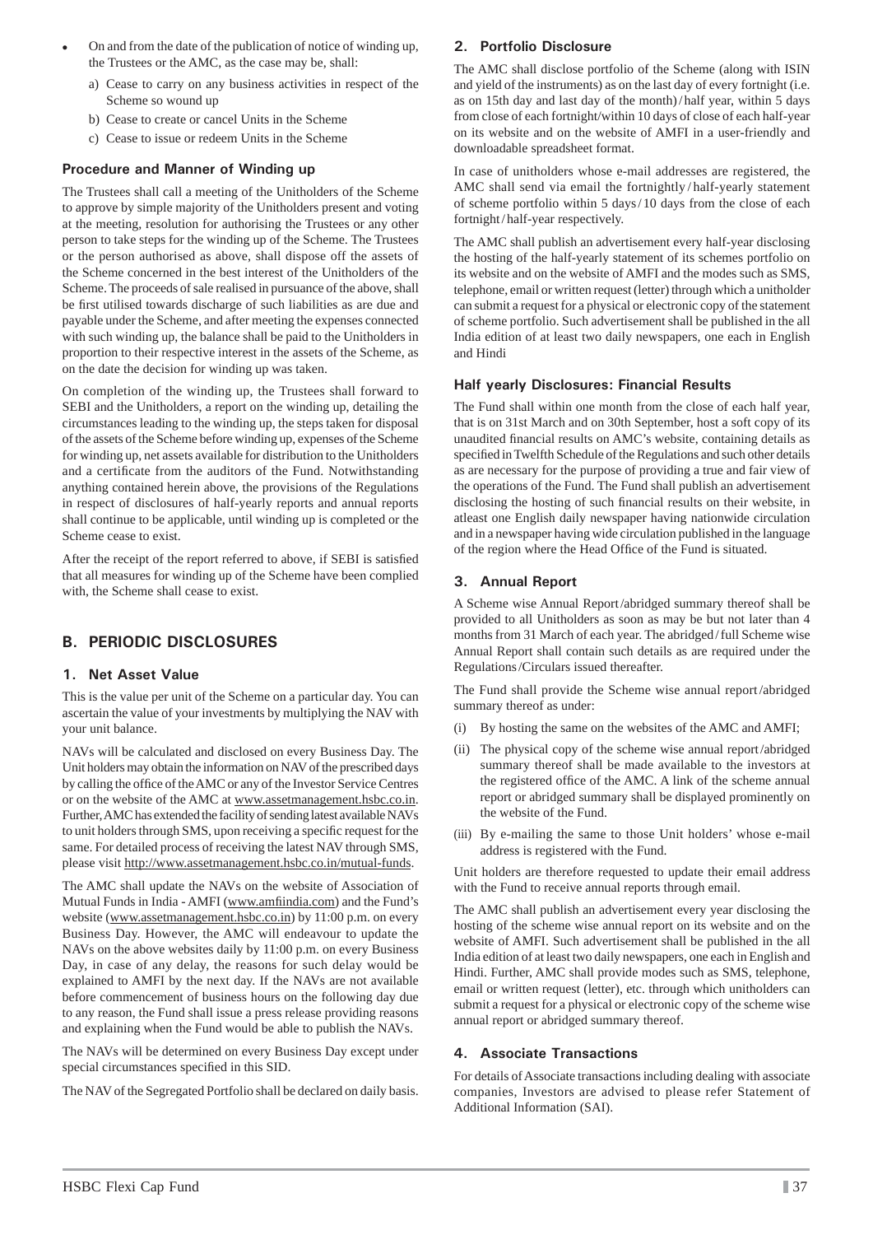- On and from the date of the publication of notice of winding up, the Trustees or the AMC, as the case may be, shall:
	- a) Cease to carry on any business activities in respect of the Scheme so wound up
	- b) Cease to create or cancel Units in the Scheme
	- c) Cease to issue or redeem Units in the Scheme

### **Procedure and Manner of Winding up**

The Trustees shall call a meeting of the Unitholders of the Scheme to approve by simple majority of the Unitholders present and voting at the meeting, resolution for authorising the Trustees or any other person to take steps for the winding up of the Scheme. The Trustees or the person authorised as above, shall dispose off the assets of the Scheme concerned in the best interest of the Unitholders of the Scheme. The proceeds of sale realised in pursuance of the above, shall be first utilised towards discharge of such liabilities as are due and payable under the Scheme, and after meeting the expenses connected with such winding up, the balance shall be paid to the Unitholders in proportion to their respective interest in the assets of the Scheme, as on the date the decision for winding up was taken.

On completion of the winding up, the Trustees shall forward to SEBI and the Unitholders, a report on the winding up, detailing the circumstances leading to the winding up, the steps taken for disposal of the assets of the Scheme before winding up, expenses of the Scheme for winding up, net assets available for distribution to the Unitholders and a certificate from the auditors of the Fund. Notwithstanding anything contained herein above, the provisions of the Regulations in respect of disclosures of half-yearly reports and annual reports shall continue to be applicable, until winding up is completed or the Scheme cease to exist.

After the receipt of the report referred to above, if SEBI is satisfied that all measures for winding up of the Scheme have been complied with, the Scheme shall cease to exist.

## **B. PERIODIC DISCLOSURES**

#### **1. Net Asset Value**

This is the value per unit of the Scheme on a particular day. You can ascertain the value of your investments by multiplying the NAV with your unit balance.

NAVs will be calculated and disclosed on every Business Day. The Unit holders may obtain the information on NAV of the prescribed days by calling the office of the AMC or any of the Investor Service Centres or on the website of the AMC at www.assetmanagement.hsbc.co.in. Further, AMC has extended the facility of sending latest available NAVs to unit holders through SMS, upon receiving a specific request for the same. For detailed process of receiving the latest NAV through SMS, please visit http://www.assetmanagement.hsbc.co.in/mutual-funds.

The AMC shall update the NAVs on the website of Association of Mutual Funds in India - AMFI (www.amfiindia.com) and the Fund's website (www.assetmanagement.hsbc.co.in) by 11:00 p.m. on every Business Day. However, the AMC will endeavour to update the NAVs on the above websites daily by 11:00 p.m. on every Business Day, in case of any delay, the reasons for such delay would be explained to AMFI by the next day. If the NAVs are not available before commencement of business hours on the following day due to any reason, the Fund shall issue a press release providing reasons and explaining when the Fund would be able to publish the NAVs.

The NAVs will be determined on every Business Day except under special circumstances specified in this SID.

The NAV of the Segregated Portfolio shall be declared on daily basis.

#### **2. Portfolio Disclosure**

The AMC shall disclose portfolio of the Scheme (along with ISIN and yield of the instruments) as on the last day of every fortnight (i.e. as on 15th day and last day of the month) / half year, within 5 days from close of each fortnight/within 10 days of close of each half-year on its website and on the website of AMFI in a user-friendly and downloadable spreadsheet format.

In case of unitholders whose e-mail addresses are registered, the AMC shall send via email the fortnightly / half-yearly statement of scheme portfolio within 5 days / 10 days from the close of each fortnight / half-year respectively.

The AMC shall publish an advertisement every half-year disclosing the hosting of the half-yearly statement of its schemes portfolio on its website and on the website of AMFI and the modes such as SMS, telephone, email or written request (letter) through which a unitholder can submit a request for a physical or electronic copy of the statement of scheme portfolio. Such advertisement shall be published in the all India edition of at least two daily newspapers, one each in English and Hindi

#### **Half yearly Disclosures: Financial Results**

The Fund shall within one month from the close of each half year, that is on 31st March and on 30th September, host a soft copy of its unaudited financial results on AMC's website, containing details as specified in Twelfth Schedule of the Regulations and such other details as are necessary for the purpose of providing a true and fair view of the operations of the Fund. The Fund shall publish an advertisement disclosing the hosting of such financial results on their website, in atleast one English daily newspaper having nationwide circulation and in a newspaper having wide circulation published in the language of the region where the Head Office of the Fund is situated.

### **3. Annual Report**

A Scheme wise Annual Report /abridged summary thereof shall be provided to all Unitholders as soon as may be but not later than 4 months from 31 March of each year. The abridged / full Scheme wise Annual Report shall contain such details as are required under the Regulations /Circulars issued thereafter.

The Fund shall provide the Scheme wise annual report /abridged summary thereof as under:

- (i) By hosting the same on the websites of the AMC and AMFI;
- (ii) The physical copy of the scheme wise annual report /abridged summary thereof shall be made available to the investors at the registered office of the AMC. A link of the scheme annual report or abridged summary shall be displayed prominently on the website of the Fund.
- (iii) By e-mailing the same to those Unit holders' whose e-mail address is registered with the Fund.

Unit holders are therefore requested to update their email address with the Fund to receive annual reports through email.

The AMC shall publish an advertisement every year disclosing the hosting of the scheme wise annual report on its website and on the website of AMFI. Such advertisement shall be published in the all India edition of at least two daily newspapers, one each in English and Hindi. Further, AMC shall provide modes such as SMS, telephone, email or written request (letter), etc. through which unitholders can submit a request for a physical or electronic copy of the scheme wise annual report or abridged summary thereof.

#### **4. Associate Transactions**

For details of Associate transactions including dealing with associate companies, Investors are advised to please refer Statement of Additional Information (SAI).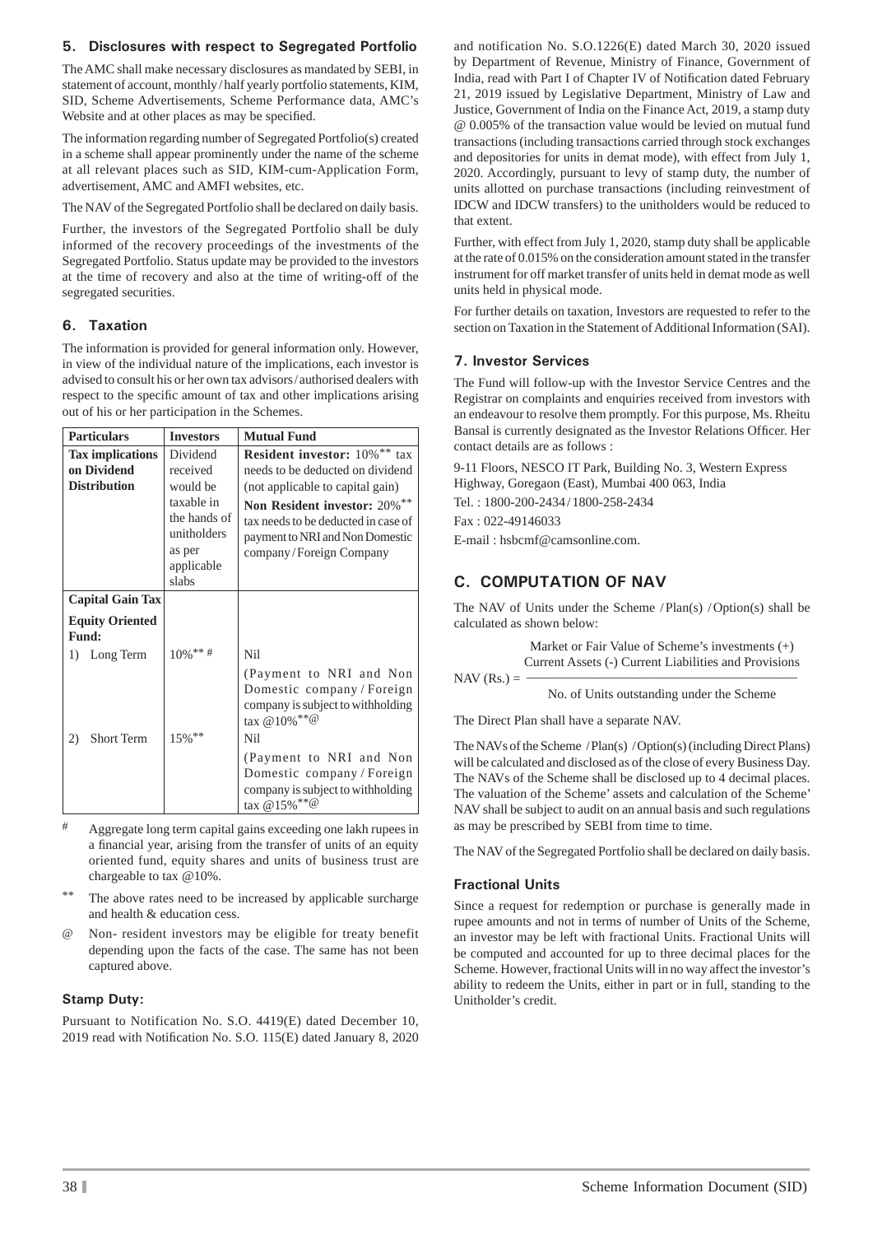#### **5. Disclosures with respect to Segregated Portfolio**

The AMC shall make necessary disclosures as mandated by SEBI, in statement of account, monthly / half yearly portfolio statements, KIM, SID, Scheme Advertisements, Scheme Performance data, AMC's Website and at other places as may be specified.

The information regarding number of Segregated Portfolio(s) created in a scheme shall appear prominently under the name of the scheme at all relevant places such as SID, KIM-cum-Application Form, advertisement, AMC and AMFI websites, etc.

The NAV of the Segregated Portfolio shall be declared on daily basis.

Further, the investors of the Segregated Portfolio shall be duly informed of the recovery proceedings of the investments of the Segregated Portfolio. Status update may be provided to the investors at the time of recovery and also at the time of writing-off of the segregated securities.

## **6. Taxation**

The information is provided for general information only. However, in view of the individual nature of the implications, each investor is advised to consult his or her own tax advisors / authorised dealers with respect to the specific amount of tax and other implications arising out of his or her participation in the Schemes.

| <b>Particulars</b>                                            | <b>Investors</b>                                                                                               | <b>Mutual Fund</b>                                                                                                                                                                                                                        |
|---------------------------------------------------------------|----------------------------------------------------------------------------------------------------------------|-------------------------------------------------------------------------------------------------------------------------------------------------------------------------------------------------------------------------------------------|
| <b>Tax implications</b><br>on Dividend<br><b>Distribution</b> | Dividend<br>received<br>would be<br>taxable in<br>the hands of<br>unitholders<br>as per<br>applicable<br>slabs | Resident investor: 10%** tax<br>needs to be deducted on dividend<br>(not applicable to capital gain)<br>Non Resident investor: 20%**<br>tax needs to be deducted in case of<br>payment to NRI and Non Domestic<br>company/Foreign Company |
| <b>Capital Gain Tax</b>                                       |                                                                                                                |                                                                                                                                                                                                                                           |
| <b>Equity Oriented</b><br>Fund:                               |                                                                                                                |                                                                                                                                                                                                                                           |
| Long Term<br>1)                                               | $10\%$ ** #                                                                                                    | Nil                                                                                                                                                                                                                                       |
|                                                               |                                                                                                                | (Payment to NRI and Non<br>Domestic company/Foreign<br>company is subject to withholding<br>tax @10% ** @                                                                                                                                 |
| <b>Short Term</b><br>2)                                       | 15%**                                                                                                          | Nil                                                                                                                                                                                                                                       |
|                                                               |                                                                                                                | (Payment to NRI and Non<br>Domestic company/Foreign<br>company is subject to withholding<br>tax @15% <sup>**@</sup>                                                                                                                       |

- # Aggregate long term capital gains exceeding one lakh rupees in a financial year, arising from the transfer of units of an equity oriented fund, equity shares and units of business trust are chargeable to tax @10%.
- The above rates need to be increased by applicable surcharge and health & education cess.
- @ Non- resident investors may be eligible for treaty benefit depending upon the facts of the case. The same has not been captured above.

## **Stamp Duty:**

Pursuant to Notification No. S.O. 4419(E) dated December 10,  $2019$  read with Notification No. S.O.  $115(E)$  dated January 8, 2020 and notification No. S.O.1226(E) dated March 30, 2020 issued by Department of Revenue, Ministry of Finance, Government of India, read with Part I of Chapter IV of Notification dated February 21, 2019 issued by Legislative Department, Ministry of Law and Justice, Government of India on the Finance Act, 2019, a stamp duty @ 0.005% of the transaction value would be levied on mutual fund transactions (including transactions carried through stock exchanges and depositories for units in demat mode), with effect from July 1, 2020. Accordingly, pursuant to levy of stamp duty, the number of units allotted on purchase transactions (including reinvestment of IDCW and IDCW transfers) to the unitholders would be reduced to that extent.

Further, with effect from July 1, 2020, stamp duty shall be applicable at the rate of 0.015% on the consideration amount stated in the transfer instrument for off market transfer of units held in demat mode as well units held in physical mode.

For further details on taxation, Investors are requested to refer to the section on Taxation in the Statement of Additional Information (SAI).

## **7. Investor Services**

The Fund will follow-up with the Investor Service Centres and the Registrar on complaints and enquiries received from investors with an endeavour to resolve them promptly. For this purpose, Ms. Rheitu Bansal is currently designated as the Investor Relations Officer. Her contact details are as follows :

9-11 Floors, NESCO IT Park, Building No. 3, Western Express Highway, Goregaon (East), Mumbai 400 063, India Tel. : 1800-200-2434 / 1800-258-2434 Fax : 022-49146033

E-mail : hsbcmf@camsonline.com.

## **C. COMPUTATION OF NAV**

The NAV of Units under the Scheme / Plan(s) / Option(s) shall be calculated as shown below:

 Market or Fair Value of Scheme's investments (+) Current Assets (-) Current Liabilities and Provisions

#### $NAV$  (Rs.) =

No. of Units outstanding under the Scheme

The Direct Plan shall have a separate NAV.

The NAVs of the Scheme / Plan(s) / Option(s) (including Direct Plans) will be calculated and disclosed as of the close of every Business Day. The NAVs of the Scheme shall be disclosed up to 4 decimal places. The valuation of the Scheme' assets and calculation of the Scheme' NAV shall be subject to audit on an annual basis and such regulations as may be prescribed by SEBI from time to time.

The NAV of the Segregated Portfolio shall be declared on daily basis.

## **Fractional Units**

Since a request for redemption or purchase is generally made in rupee amounts and not in terms of number of Units of the Scheme, an investor may be left with fractional Units. Fractional Units will be computed and accounted for up to three decimal places for the Scheme. However, fractional Units will in no way affect the investor's ability to redeem the Units, either in part or in full, standing to the Unitholder's credit.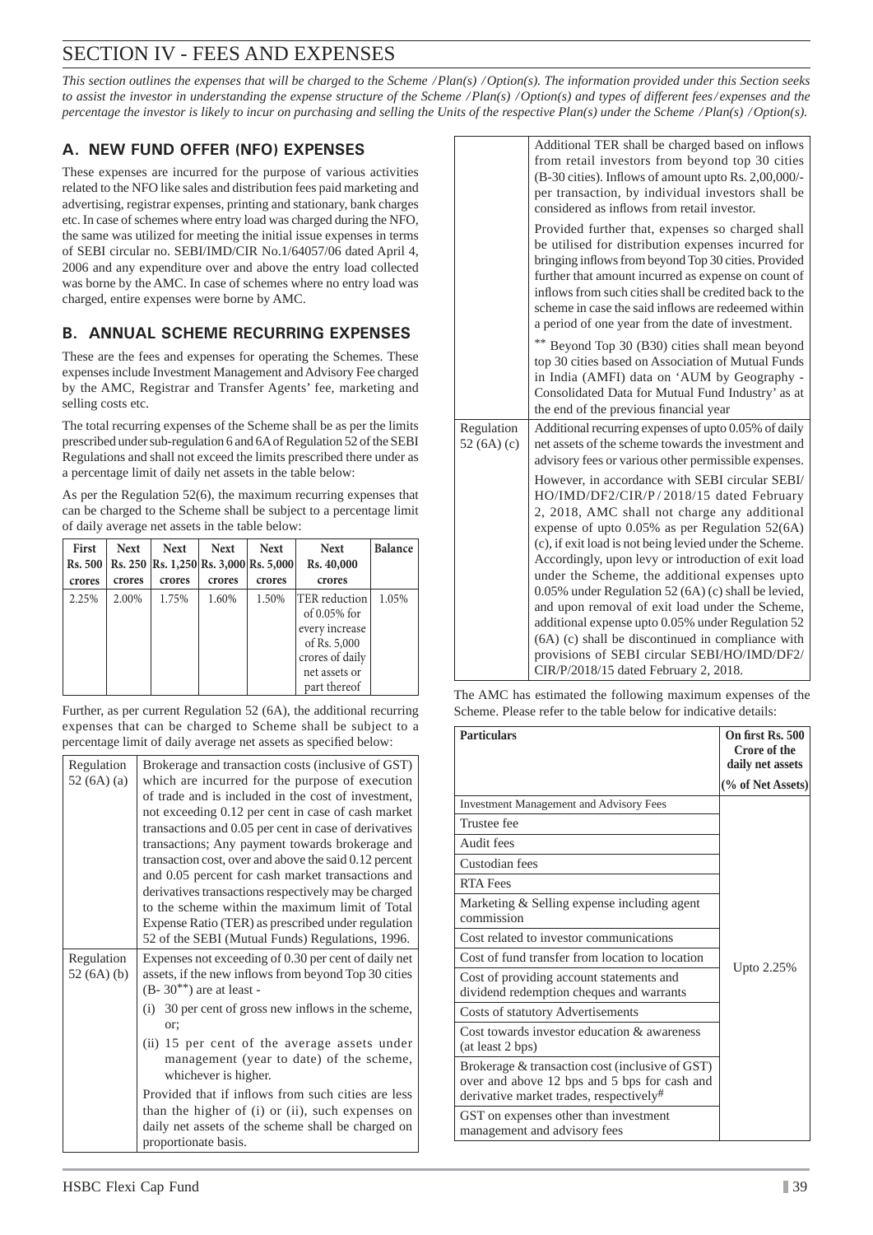# SECTION IV - FEES AND EXPENSES

*This section outlines the expenses that will be charged to the Scheme / Plan(s) / Option(s). The information provided under this Section seeks to assist the investor in understanding the expense structure of the Scheme / Plan(s) / Option(s) and types of different fees / expenses and the percentage the investor is likely to incur on purchasing and selling the Units of the respective Plan(s) under the Scheme / Plan(s) / Option(s).*

## **A. NEW FUND OFFER (NFO) EXPENSES**

These expenses are incurred for the purpose of various activities related to the NFO like sales and distribution fees paid marketing and advertising, registrar expenses, printing and stationary, bank charges etc. In case of schemes where entry load was charged during the NFO, the same was utilized for meeting the initial issue expenses in terms of SEBI circular no. SEBI/IMD/CIR No.1/64057/06 dated April 4, 2006 and any expenditure over and above the entry load collected was borne by the AMC. In case of schemes where no entry load was charged, entire expenses were borne by AMC.

## **B. ANNUAL SCHEME RECURRING EXPENSES**

These are the fees and expenses for operating the Schemes. These expenses include Investment Management and Advisory Fee charged by the AMC, Registrar and Transfer Agents' fee, marketing and selling costs etc.

The total recurring expenses of the Scheme shall be as per the limits prescribed under sub-regulation 6 and 6A of Regulation 52 of the SEBI Regulations and shall not exceed the limits prescribed there under as a percentage limit of daily net assets in the table below:

As per the Regulation 52(6), the maximum recurring expenses that can be charged to the Scheme shall be subject to a percentage limit of daily average net assets in the table below:

| <b>First</b><br>Rs. 500 | <b>Next</b> | <b>Next</b><br>Rs. 250   Rs. 1,250   Rs. 3,000   Rs. 5,000 | <b>Next</b> | <b>Next</b> | <b>Next</b><br>Rs. 40,000                                                                                               | <b>Balance</b> |
|-------------------------|-------------|------------------------------------------------------------|-------------|-------------|-------------------------------------------------------------------------------------------------------------------------|----------------|
| crores                  | crores      | crores                                                     | crores      | crores      | crores                                                                                                                  |                |
| 2.25%                   | 2.00%       | 1.75%                                                      | 1.60%       | 1.50%       | lTER reduction<br>of $0.05\%$ for<br>every increase<br>of Rs. 5,000<br>crores of daily<br>net assets or<br>part thereof | 1.05%          |

Further, as per current Regulation 52 (6A), the additional recurring expenses that can be charged to Scheme shall be subject to a percentage limit of daily average net assets as specified below:

| Regulation<br>52 $(6A)(a)$ | Brokerage and transaction costs (inclusive of GST)<br>which are incurred for the purpose of execution<br>of trade and is included in the cost of investment,<br>not exceeding 0.12 per cent in case of cash market<br>transactions and 0.05 per cent in case of derivatives<br>transactions; Any payment towards brokerage and<br>transaction cost, over and above the said 0.12 percent<br>and 0.05 percent for cash market transactions and<br>derivatives transactions respectively may be charged<br>to the scheme within the maximum limit of Total<br>Expense Ratio (TER) as prescribed under regulation<br>52 of the SEBI (Mutual Funds) Regulations, 1996. |
|----------------------------|--------------------------------------------------------------------------------------------------------------------------------------------------------------------------------------------------------------------------------------------------------------------------------------------------------------------------------------------------------------------------------------------------------------------------------------------------------------------------------------------------------------------------------------------------------------------------------------------------------------------------------------------------------------------|
| Regulation<br>52 $(6A)(b)$ | Expenses not exceeding of 0.30 per cent of daily net<br>assets, if the new inflows from beyond Top 30 cities<br>$(B-30^{**})$ are at least -<br>(i) 30 per cent of gross new inflows in the scheme,<br>or:<br>(ii) 15 per cent of the average assets under<br>management (year to date) of the scheme,<br>whichever is higher.<br>Provided that if inflows from such cities are less<br>than the higher of (i) or (ii), such expenses on<br>daily net assets of the scheme shall be charged on<br>proportionate basis.                                                                                                                                             |

Additional TER shall be charged based on inflows from retail investors from beyond top 30 cities  $(B-30$  cities). Inflows of amount upto Rs.  $2,00,000/$ per transaction, by individual investors shall be considered as inflows from retail investor. Provided further that, expenses so charged shall be utilised for distribution expenses incurred for bringing inflows from beyond Top 30 cities. Provided further that amount incurred as expense on count of inflows from such cities shall be credited back to the scheme in case the said inflows are redeemed within a period of one year from the date of investment. \*\* Beyond Top 30 (B30) cities shall mean beyond top 30 cities based on Association of Mutual Funds in India (AMFI) data on 'AUM by Geography - Consolidated Data for Mutual Fund Industry' as at the end of the previous financial year Regulation 52 (6A) (c) Additional recurring expenses of upto 0.05% of daily net assets of the scheme towards the investment and advisory fees or various other permissible expenses. However, in accordance with SEBI circular SEBI/ HO/IMD/DF2/CIR/P / 2018/15 dated February 2, 2018, AMC shall not charge any additional expense of upto 0.05% as per Regulation 52(6A) (c), if exit load is not being levied under the Scheme. Accordingly, upon levy or introduction of exit load under the Scheme, the additional expenses upto 0.05% under Regulation 52 (6A) (c) shall be levied, and upon removal of exit load under the Scheme, additional expense upto 0.05% under Regulation 52 (6A) (c) shall be discontinued in compliance with provisions of SEBI circular SEBI/HO/IMD/DF2/ CIR/P/2018/15 dated February 2, 2018.

The AMC has estimated the following maximum expenses of the Scheme. Please refer to the table below for indicative details:

| <b>Particulars</b>                                                                                                                         | On first Rs. 500<br>Crore of the<br>daily net assets |
|--------------------------------------------------------------------------------------------------------------------------------------------|------------------------------------------------------|
|                                                                                                                                            | (% of Net Assets)                                    |
| <b>Investment Management and Advisory Fees</b>                                                                                             |                                                      |
| Trustee fee                                                                                                                                |                                                      |
| Audit fees                                                                                                                                 |                                                      |
| Custodian fees                                                                                                                             |                                                      |
| <b>RTA Fees</b>                                                                                                                            |                                                      |
| Marketing & Selling expense including agent<br>commission                                                                                  |                                                      |
| Cost related to investor communications                                                                                                    | Upto 2.25%                                           |
| Cost of fund transfer from location to location                                                                                            |                                                      |
| Cost of providing account statements and<br>dividend redemption cheques and warrants                                                       |                                                      |
| Costs of statutory Advertisements                                                                                                          |                                                      |
| Cost towards investor education & awareness<br>(at least 2 bps)                                                                            |                                                      |
| Brokerage & transaction cost (inclusive of GST)<br>over and above 12 bps and 5 bps for cash and<br>derivative market trades, respectively# |                                                      |
| GST on expenses other than investment<br>management and advisory fees                                                                      |                                                      |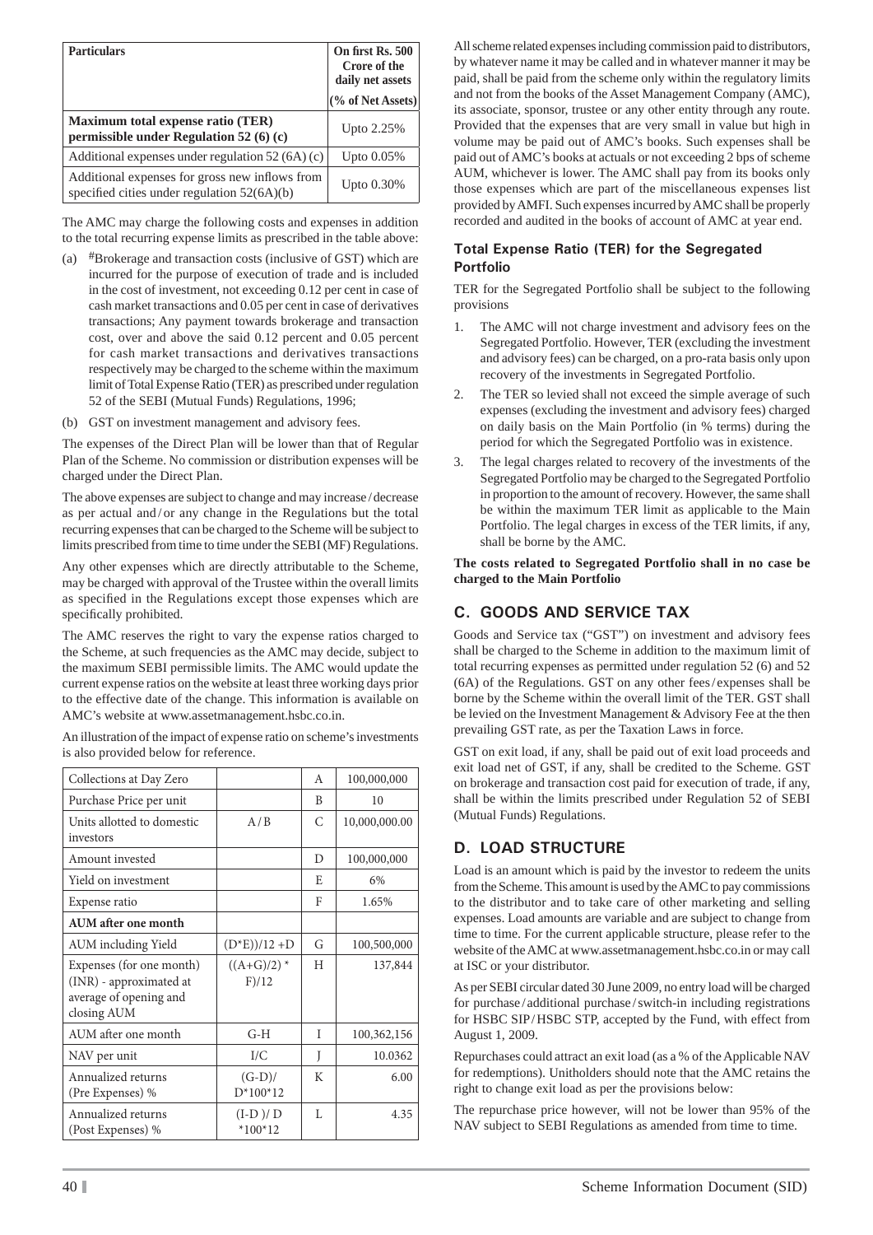| <b>Particulars</b>                                                                              | On first Rs. 500<br>Crore of the<br>daily net assets<br>(% of Net Assets) |
|-------------------------------------------------------------------------------------------------|---------------------------------------------------------------------------|
| <b>Maximum total expense ratio (TER)</b><br>permissible under Regulation 52 (6) (c)             | Upto 2.25%                                                                |
| Additional expenses under regulation $52(6A)(c)$                                                | Upto $0.05\%$                                                             |
| Additional expenses for gross new inflows from<br>specified cities under regulation $52(6A)(b)$ | Upto 0.30%                                                                |

The AMC may charge the following costs and expenses in addition to the total recurring expense limits as prescribed in the table above:

- (a) #Brokerage and transaction costs (inclusive of GST) which are incurred for the purpose of execution of trade and is included in the cost of investment, not exceeding 0.12 per cent in case of cash market transactions and 0.05 per cent in case of derivatives transactions; Any payment towards brokerage and transaction cost, over and above the said 0.12 percent and 0.05 percent for cash market transactions and derivatives transactions respectively may be charged to the scheme within the maximum limit of Total Expense Ratio (TER) as prescribed under regulation 52 of the SEBI (Mutual Funds) Regulations, 1996;
- (b) GST on investment management and advisory fees.

The expenses of the Direct Plan will be lower than that of Regular Plan of the Scheme. No commission or distribution expenses will be charged under the Direct Plan.

The above expenses are subject to change and may increase / decrease as per actual and / or any change in the Regulations but the total recurring expenses that can be charged to the Scheme will be subject to limits prescribed from time to time under the SEBI (MF) Regulations.

Any other expenses which are directly attributable to the Scheme, may be charged with approval of the Trustee within the overall limits as specified in the Regulations except those expenses which are specifically prohibited.

The AMC reserves the right to vary the expense ratios charged to the Scheme, at such frequencies as the AMC may decide, subject to the maximum SEBI permissible limits. The AMC would update the current expense ratios on the website at least three working days prior to the effective date of the change. This information is available on AMC's website at www.assetmanagement.hsbc.co.in.

An illustration of the impact of expense ratio on scheme's investments is also provided below for reference.

| Collections at Day Zero                                                                      |                        | A             | 100,000,000   |
|----------------------------------------------------------------------------------------------|------------------------|---------------|---------------|
| Purchase Price per unit                                                                      |                        | B             | 10            |
| Units allotted to domestic<br>investors                                                      | A/B                    | $\mathcal{C}$ | 10,000,000.00 |
| Amount invested                                                                              |                        | D             | 100,000,000   |
| Yield on investment                                                                          |                        | E             | 6%            |
| Expense ratio                                                                                |                        | F             | 1.65%         |
| <b>AUM</b> after one month                                                                   |                        |               |               |
| <b>AUM</b> including Yield                                                                   | $(D*E)/12+D$           | G             | 100,500,000   |
| Expenses (for one month)<br>(INR) - approximated at<br>average of opening and<br>closing AUM | $((A+G)/2)$ *<br>F)/12 | H             | 137,844       |
| AUM after one month                                                                          | $G-H$                  | T             | 100,362,156   |
| NAV per unit                                                                                 | $\overline{L}/C$       | Ī             | 10.0362       |
| Annualized returns<br>(Pre Expenses) %                                                       | $(G-D)/$<br>$D*100*12$ | K             | 6.00          |
| Annualized returns<br>(Post Expenses) %                                                      | $(I-D)/D$<br>$*100*12$ | L             | 4.35          |

All scheme related expenses including commission paid to distributors, by whatever name it may be called and in whatever manner it may be paid, shall be paid from the scheme only within the regulatory limits and not from the books of the Asset Management Company (AMC), its associate, sponsor, trustee or any other entity through any route. Provided that the expenses that are very small in value but high in volume may be paid out of AMC's books. Such expenses shall be paid out of AMC's books at actuals or not exceeding 2 bps of scheme AUM, whichever is lower. The AMC shall pay from its books only those expenses which are part of the miscellaneous expenses list provided by AMFI. Such expenses incurred by AMC shall be properly recorded and audited in the books of account of AMC at year end.

### **Total Expense Ratio (TER) for the Segregated Portfolio**

TER for the Segregated Portfolio shall be subject to the following provisions

- 1. The AMC will not charge investment and advisory fees on the Segregated Portfolio. However, TER (excluding the investment and advisory fees) can be charged, on a pro-rata basis only upon recovery of the investments in Segregated Portfolio.
- 2. The TER so levied shall not exceed the simple average of such expenses (excluding the investment and advisory fees) charged on daily basis on the Main Portfolio (in % terms) during the period for which the Segregated Portfolio was in existence.
- 3. The legal charges related to recovery of the investments of the Segregated Portfolio may be charged to the Segregated Portfolio in proportion to the amount of recovery. However, the same shall be within the maximum TER limit as applicable to the Main Portfolio. The legal charges in excess of the TER limits, if any, shall be borne by the AMC.

**The costs related to Segregated Portfolio shall in no case be charged to the Main Portfolio**

## **C. GOODS AND SERVICE TAX**

Goods and Service tax ("GST") on investment and advisory fees shall be charged to the Scheme in addition to the maximum limit of total recurring expenses as permitted under regulation 52 (6) and 52 (6A) of the Regulations. GST on any other fees / expenses shall be borne by the Scheme within the overall limit of the TER. GST shall be levied on the Investment Management & Advisory Fee at the then prevailing GST rate, as per the Taxation Laws in force.

GST on exit load, if any, shall be paid out of exit load proceeds and exit load net of GST, if any, shall be credited to the Scheme. GST on brokerage and transaction cost paid for execution of trade, if any, shall be within the limits prescribed under Regulation 52 of SEBI (Mutual Funds) Regulations.

## **D. LOAD STRUCTURE**

Load is an amount which is paid by the investor to redeem the units from the Scheme. This amount is used by the AMC to pay commissions to the distributor and to take care of other marketing and selling expenses. Load amounts are variable and are subject to change from time to time. For the current applicable structure, please refer to the website of the AMC at www.assetmanagement.hsbc.co.in or may call at ISC or your distributor.

As per SEBI circular dated 30 June 2009, no entry load will be charged for purchase / additional purchase / switch-in including registrations for HSBC SIP/HSBC STP, accepted by the Fund, with effect from August 1, 2009.

Repurchases could attract an exit load (as a % of the Applicable NAV for redemptions). Unitholders should note that the AMC retains the right to change exit load as per the provisions below:

The repurchase price however, will not be lower than 95% of the NAV subject to SEBI Regulations as amended from time to time.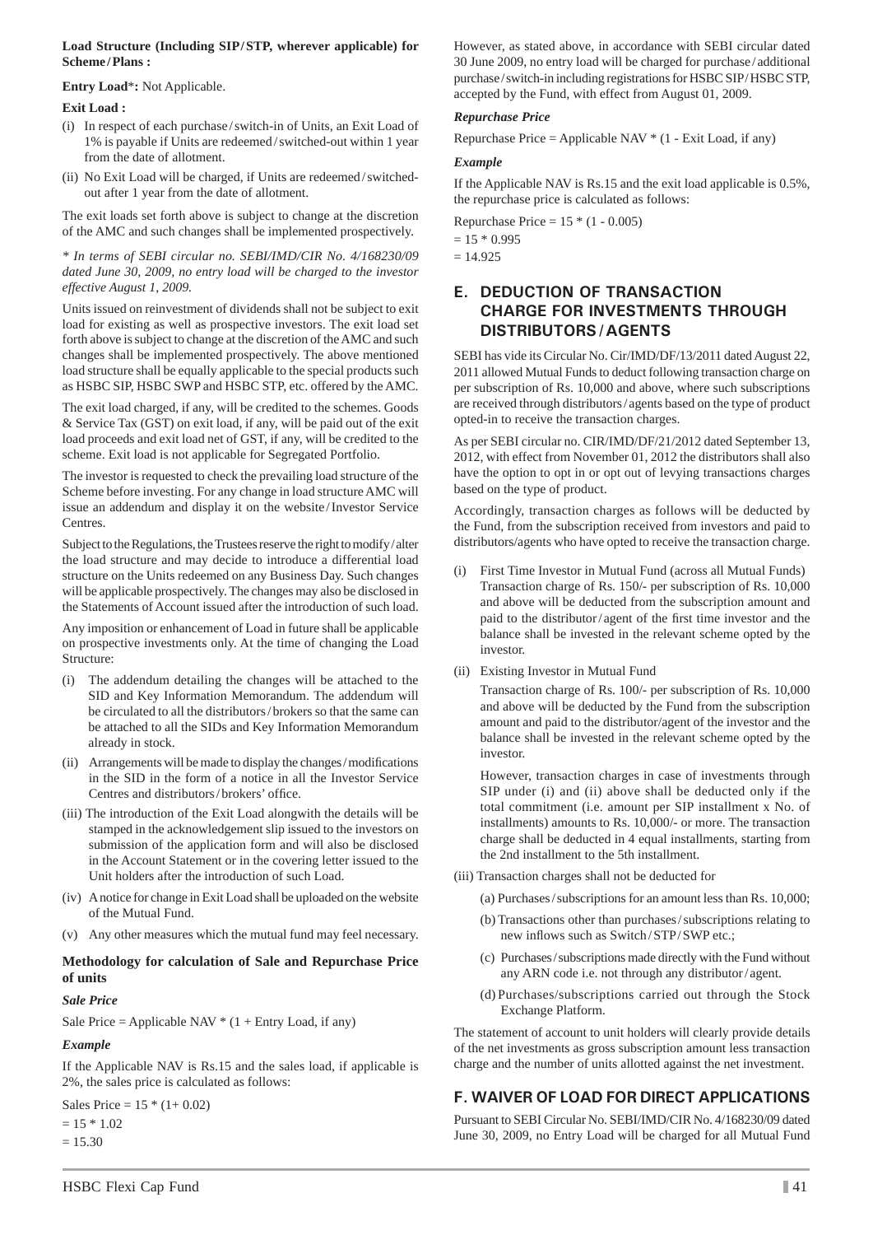#### **Load Structure (Including SIP / STP, wherever applicable) for Scheme / Plans :**

#### **Entry Load**\***:** Not Applicable.

#### **Exit Load :**

- (i) In respect of each purchase / switch-in of Units, an Exit Load of 1% is payable if Units are redeemed / switched-out within 1 year from the date of allotment.
- (ii) No Exit Load will be charged, if Units are redeemed / switchedout after 1 year from the date of allotment.

The exit loads set forth above is subject to change at the discretion of the AMC and such changes shall be implemented prospectively.

*\* In terms of SEBI circular no. SEBI/IMD/CIR No. 4/168230/09 dated June 30, 2009, no entry load will be charged to the investor effective August 1, 2009.* 

Units issued on reinvestment of dividends shall not be subject to exit load for existing as well as prospective investors. The exit load set forth above is subject to change at the discretion of the AMC and such changes shall be implemented prospectively. The above mentioned load structure shall be equally applicable to the special products such as HSBC SIP, HSBC SWP and HSBC STP, etc. offered by the AMC.

The exit load charged, if any, will be credited to the schemes. Goods & Service Tax (GST) on exit load, if any, will be paid out of the exit load proceeds and exit load net of GST, if any, will be credited to the scheme. Exit load is not applicable for Segregated Portfolio.

The investor is requested to check the prevailing load structure of the Scheme before investing. For any change in load structure AMC will issue an addendum and display it on the website / Investor Service Centres.

Subject to the Regulations, the Trustees reserve the right to modify / alter the load structure and may decide to introduce a differential load structure on the Units redeemed on any Business Day. Such changes will be applicable prospectively. The changes may also be disclosed in the Statements of Account issued after the introduction of such load.

Any imposition or enhancement of Load in future shall be applicable on prospective investments only. At the time of changing the Load Structure:

- (i) The addendum detailing the changes will be attached to the SID and Key Information Memorandum. The addendum will be circulated to all the distributors / brokers so that the same can be attached to all the SIDs and Key Information Memorandum already in stock.
- (ii) Arrangements will be made to display the changes/modifications in the SID in the form of a notice in all the Investor Service Centres and distributors/brokers' office.
- (iii) The introduction of the Exit Load alongwith the details will be stamped in the acknowledgement slip issued to the investors on submission of the application form and will also be disclosed in the Account Statement or in the covering letter issued to the Unit holders after the introduction of such Load.
- (iv) A notice for change in Exit Load shall be uploaded on the website of the Mutual Fund.
- (v) Any other measures which the mutual fund may feel necessary.

#### **Methodology for calculation of Sale and Repurchase Price of units**

#### *Sale Price*

Sale Price = Applicable NAV  $*(1 +$  Entry Load, if any)

#### *Example*

If the Applicable NAV is Rs.15 and the sales load, if applicable is 2%, the sales price is calculated as follows:

Sales Price =  $15 * (1 + 0.02)$  $= 15 * 1.02$  $= 15.30$ 

However, as stated above, in accordance with SEBI circular dated 30 June 2009, no entry load will be charged for purchase / additional purchase / switch-in including registrations for HSBC SIP/HSBC STP, accepted by the Fund, with effect from August 01, 2009.

#### *Repurchase Price*

Repurchase Price = Applicable NAV  $*(1 - \text{Exit Load}, \text{if any})$ 

#### *Example*

If the Applicable NAV is Rs.15 and the exit load applicable is 0.5%, the repurchase price is calculated as follows:

Repurchase Price =  $15 * (1 - 0.005)$ 

 $= 15 * 0.995$ 

 $= 14.925$ 

## **E. DEDUCTION OF TRANSACTION CHARGE FOR INVESTMENTS THROUGH DISTRIBUTORS / AGENTS**

SEBI has vide its Circular No. Cir/IMD/DF/13/2011 dated August 22, 2011 allowed Mutual Funds to deduct following transaction charge on per subscription of Rs. 10,000 and above, where such subscriptions are received through distributors / agents based on the type of product opted-in to receive the transaction charges.

As per SEBI circular no. CIR/IMD/DF/21/2012 dated September 13, 2012, with effect from November 01, 2012 the distributors shall also have the option to opt in or opt out of levying transactions charges based on the type of product.

Accordingly, transaction charges as follows will be deducted by the Fund, from the subscription received from investors and paid to distributors/agents who have opted to receive the transaction charge.

- First Time Investor in Mutual Fund (across all Mutual Funds) Transaction charge of Rs. 150/- per subscription of Rs. 10,000 and above will be deducted from the subscription amount and paid to the distributor/agent of the first time investor and the balance shall be invested in the relevant scheme opted by the investor.
- (ii) Existing Investor in Mutual Fund

 Transaction charge of Rs. 100/- per subscription of Rs. 10,000 and above will be deducted by the Fund from the subscription amount and paid to the distributor/agent of the investor and the balance shall be invested in the relevant scheme opted by the investor.

 However, transaction charges in case of investments through SIP under (i) and (ii) above shall be deducted only if the total commitment (i.e. amount per SIP installment x No. of installments) amounts to Rs. 10,000/- or more. The transaction charge shall be deducted in 4 equal installments, starting from the 2nd installment to the 5th installment.

- (iii) Transaction charges shall not be deducted for
	- (a) Purchases / subscriptions for an amount less than Rs. 10,000;
	- (b) Transactions other than purchases / subscriptions relating to new inflows such as Switch/STP/SWP etc.;
	- (c) Purchases / subscriptions made directly with the Fund without any ARN code i.e. not through any distributor / agent.
	- (d) Purchases/subscriptions carried out through the Stock Exchange Platform.

The statement of account to unit holders will clearly provide details of the net investments as gross subscription amount less transaction charge and the number of units allotted against the net investment.

## **F. WAIVER OF LOAD FOR DIRECT APPLICATIONS**

Pursuant to SEBI Circular No. SEBI/IMD/CIR No. 4/168230/09 dated June 30, 2009, no Entry Load will be charged for all Mutual Fund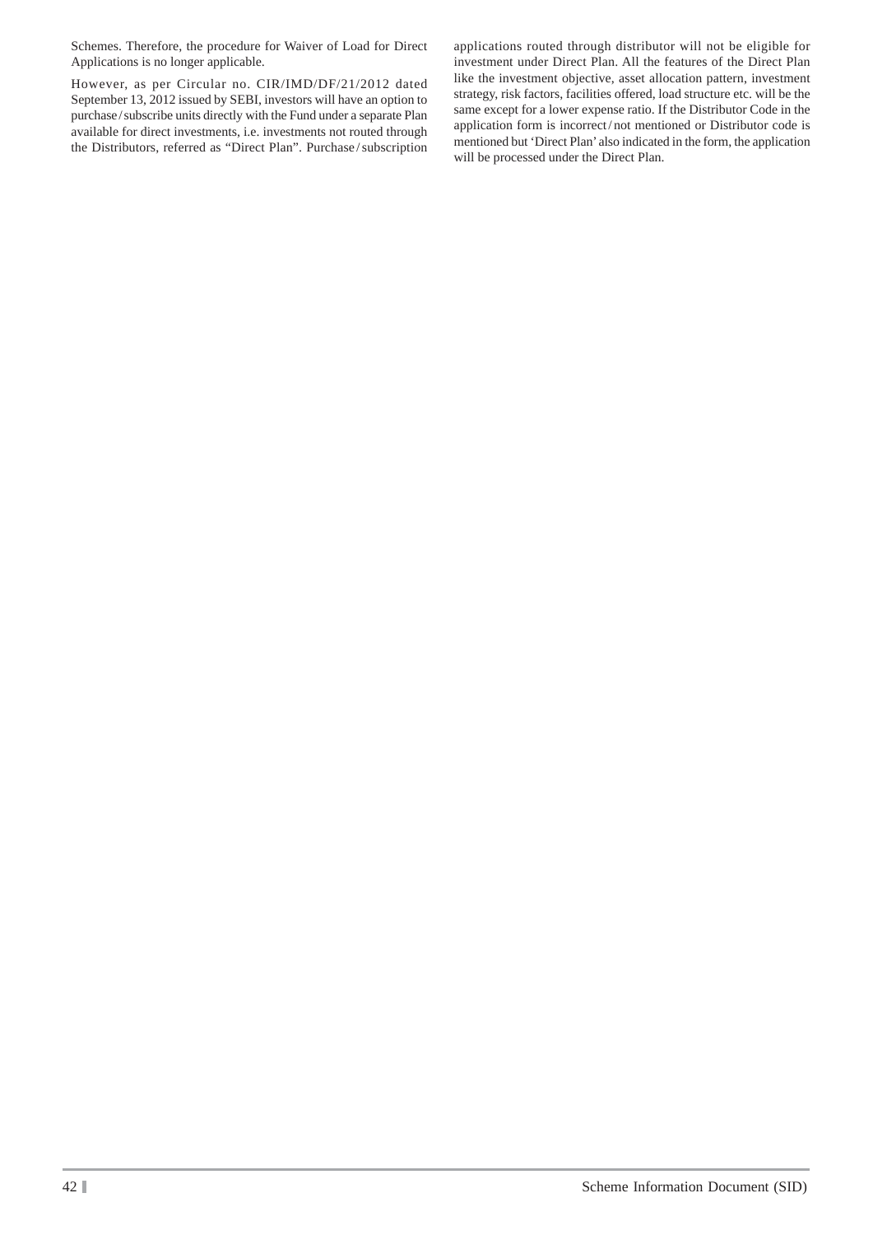Schemes. Therefore, the procedure for Waiver of Load for Direct Applications is no longer applicable.

However, as per Circular no. CIR/IMD/DF/21/2012 dated September 13, 2012 issued by SEBI, investors will have an option to purchase / subscribe units directly with the Fund under a separate Plan available for direct investments, i.e. investments not routed through the Distributors, referred as "Direct Plan". Purchase / subscription

applications routed through distributor will not be eligible for investment under Direct Plan. All the features of the Direct Plan like the investment objective, asset allocation pattern, investment strategy, risk factors, facilities offered, load structure etc. will be the same except for a lower expense ratio. If the Distributor Code in the application form is incorrect / not mentioned or Distributor code is mentioned but 'Direct Plan' also indicated in the form, the application will be processed under the Direct Plan.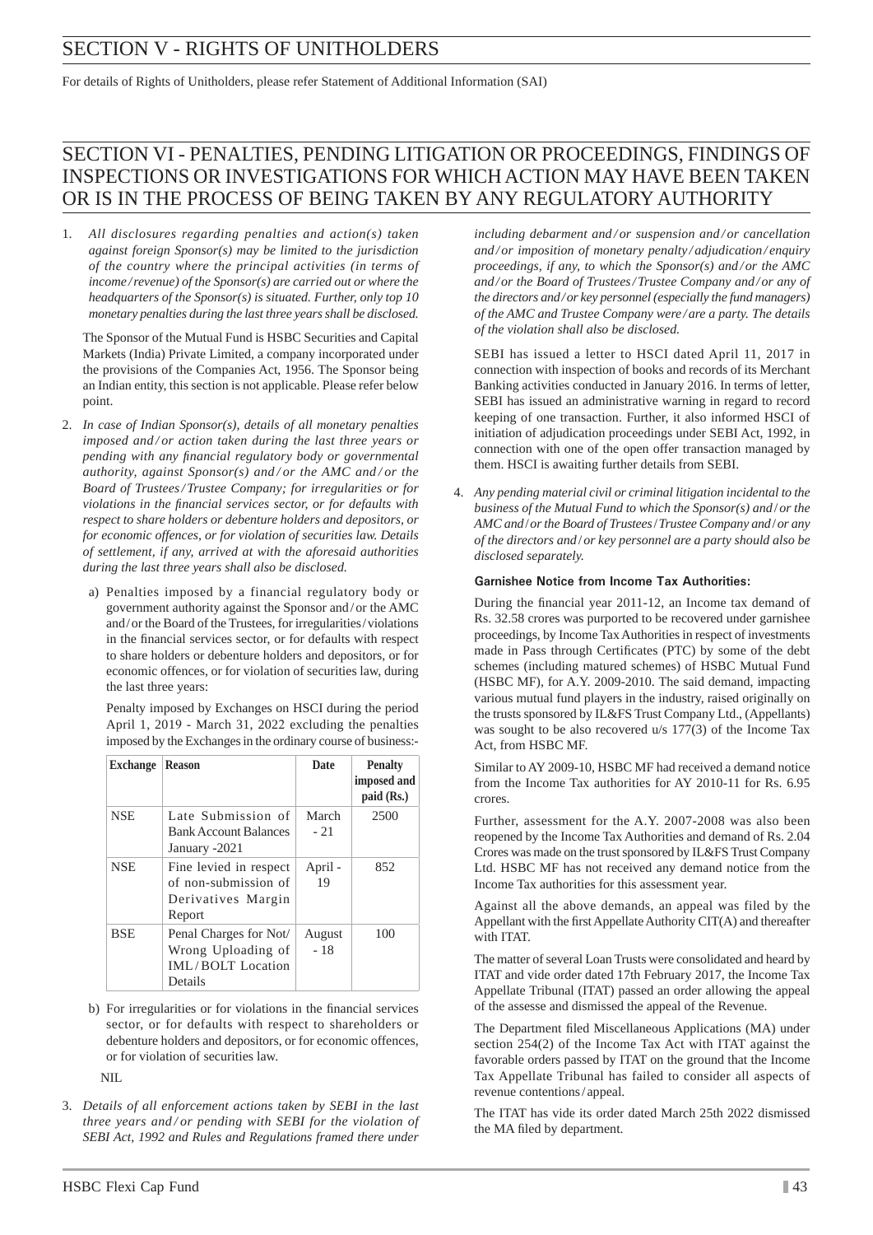# SECTION V - RIGHTS OF UNITHOLDERS

For details of Rights of Unitholders, please refer Statement of Additional Information (SAI)

# SECTION VI - PENALTIES, PENDING LITIGATION OR PROCEEDINGS, FINDINGS OF INSPECTIONS OR INVESTIGATIONS FOR WHICH ACTION MAY HAVE BEEN TAKEN OR IS IN THE PROCESS OF BEING TAKEN BY ANY REGULATORY AUTHORITY

1. *All disclosures regarding penalties and action(s) taken against foreign Sponsor(s) may be limited to the jurisdiction of the country where the principal activities (in terms of income / revenue) of the Sponsor(s) are carried out or where the headquarters of the Sponsor(s) is situated. Further, only top 10 monetary penalties during the last three years shall be disclosed.*

 The Sponsor of the Mutual Fund is HSBC Securities and Capital Markets (India) Private Limited, a company incorporated under the provisions of the Companies Act, 1956. The Sponsor being an Indian entity, this section is not applicable. Please refer below point.

- 2. *In case of Indian Sponsor(s), details of all monetary penalties imposed and / or action taken during the last three years or pending with any fi nancial regulatory body or governmental authority, against Sponsor(s) and / or the AMC and / or the Board of Trustees / Trustee Company; for irregularities or for violations in the fi nancial services sector, or for defaults with respect to share holders or debenture holders and depositors, or for economic offences, or for violation of securities law. Details of settlement, if any, arrived at with the aforesaid authorities during the last three years shall also be disclosed.*
	- a) Penalties imposed by a financial regulatory body or government authority against the Sponsor and / or the AMC and / or the Board of the Trustees, for irregularities / violations in the financial services sector, or for defaults with respect to share holders or debenture holders and depositors, or for economic offences, or for violation of securities law, during the last three years:

Penalty imposed by Exchanges on HSCI during the period April 1, 2019 - March 31, 2022 excluding the penalties imposed by the Exchanges in the ordinary course of business:-

| <b>Exchange</b> | <b>Reason</b>                                                                  | Date            | <b>Penalty</b><br>imposed and<br>paid (Rs.) |
|-----------------|--------------------------------------------------------------------------------|-----------------|---------------------------------------------|
| <b>NSE</b>      | Late Submission of<br><b>Bank Account Balances</b><br>January -2021            | March<br>$-21$  | 2500                                        |
| <b>NSE</b>      | Fine levied in respect<br>of non-submission of<br>Derivatives Margin<br>Report | April -<br>19   | 852                                         |
| <b>BSE</b>      | Penal Charges for Not/<br>Wrong Uploading of<br>IML/BOLT Location<br>Details   | August<br>$-18$ | 100                                         |

b) For irregularities or for violations in the financial services sector, or for defaults with respect to shareholders or debenture holders and depositors, or for economic offences, or for violation of securities law.

NIL

3. *Details of all enforcement actions taken by SEBI in the last three years and / or pending with SEBI for the violation of SEBI Act, 1992 and Rules and Regulations framed there under* 

*including debarment and / or suspension and / or cancellation and / or imposition of monetary penalty / adjudication / enquiry proceedings, if any, to which the Sponsor(s) and / or the AMC and / or the Board of Trustees / Trustee Company and / or any of the directors and / or key personnel (especially the fund managers) of the AMC and Trustee Company were / are a party. The details of the violation shall also be disclosed.*

 SEBI has issued a letter to HSCI dated April 11, 2017 in connection with inspection of books and records of its Merchant Banking activities conducted in January 2016. In terms of letter, SEBI has issued an administrative warning in regard to record keeping of one transaction. Further, it also informed HSCI of initiation of adjudication proceedings under SEBI Act, 1992, in connection with one of the open offer transaction managed by them. HSCI is awaiting further details from SEBI.

4. *Any pending material civil or criminal litigation incidental to the business of the Mutual Fund to which the Sponsor(s) and* / *or the AMC and* / *or the Board of Trustees* / *Trustee Company and* / *or any of the directors and* / *or key personnel are a party should also be disclosed separately.*

#### **Garnishee Notice from Income Tax Authorities:**

During the financial year 2011-12, an Income tax demand of Rs. 32.58 crores was purported to be recovered under garnishee proceedings, by Income Tax Authorities in respect of investments made in Pass through Certificates (PTC) by some of the debt schemes (including matured schemes) of HSBC Mutual Fund (HSBC MF), for A.Y. 2009-2010. The said demand, impacting various mutual fund players in the industry, raised originally on the trusts sponsored by IL&FS Trust Company Ltd., (Appellants) was sought to be also recovered u/s 177(3) of the Income Tax Act, from HSBC MF.

 Similar to AY 2009-10, HSBC MF had received a demand notice from the Income Tax authorities for AY 2010-11 for Rs. 6.95 crores.

 Further, assessment for the A.Y. 2007-2008 was also been reopened by the Income Tax Authorities and demand of Rs. 2.04 Crores was made on the trust sponsored by IL&FS Trust Company Ltd. HSBC MF has not received any demand notice from the Income Tax authorities for this assessment year.

 Against all the above demands, an appeal was filed by the Appellant with the first Appellate Authority CIT(A) and thereafter with ITAT.

 The matter of several Loan Trusts were consolidated and heard by ITAT and vide order dated 17th February 2017, the Income Tax Appellate Tribunal (ITAT) passed an order allowing the appeal of the assesse and dismissed the appeal of the Revenue.

The Department filed Miscellaneous Applications (MA) under section 254(2) of the Income Tax Act with ITAT against the favorable orders passed by ITAT on the ground that the Income Tax Appellate Tribunal has failed to consider all aspects of revenue contentions / appeal.

 The ITAT has vide its order dated March 25th 2022 dismissed the MA filed by department.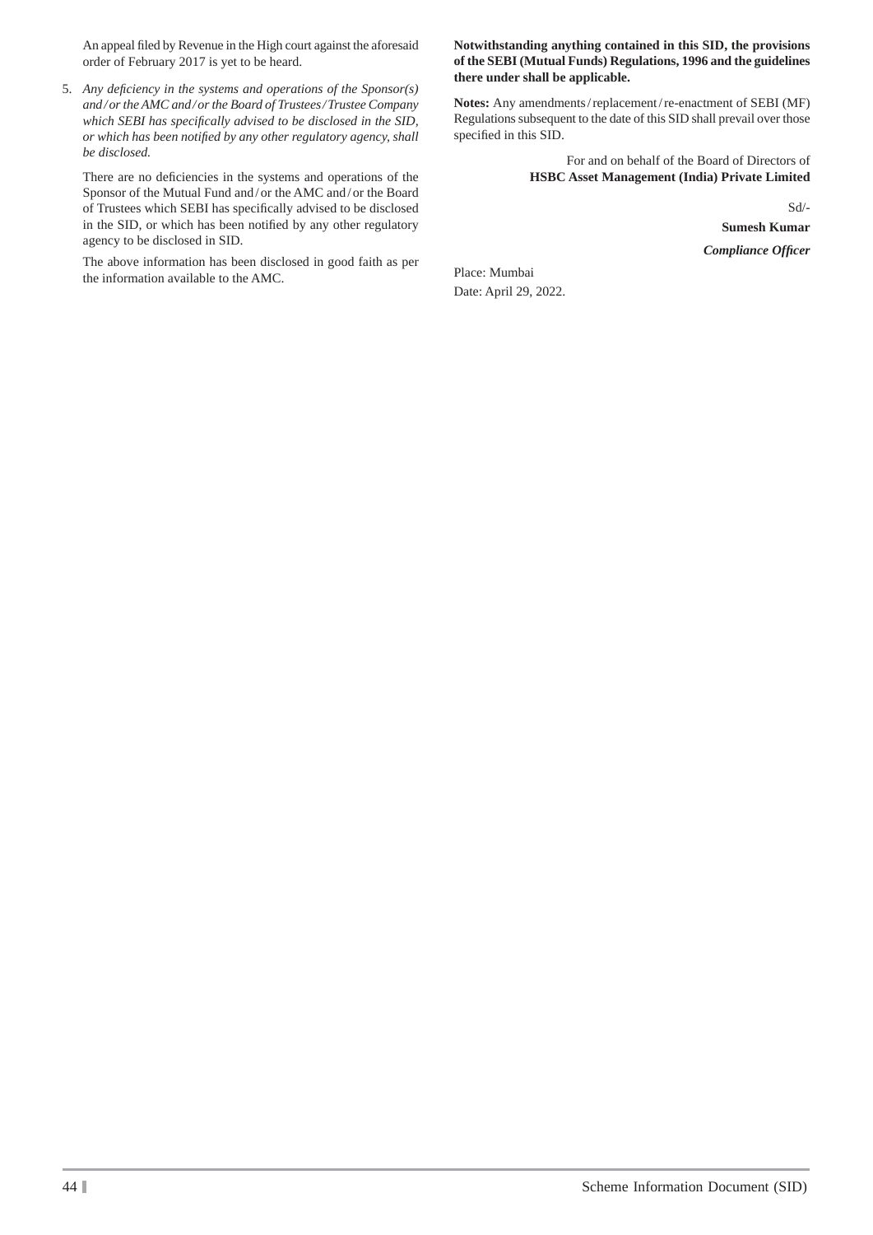An appeal filed by Revenue in the High court against the aforesaid order of February 2017 is yet to be heard.

5. Any deficiency in the systems and operations of the Sponsor(s) *and / or the AMC and / or the Board of Trustees / Trustee Company*  which SEBI has specifically advised to be disclosed in the SID, *or which has been notifi ed by any other regulatory agency, shall be disclosed.*

There are no deficiencies in the systems and operations of the Sponsor of the Mutual Fund and / or the AMC and / or the Board of Trustees which SEBI has specifically advised to be disclosed in the SID, or which has been notified by any other regulatory agency to be disclosed in SID.

 The above information has been disclosed in good faith as per the information available to the AMC.

#### **Notwithstanding anything contained in this SID, the provisions of the SEBI (Mutual Funds) Regulations, 1996 and the guidelines there under shall be applicable.**

**Notes:** Any amendments / replacement / re-enactment of SEBI (MF) Regulations subsequent to the date of this SID shall prevail over those specified in this SID.

> For and on behalf of the Board of Directors of **HSBC Asset Management (India) Private Limited**

> > Sd/- **Sumesh Kumar** *Compliance Offi cer*

Place: Mumbai Date: April 29, 2022.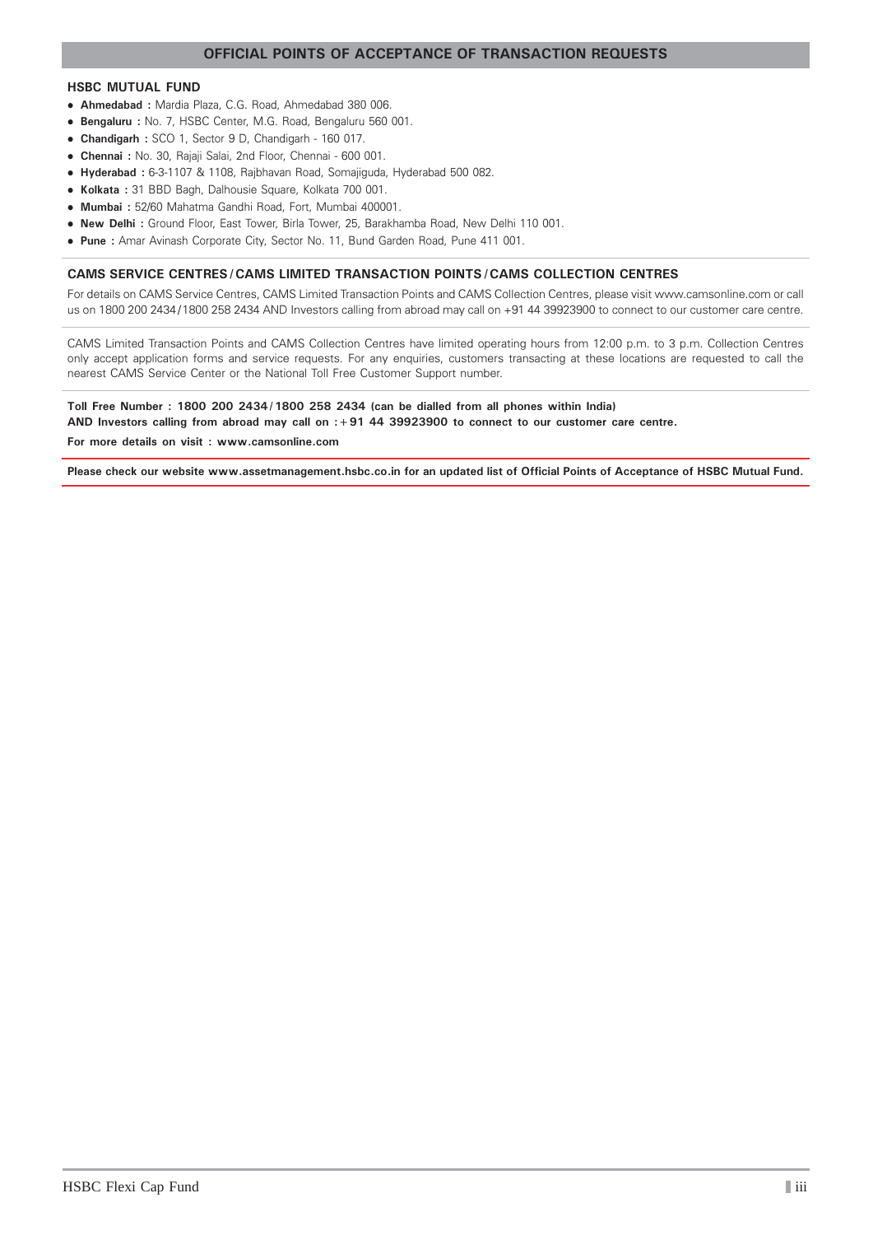#### **OFFICIAL POINTS OF ACCEPTANCE OF TRANSACTION REQUESTS**

#### **HSBC MUTUAL FUND**

- **Ahmedabad :** Mardia Plaza, C.G. Road, Ahmedabad 380 006.
- **Bengaluru :** No. 7, HSBC Center, M.G. Road, Bengaluru 560 001.
- **Chandigarh :** SCO 1, Sector 9 D, Chandigarh 160 017.
- **Chennai :** No. 30, Rajaji Salai, 2nd Floor, Chennai 600 001.
- **Hyderabad :** 6-3-1107 & 1108, Rajbhavan Road, Somajiguda, Hyderabad 500 082.
- **Kolkata :** 31 BBD Bagh, Dalhousie Square, Kolkata 700 001.
- **Mumbai :** 52/60 Mahatma Gandhi Road, Fort, Mumbai 400001.
- **New Delhi :** Ground Floor, East Tower, Birla Tower, 25, Barakhamba Road, New Delhi 110 001.
- **Pune :** Amar Avinash Corporate City, Sector No. 11, Bund Garden Road, Pune 411 001.

#### **CAMS SERVICE CENTRES / CAMS LIMITED TRANSACTION POINTS / CAMS COLLECTION CENTRES**

For details on CAMS Service Centres, CAMS Limited Transaction Points and CAMS Collection Centres, please visit www.camsonline.com or call us on 1800 200 2434 / 1800 258 2434 AND Investors calling from abroad may call on +91 44 39923900 to connect to our customer care centre.

CAMS Limited Transaction Points and CAMS Collection Centres have limited operating hours from 12:00 p.m. to 3 p.m. Collection Centres only accept application forms and service requests. For any enquiries, customers transacting at these locations are requested to call the nearest CAMS Service Center or the National Toll Free Customer Support number.

#### **Toll Free Number : 1800 200 2434 / 1800 258 2434 (can be dialled from all phones within India)**

**AND Investors calling from abroad may call on :+91 44 39923900 to connect to our customer care centre.**

**For more details on visit : www.camsonline.com**

**Please check our website www.assetmanagement.hsbc.co.in for an updated list of Official Points of Acceptance of HSBC Mutual Fund.**